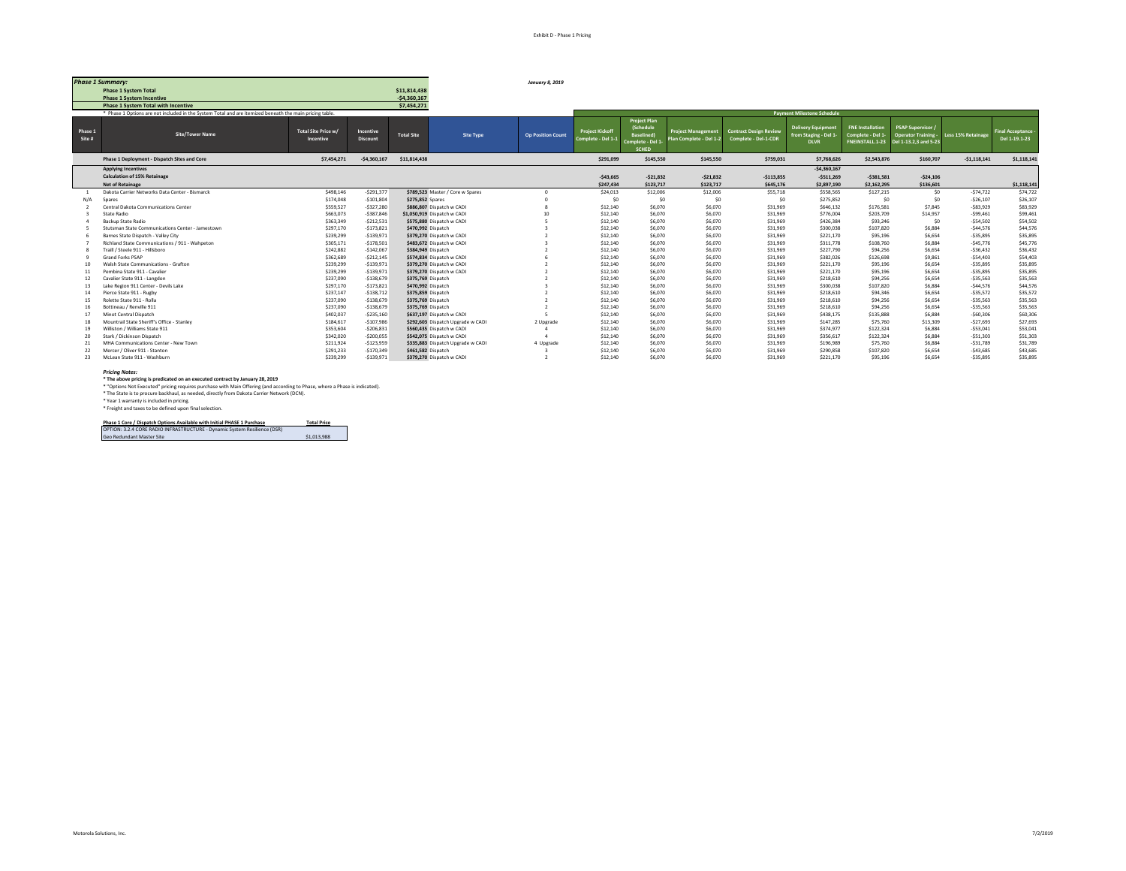|                   | <b>Phase 1 Summary:</b>                                                                                 |                                  |                              |                    |                                   | January 8, 2019          |                                              |                                                                                                 |                                                      |                                                       |                                                                  |                                                                |                                                                             |                    |                                  |
|-------------------|---------------------------------------------------------------------------------------------------------|----------------------------------|------------------------------|--------------------|-----------------------------------|--------------------------|----------------------------------------------|-------------------------------------------------------------------------------------------------|------------------------------------------------------|-------------------------------------------------------|------------------------------------------------------------------|----------------------------------------------------------------|-----------------------------------------------------------------------------|--------------------|----------------------------------|
|                   | <b>Phase 1 System Total</b>                                                                             |                                  |                              | \$11,814,438       |                                   |                          |                                              |                                                                                                 |                                                      |                                                       |                                                                  |                                                                |                                                                             |                    |                                  |
|                   | <b>Phase 1 System Incentive</b>                                                                         |                                  |                              | $-54,360,167$      |                                   |                          |                                              |                                                                                                 |                                                      |                                                       |                                                                  |                                                                |                                                                             |                    |                                  |
|                   | <b>Phase 1 System Total with Incentive</b>                                                              |                                  |                              | \$7,454,271        |                                   |                          |                                              |                                                                                                 |                                                      |                                                       |                                                                  |                                                                |                                                                             |                    |                                  |
|                   | * Phase 1 Options are not included in the System Total and are itemized beneath the main pricing table. |                                  |                              |                    |                                   |                          |                                              |                                                                                                 |                                                      |                                                       | <b>Payment Milestone Schedule</b>                                |                                                                |                                                                             |                    |                                  |
| Phase 1<br>Site # | <b>Site/Tower Name</b>                                                                                  | Total Site Price w/<br>Incentive | Incentive<br><b>Discount</b> | <b>Total Site</b>  | Site Type                         | <b>Op Position Count</b> | <b>Project Kickoff</b><br>Complete - Del 1-1 | <b>Project Plan</b><br><b>(Schedule</b><br><b>Baselined</b><br>Complete - Del 1<br><b>SCHED</b> | <b>Project Management</b><br>Plan Complete - Del 1-2 | <b>Contract Design Review</b><br>Complete - Del-1-CDR | <b>Delivery Equipment</b><br>from Staging - Del 1<br><b>DLVR</b> | <b>FNE Installation</b><br>Complete - Del 1<br>FNEINSTALL.1-23 | <b>PSAP Supervisor</b><br><b>Operator Training</b><br>Del 1-13.2.3 and 5-23 | Less 15% Retainage | inal Acceptance<br>Del 1-19.1-23 |
|                   | Phase 1 Deployment - Dispatch Sites and Core                                                            | \$7,454,271                      | $-$4,360,167$                | \$11,814,438       |                                   |                          | \$291.099                                    | \$145,550                                                                                       | \$145,550                                            | \$759,031                                             | \$7,768,626                                                      | \$2,543,876                                                    | \$160,707                                                                   | $-51,118,141$      | \$1,118,141                      |
|                   | <b>Applying Incentives</b>                                                                              |                                  |                              |                    |                                   |                          |                                              |                                                                                                 |                                                      |                                                       | $-54,360,167$                                                    |                                                                |                                                                             |                    |                                  |
|                   | <b>Calculation of 15% Retainage</b>                                                                     |                                  |                              |                    |                                   |                          | $-$43,665$                                   | $-521,832$                                                                                      | $-521,832$                                           | $-5113,855$                                           | $-5511.269$                                                      | $-5381.581$                                                    | $-524.106$                                                                  |                    |                                  |
|                   | <b>Net of Retainage</b>                                                                                 |                                  |                              |                    |                                   |                          | \$247,434                                    | \$123,717                                                                                       | \$123,717                                            | \$645,176                                             | \$2,897,190                                                      | \$2,162,295                                                    | \$136,601                                                                   |                    | \$1,118,141                      |
|                   | Dakota Carrier Networks Data Center - Bismarck                                                          | \$498,146                        | $-5291,377$                  |                    | \$789,523 Master / Core w Spares  | $\Omega$                 | \$24,013                                     | \$12,006                                                                                        | \$12,006                                             | \$55,718                                              | \$558,565                                                        | \$127,215                                                      | \$0                                                                         | $-574.722$         | \$74,722                         |
| N/A               | Spares                                                                                                  | \$174,048                        | $-$101,804$                  | \$275,852 Spares   |                                   |                          | \$0                                          | \$0                                                                                             | \$0                                                  | \$0                                                   | \$275,852                                                        | \$0                                                            | \$0                                                                         | $-526.107$         | \$26,107                         |
|                   | Central Dakota Communications Center                                                                    | \$559,527                        | $-$327,280$                  |                    | \$886,807 Dispatch w CADI         |                          | \$12,140                                     | \$6,070                                                                                         | \$6,070                                              | \$31,969                                              | \$646,132                                                        | \$176,581                                                      | \$7,845                                                                     | $-583.929$         | \$83,929                         |
|                   | State Radio                                                                                             | \$663,073                        | $-$387,846$                  |                    | \$1,050,919 Dispatch w CADI       |                          | \$12,140                                     | \$6,070                                                                                         | \$6,070                                              | \$31,969                                              | \$776,004                                                        | \$203,709                                                      | \$14,957                                                                    | $-$99,461$         | \$99,461                         |
|                   | Backup State Radio                                                                                      | \$363,349                        | $-5212,531$                  |                    | \$575,880 Dispatch w CADI         |                          | \$12,140                                     | \$6,070                                                                                         | \$6,070                                              | \$31,969                                              | \$426,384                                                        | \$93,246                                                       | \$0                                                                         | $-554,502$         | \$54,502                         |
|                   | Stutsman State Communications Center - Jamestown                                                        | \$297,170                        | $-5173.821$                  | \$470,992 Dispatch |                                   |                          | \$12,140                                     | \$6,070                                                                                         | \$6,070                                              | \$31.969                                              | \$300,038                                                        | \$107,820                                                      | \$6,884                                                                     | $-544.576$         | \$44,576                         |
|                   | Barnes State Dispatch - Valley City                                                                     | \$239,299                        | $-$139,971$                  |                    | \$379,270 Dispatch w CADI         |                          | \$12,140                                     | \$6,070                                                                                         | \$6,070                                              | \$31.969                                              | \$221,170                                                        | \$95,196                                                       | \$6,654                                                                     | $-535.895$         | \$35,895                         |
|                   | Richland State Communications / 911 - Wahpeton                                                          | \$305,171                        | $-$178,501$                  |                    | \$483,672 Dispatch w CADI         |                          | \$12,140                                     | \$6,070                                                                                         | \$6,070                                              | \$31,969                                              | \$311,778                                                        | \$108,760                                                      | \$6,884                                                                     | $-$45,776$         | \$45,776                         |
|                   | Traill / Steele 911 - Hillsboro                                                                         | \$242,882                        | $-$142,067$                  | \$384,949 Dispatch |                                   |                          | \$12,140                                     | \$6,070                                                                                         | \$6,070                                              | \$31.969                                              | \$227,790                                                        | \$94,256                                                       | \$6,654                                                                     | $-536.432$         | \$36,432                         |
|                   | Grand Forks PSAP                                                                                        | \$362,689                        | $-5212,145$                  |                    | \$574,834 Dispatch w CADI         |                          | \$12,140                                     | \$6,070                                                                                         | \$6,070                                              | \$31,969                                              | \$382,026                                                        | \$126,698                                                      | \$9,861                                                                     | $-$54,403$         | \$54,403                         |
| 10                | Walsh State Communications - Grafton                                                                    | \$239,299                        | $-5139.971$                  |                    | \$379,270 Dispatch w CADI         |                          | \$12,140                                     | \$6,070                                                                                         | \$6,070                                              | \$31.969                                              | \$221,170                                                        | \$95,196                                                       | \$6,654                                                                     | $-535.895$         | \$35,895                         |
|                   | Pembina State 911 - Cavalier                                                                            | \$239,299                        | $-$139,971$                  |                    | \$379,270 Dispatch w CADI         |                          | \$12,140                                     | \$6,070                                                                                         | \$6,070                                              | \$31,969                                              | \$221,170                                                        | \$95,196                                                       | \$6,654                                                                     | $-535.895$         | \$35,895                         |
| 12                | Cavalier State 911 - Langdon                                                                            | \$237,090                        | $-$138,679$                  | \$375,769 Dispatch |                                   |                          | \$12,140                                     | \$6,070                                                                                         | \$6,070                                              | \$31,969                                              | \$218,610                                                        | \$94,256                                                       | \$6,654                                                                     | $-$35,563$         | \$35,563                         |
| 13                | Lake Region 911 Center - Devils Lake                                                                    | \$297,170                        | $-$173,821$                  | \$470,992 Dispatch |                                   |                          | \$12,140                                     | \$6,070                                                                                         | \$6,070                                              | \$31,969                                              | \$300,038                                                        | \$107,820                                                      | \$6,884                                                                     | $-$44,576$         | \$44,576                         |
| 14                | Pierce State 911 - Rugby                                                                                | \$237,147                        | $-$138,712$                  | \$375,859 Dispatch |                                   |                          | \$12,140                                     | \$6,070                                                                                         | \$6,070                                              | \$31,969                                              | \$218,610                                                        | \$94,346                                                       | \$6,654                                                                     | $-535,572$         | \$35,572                         |
| 15                | Rolette State 911 - Rolla                                                                               | \$237,090                        | $-5138.679$                  | \$375,769 Dispatch |                                   |                          | \$12,140                                     | \$6,070                                                                                         | \$6,070                                              | \$31.969                                              | \$218,610                                                        | \$94,256                                                       | \$6,654                                                                     | $-535.563$         | \$35,563                         |
| 16                | Bottineau / Renville 911                                                                                | \$237,090                        | $-$138,679$                  | \$375,769 Dispatch |                                   |                          | \$12,140                                     | \$6,070                                                                                         | \$6,070                                              | \$31.969                                              | \$218,610                                                        | \$94,256                                                       | \$6,654                                                                     | $-$35,563$         | \$35,563                         |
| 17                | Minot Central Dispatch                                                                                  | \$402,037                        | $-$235,160$                  |                    | \$637.197 Dispatch w CADI         |                          | \$12,140                                     | \$6,070                                                                                         | \$6,070                                              | \$31,969                                              | \$438,175                                                        | \$135,888                                                      | \$6,884                                                                     | $-560.306$         | \$60,306                         |
| 18                | Mountrail State Sheriff's Office - Stanley                                                              | \$184,617                        | $-$107,986$                  |                    | \$292,603 Dispatch Upgrade w CADI | 2 Upgrade                | \$12,140                                     | \$6,070                                                                                         | \$6,070                                              | \$31,969                                              | \$147,285                                                        | \$75,760                                                       | \$13,309                                                                    | $-$27,693$         | \$27,693                         |
| 19                | Williston / Williams State 911                                                                          | \$353,604                        | $-5206,831$                  |                    | \$560,435 Dispatch w CADI         | $\mathbf{A}$             | \$12,140                                     | \$6,070                                                                                         | \$6,070                                              | \$31,969                                              | \$374,977                                                        | \$122,324                                                      | \$6,884                                                                     | $-$53,041$         | \$53,041                         |
| 20                | Stark / Dickinson Dispatch                                                                              | \$342,020                        | $-$200,055$                  |                    | \$542,075 Dispatch w CADI         | $\mathbf{A}$             | \$12,140                                     | \$6,070                                                                                         | \$6,070                                              | \$31.969                                              | \$356.617                                                        | \$122,324                                                      | \$6,884                                                                     | $-$51,303$         | \$51,303                         |
| 21                | MHA Communications Center - New Town                                                                    | \$211,924                        | $-$123,959$                  |                    | \$335,883 Dispatch Upgrade w CADI | 4 Upgrade                | \$12,140                                     | \$6,070                                                                                         | \$6,070                                              | \$31,969                                              | \$196,989                                                        | \$75,760                                                       | \$6,884                                                                     | $-531,789$         | \$31,789                         |
| 22                | Mercer / Oliver 911 - Stanton                                                                           | \$291,233                        | $-$170,349$                  | \$461,582 Dispatch |                                   |                          | \$12,140                                     | \$6,070                                                                                         | \$6,070                                              | \$31,969                                              | \$290,858                                                        | \$107,820                                                      | \$6,654                                                                     | $-543.685$         | \$43,685                         |
| 23                | McLean State 911 - Washburn                                                                             | \$239,299                        | $-$139,971$                  |                    | \$379,270 Dispatch w CADI         |                          | \$12,140                                     | \$6,070                                                                                         | \$6,070                                              | \$31,969                                              | \$221,170                                                        | \$95,196                                                       | \$6,654                                                                     | $-535,895$         | \$35,895                         |

### *Pricing Notes:*

**\* The above pricing is predicated on an executed contract by January 28, 2019** \* "Options Not Executed" pricing requires purchase with Main Offering (and according to Phase, where a Phase is indicated).

\* The State is to procure backhaul, as needed, directly from Dakota Carrier Network (DCN).<br>\* Year 1 warranty is included in pricing.<br>\* Freight and taxes to be defined upon final selection.

**Phase 1 Core / Dispatch Options Available with Initial PHASE 1 Purchase Total Price** OPTION: 3.2.4 CORE RADIO INFRASTRUCTURE - Dynamic System Resilience (DSR) Geo Redundant Master Site \$1,013,988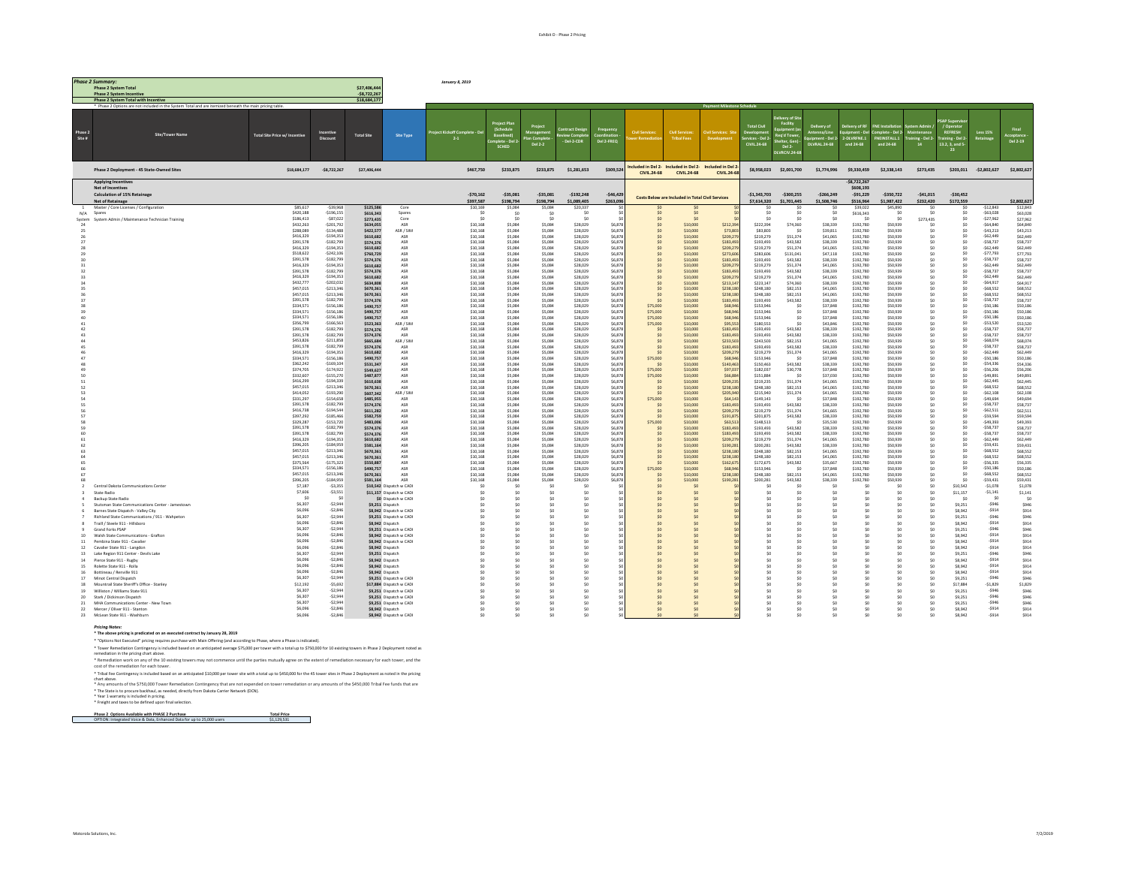|              | <b>Phase 2 Summary.</b>                                                                                 |                               |                            |                              |                          | January 8, 2019             |                             |                    |                      |                   |                                    |                                                  |                                                                     |                        |                              |                                    |                          |                      |                        |                                    |                          |                      |
|--------------|---------------------------------------------------------------------------------------------------------|-------------------------------|----------------------------|------------------------------|--------------------------|-----------------------------|-----------------------------|--------------------|----------------------|-------------------|------------------------------------|--------------------------------------------------|---------------------------------------------------------------------|------------------------|------------------------------|------------------------------------|--------------------------|----------------------|------------------------|------------------------------------|--------------------------|----------------------|
|              | <b>Phase 2 System Total</b>                                                                             |                               |                            | \$27,406.44                  |                          |                             |                             |                    |                      |                   |                                    |                                                  |                                                                     |                        |                              |                                    |                          |                      |                        |                                    |                          |                      |
|              | <b>Phase 2 System Incentive</b><br><b>Phase 2 System Total with Incentive</b>                           |                               |                            | $-$8,722,26$<br>\$18,684.177 |                          |                             |                             |                    |                      |                   |                                    |                                                  |                                                                     |                        |                              |                                    |                          |                      |                        |                                    |                          |                      |
|              | * Phase 2 Options are not included in the System Total and are itemized beneath the main pricing table. |                               |                            |                              |                          |                             |                             |                    |                      |                   |                                    |                                                  |                                                                     |                        |                              |                                    |                          |                      |                        |                                    |                          |                      |
|              |                                                                                                         |                               |                            |                              |                          |                             |                             |                    |                      |                   |                                    |                                                  |                                                                     |                        |                              |                                    |                          |                      |                        |                                    |                          |                      |
|              |                                                                                                         |                               |                            |                              |                          |                             |                             |                    |                      |                   |                                    |                                                  |                                                                     |                        | ivery of Sit<br>Facility     |                                    |                          |                      |                        |                                    |                          |                      |
| Phase 2      |                                                                                                         |                               | Incentive                  |                              |                          | siect Kickoff Complete - De |                             |                    |                      | Freq              | <b>Civil Services</b>              | <b>Civil Services</b>                            | <b>Civil Services: Sit</b>                                          | <b>Total Civil</b>     |                              | very of<br>1na/Line                | very of RF<br>$int - De$ | plete - Del 2        |                        | <b>REFRESH</b>                     | <b>Less 15%</b>          | Final                |
| Site #       | <b>Site/Tower Name</b>                                                                                  | Total Site Price w/ Incentive | Discount                   | <b>Total Site</b>            | <b>Site Type</b>         | 2.1                         | Baselined<br>mplete - Del : |                    | - Del-2-CDR          | Del 2-FREQ        |                                    | <b>Tribal Fees</b>                               | Development                                                         | rvices - Del 2         | Req'd Tow<br>helter, Ger     | ent - Del                          | 2-DLVRFNE.1              | FNEINSTALL.1         | ling - Del 2           | Training - Del 2<br>13.2, 3, and 5 |                          | cceptano<br>Del 2-19 |
|              |                                                                                                         |                               |                            |                              |                          |                             | SCHED                       | Del 2-2            |                      |                   |                                    |                                                  |                                                                     | CIVIL 24-68            | Del 2-                       | DI VRAI 24-68                      | and 24-68                | and 24-68            | 14                     |                                    |                          |                      |
|              |                                                                                                         |                               |                            |                              |                          |                             |                             |                    |                      |                   |                                    |                                                  |                                                                     |                        | DLVRCIV.24-68                |                                    |                          |                      |                        |                                    |                          |                      |
|              |                                                                                                         |                               |                            |                              |                          |                             |                             |                    |                      |                   |                                    |                                                  |                                                                     |                        |                              |                                    |                          |                      |                        |                                    |                          |                      |
|              | Phase 2 Deployment - 45 State-Owned Sites                                                               | \$18,684,177                  | $-58,722,267$              | \$27,406,444                 |                          | \$467,750                   | \$233,875                   | \$233,875          | \$1,281,653          | \$309,524         | <b>CIVIL 24-68</b>                 | <b>CIVIL.24-68</b>                               | cluded in Del 2- Included in Del 2- Included in Del 2<br>CIVIL.24-6 |                        | \$8,958,023 \$2,001,700      | \$1,774,996                        | \$9,330,459              | \$2,338,143          | \$273,435              |                                    | \$203,011 -\$2,802,627   | \$2,802,627          |
|              | <b>Anglying Incentives</b>                                                                              |                               |                            |                              |                          |                             |                             |                    |                      |                   |                                    |                                                  |                                                                     |                        |                              |                                    | $-58.722.267$            |                      |                        |                                    |                          |                      |
|              | Net of Incentive                                                                                        |                               |                            |                              |                          |                             |                             |                    |                      |                   |                                    |                                                  |                                                                     |                        |                              |                                    | \$608,193                |                      |                        |                                    |                          |                      |
|              | <b>Calculation of 15% Retainage</b>                                                                     |                               |                            |                              |                          | $-570.162$                  | $-535.081$                  | $-535.081$         | $-5192.248$          | $-546.429$        |                                    | Costs Below are Included in Total Civil Services |                                                                     | $-51.343.703$          | $-5300.255$                  | $-5266.249$                        | $-591.229$               | $-5350.722$          | $-541.015$             | $-530.452$                         |                          |                      |
| $\mathbf{1}$ | <b>Net of Retainage</b>                                                                                 | \$85,617                      | 830 052.                   |                              |                          | \$397.587                   | \$198.794                   | \$198.794          | \$1,089,405          | \$263.09          |                                    |                                                  |                                                                     | \$7,614.320<br>sn      | \$1,701,445                  | \$1,508,746<br>sn                  | \$516,964                | \$1,987.422          | \$232,420<br>sn.       | \$172,559<br><b>sn</b>             | $-512843$                | \$2,802,627          |
| N/A          | Master / Core Licenses / Configuration<br>Spares                                                        | \$420,188                     | $-5196.155$                | \$125,586<br>\$616,343       | Core<br>Spares           | \$10,169<br>5n              | \$5,084<br>S0               | \$5,084<br>-sn     | \$20,337<br>S0       |                   | Sf                                 | SO                                               |                                                                     | SO <sub>1</sub>        | S0                           | S0                                 | \$39,022<br>\$616,343    | \$45,890<br>SO       | \$0                    | \$0                                | $-563.028$               | \$12,843<br>\$63,028 |
|              | System System Admin / Maintenance Technician Training                                                   | \$186.413                     | $-587.022$                 | \$273,435                    | Core                     | \$0                         |                             |                    | \$0                  |                   | \$C                                | SO                                               |                                                                     | \$0                    | SO <sub>1</sub>              |                                    | SO <sub>1</sub>          | \$0                  | \$273,435              | SO                                 | $-527.962$               | \$27,962             |
| 24           |                                                                                                         | \$432,263                     | $-5201.792$                | \$634,055                    | ASR                      | \$10,168                    | \$5,084                     | \$5,084            | \$28,029             | \$6,879           | S0                                 | \$10,000                                         | \$212,394                                                           | \$222,394              | \$74,360                     | \$38,339                           | \$192,780                | 929 022              | Sn                     | 50                                 | $-564.840$               | \$64,840             |
| 25           |                                                                                                         | \$288,089<br>\$416,329        | $-5134.488$<br>$-5194.353$ | \$422,577<br>\$610,682       | ASR / SIM<br>ASR         | \$10,168<br>\$10,168        | \$5,084<br>\$5,084          | \$5,084<br>\$5,084 | \$28,029<br>\$28,029 | \$6,87<br>\$6,87  | S0                                 | \$10,000<br>\$10,000                             | \$73.80<br>\$209.27                                                 | \$83,803<br>\$219,279  | -sn<br>\$51,374              | \$39,811<br>\$41,065               | \$192,780<br>\$192,780   | \$50,939<br>\$50,939 | Sn                     | 50<br>SO                           | $-543.213$<br>$-562.449$ | S43.213<br>\$62,449  |
|              |                                                                                                         | \$391,578                     | $-5182.799$                | \$574,376                    | ASR                      | \$10,168                    | \$5,084                     | \$5,084            | \$28,029             | \$6,878           | \$C                                | \$10,000                                         | \$183,49                                                            | \$193,493              | \$43,582                     | \$38,339                           | \$192,780                | \$50,939             | \$0                    | SO                                 | $-558,737$               | \$58,737             |
|              |                                                                                                         | \$416,329                     | $-5194.353$                | \$610,682                    | ASR                      | \$10,168                    | \$5,084                     | \$5,084            | \$28,029             | \$6,87            |                                    | \$10,000                                         | \$209,279                                                           | \$219.279              | \$51,374                     | \$41,065                           | \$192,780                | \$50,939             | \$0                    | SO                                 | $-562,449$               | \$62,449             |
|              |                                                                                                         | \$518,622<br>\$391,578        | $-5242.106$<br>$-5182.799$ | \$760,729<br>\$574,376       | ASR<br>ASR               | \$10,168<br>\$10,168        | \$5,084<br>\$5,084          | \$5,084<br>\$5,084 | \$28,029<br>\$28,029 | \$6,87<br>\$6,87  | 50 <sup>2</sup><br>50 <sup>2</sup> | \$10,000<br>\$10,000                             | \$273,606<br>\$183.49                                               | \$283,606<br>\$193,493 | \$131.041<br>\$43,582        | \$47,118<br>\$38,339               | \$192,780<br>\$192,780   | \$50,939<br>\$50,939 | \$O<br>50 <sup>2</sup> | 50<br>\$0                          | $-577.793$<br>$-558.737$ | \$77,793<br>\$58,737 |
|              |                                                                                                         | \$416,329                     | $-5194.353$                | \$610,682                    | ASR                      | \$10,168                    | \$5,084                     | \$5,084            | \$28,029             | \$6,878           |                                    | \$10,000                                         | \$209.27                                                            | \$219.279              | \$51,374                     | \$41,065                           | \$192,780                | \$50,939             | \$0                    | $50 -$                             | $-662.449$               | \$62,449             |
|              |                                                                                                         | \$391,578                     | $-5182,799$                | \$574,376                    | ASR                      | \$10,168                    | \$5,084                     | \$5,084            | \$28,029             | \$6,878           | \$0                                | \$10,000                                         | \$183,493                                                           | \$193,493              | \$43,582                     | \$38,339                           | \$192,780                | \$50,939             | SO                     | \$0                                | $-558,737$               | \$58,737             |
|              |                                                                                                         | \$416,329<br>\$432,777        | $-5194,353$<br>$-5202.032$ | \$610,682                    | ASR<br>ASR               | \$10,168                    | \$5,084<br>\$5,084          | \$5,084            | \$28,029             | \$6,87            | 50 <sup>2</sup><br>sn              | \$10,000                                         | \$209.27                                                            | \$219,279              | \$51,374<br>\$74,360         | \$41,065<br>\$38,339               | \$192,780<br>\$192,780   | \$50,939<br>\$50,939 | \$O<br>50 <sup>2</sup> | 50<br>SO                           | $-562,449$<br>$-564.917$ | \$62,449<br>\$64,917 |
|              |                                                                                                         | \$457,015                     | $-5213.346$                | \$634,808<br>\$670,361       | ASR                      | \$10,168<br>\$10,168        | \$5,084                     | \$5,084<br>\$5,084 | \$28,029<br>\$28,029 | \$6,87<br>\$6,878 | sn                                 | \$10,000<br>\$10,000                             | \$213.14<br>\$238,18                                                | \$223.147<br>\$248,180 | \$82,153                     | \$41,065                           | \$192,780                | \$50,939             | \$0                    | <b>SO</b>                          | $-528.52 -$              | \$68,552             |
|              |                                                                                                         | \$457,015                     | $-5213,346$                | \$670,361                    | ASR                      | \$10,168                    | \$5,084                     | \$5,084            | \$28,029             | \$6,878           | <b>Sf</b>                          | \$10,000                                         | \$238,18                                                            | \$248,180              | \$82,153                     | \$41,065                           | \$192,780                | \$50,939             | \$0                    | \$0                                | $-568,552$               | \$68,552             |
|              |                                                                                                         | \$391,578                     | $-5182,799$                | \$574,376                    | ASR                      | \$10,168                    | \$5,084                     | \$5,084            | \$28,029             | \$6,878           |                                    | \$10,000                                         | \$183,493                                                           | \$193,493              | \$43,582                     | \$38,339                           | \$192,780                | \$50,939             | \$0                    | 50                                 | $-558.737$               | \$58.737             |
|              |                                                                                                         | \$334,571<br>\$334,571        | $-5156.186$<br>$-5156.186$ | \$490,757<br>\$490,757       | ASR<br>ASR               | \$10,168<br>\$10.168        | \$5,084<br>\$5,084          | \$5,084<br>\$5,084 | \$28,029<br>\$28,029 | \$6,87<br>\$6,879 | \$75,000<br>\$75,000               | \$10,000<br>\$10,000                             | \$68.94<br>\$68.94                                                  | \$153,946<br>\$153,946 | S0<br><b>SD</b>              | \$37,848<br>\$37,848               | \$192,780<br>\$192,780   | \$50,939<br>\$50,939 | \$0<br>50 <sup>2</sup> | $50 -$<br>SO                       | $-550.186$<br>$-550.186$ | \$50,186<br>\$50,186 |
|              |                                                                                                         | \$334,571                     | $-5156.186$                | \$490,757                    | ASR                      | \$10,168                    | \$5,084                     | \$5,084            | \$28,029             | \$6,878           | \$75,000                           | \$10,000                                         | \$68.94                                                             | \$153,946              | \$0                          | \$37,848                           | \$192,780                | \$50,939             | \$0                    | <b>SO</b>                          | $-550186$                | \$50,186             |
|              |                                                                                                         | \$356,799                     | $-5166,563$                | \$523,363                    | ASR / SIM                | \$10,168                    | \$5,084                     | \$5,084            | \$28,029             | \$6,878           | \$75,000                           | \$10,000                                         | \$95.55                                                             | \$180,553              | S0                           | \$43,846                           | \$192,780                | \$50,939             | \$0                    | SO                                 | $-553,520$               | \$53,520             |
|              |                                                                                                         | \$391,578<br>\$391,578        | $-5182.799$<br>$-5182.799$ | \$574,376<br>\$574,376       | ASR<br>ASR               | \$10,168<br>\$10.168        | \$5,084<br>\$5,084          | \$5,084<br>\$5,084 | \$28,029<br>\$28,029 | \$6,87<br>\$6,879 | SO<br>S0                           | \$10,000<br>\$10,000                             | \$183.49<br>\$183.49                                                | \$193,493<br>\$193,493 | \$43,582<br>\$43,582         | \$38,339<br>\$38,339               | \$192,780<br>\$192,780   | \$50,939<br>\$50,939 | SO<br>50 <sup>2</sup>  | 50<br>SO                           | $-558.737$<br>$-558.737$ | \$58,737<br>\$58.737 |
|              |                                                                                                         | \$453,826                     | $-5211.858$                | \$665,684                    | ASR / SIM                | \$10.168                    | \$5,084                     | \$5,084            | \$28,029             | \$6,879           | S0                                 | \$10,000                                         | \$233.50                                                            | \$243,503              | \$82.153                     | \$41,065                           | \$192,780                | \$50,939             | sn.                    | <b>SO</b>                          | $-568.074$               | \$68,074             |
|              |                                                                                                         | \$391,578                     | $-5182,799$                | \$574,376                    | ASR                      | \$10,168                    | \$5,084                     | \$5,084            | \$28,029             | \$6,878           | sn                                 | \$10,000                                         | \$183,49                                                            | \$193,493              | \$43,582                     | \$38,339                           | \$192,780                | \$50,939             | SO                     | $50 -$                             | $-558,737$               | \$58,737             |
|              |                                                                                                         | \$416,329<br>\$334.571        | $-5194.353$<br>$-5156.186$ | \$610,682<br>\$490,757       | ASR<br>ASR               | \$10,168<br>\$10,168        | \$5,084<br>\$5,084          | \$5,084<br>\$5,084 | \$28,029<br>\$28,029 | \$6,878<br>\$6,87 | \$75,000                           | \$10,000<br>\$10,000                             | \$209.27<br>\$68.94                                                 | \$219,279<br>\$153,946 | \$51,374<br>-sn              | \$41,065<br>\$37,848               | \$192,780<br>\$192,780   | \$50,939<br>\$50,939 | SO                     | 50<br>SO                           | $-562.449$<br>$-550.186$ | \$62,449<br>\$50,186 |
|              |                                                                                                         | \$362,242                     | $-5169.104$                | \$531,347                    | ASR                      | \$10.168                    | \$5,084                     | \$5,084            | \$28,029             | \$6,879           | sn                                 | \$10,000                                         | \$140.46                                                            | \$150,463              | \$43,582                     | \$38,339                           | \$192,780                | \$50,939             | 50 <sup>2</sup>        | SO                                 | $-554.336$               | \$54,336             |
|              |                                                                                                         | \$374,705                     | $-5174922$                 | \$549,627                    | <b>ASD</b>               | \$10,168                    | \$5,084                     | \$5,084            | \$28,029             | \$6,87            | \$75,000                           | \$10,000                                         | \$97.03                                                             | \$182,037              | \$30,778                     | \$37,848                           | \$192,780                | \$50,939             | sn.                    | <b>SO</b>                          | $-556.206$               | \$56,206             |
|              |                                                                                                         | \$332,607<br>\$416,299        | $-5155,270$<br>$-5194.339$ | \$487,877                    | ASR                      | \$10,168                    | \$5,084                     | \$5,084            | \$28,029<br>\$28,029 | \$6,878           | \$75,000                           | \$10,000                                         | \$66.88                                                             | \$151,884              |                              | \$37,030                           | \$192,780                | \$50,939             | \$O                    | \$0<br>SO                          | $-549.891$<br>$-562.445$ | \$49.891             |
|              |                                                                                                         | \$457.015                     | $-5213.346$                | \$610,638<br>\$670,361       | ASR<br>ASR               | \$10,168<br>\$10,168        | \$5,084<br>\$5,084          | \$5,084<br>\$5,084 | \$28,029             | \$6,87<br>\$6,87  | S0<br>sn                           | \$10,000<br>\$10,000                             | \$209.23<br>\$238.18                                                | \$219,235<br>\$248,180 | \$51,374<br>\$82,153         | \$41,065<br>\$41,065               | \$192,780<br>\$192,780   | \$50,939<br>\$50,939 | Sn<br>sn.              | $50 -$                             | $-568.552$               | \$62,445<br>\$68.552 |
|              |                                                                                                         | \$414,052                     | $-5193.290$                | \$607,342                    | ASR / SIM                | \$10,168                    | \$5,084                     | \$5,084            | \$28,029             | \$6,879           | S0                                 | \$10,000                                         | \$205,946                                                           | \$215,940              | \$51.374                     | \$41,065                           | \$192,780                | \$50,939             | 50 <sup>2</sup>        | <b>SO</b>                          | $-562108$                | \$62,108             |
|              |                                                                                                         | \$331.297<br>\$391,578        | $-5154.658$<br>$-5182.799$ | \$485,955                    | ASR                      | \$10,168                    | \$5,084                     | \$5,084            | \$28,029             | \$6,87            | \$75,000                           | \$10,000                                         | \$64.14                                                             | \$149,143              | <b>SD</b>                    | \$37,848                           | \$192,780                | \$50,939             | sn.                    | <b>SO</b><br>SO                    | -549 694<br>$-558.737$   | \$49,694             |
|              |                                                                                                         | \$416.738                     | $-5194.544$                | \$574,376<br>\$611,282       | ASR<br>ASR               | \$10,168<br>\$10,168        | \$5,084<br>\$5,084          | \$5,084<br>\$5,084 | \$28,029<br>\$28,029 | \$6,878<br>\$6,87 | <sub>SO</sub><br>S0                | \$10,000<br>\$10,000                             | \$183.49<br>\$209.27                                                | \$193,493<br>\$219.279 | \$43,582<br>\$51,374         | \$38,339<br>\$41,665               | \$192,780<br>\$192,780   | \$50,939<br>\$50,939 | \$0<br>sn.             | SO                                 | $-562.511$               | \$58,737<br>\$62.511 |
|              |                                                                                                         | \$397,292                     | $-5185.466$                | \$582,759                    | $\triangle$ SR           | \$10,168                    | \$5,084                     | \$5,084            | \$28,029             | \$6,879           | S0                                 | \$10,000                                         | \$191.87                                                            | \$201,875              | \$43,582                     | \$38,339                           | \$192,780                | 929 022              | SO.                    | $50 -$                             | $-559.594$               | \$59.922             |
|              |                                                                                                         | \$329,287                     | $-5153.720$                | \$483,006                    | ASR                      | \$10,168                    | \$5,084                     | \$5,084            | \$28,029             | \$6,87            | \$75,000                           | \$10,000                                         | \$63.51                                                             | \$148,513              | - sn                         | \$35,530                           | \$192,780                | \$50,939             | 50 <sup>2</sup>        | 50                                 | $-549.393$               | \$49,393             |
|              |                                                                                                         | \$391,578<br>\$391,578        | $-5182.799$<br>$-5182.799$ | \$574,376<br>\$574,376       | ASR<br>ASR               | \$10,168<br>\$10,168        | \$5,084<br>\$5,084          | \$5,084<br>\$5,084 | \$28,029<br>\$28,029 | \$6,87<br>\$6,87  | <sub>SC</sub><br>S0                | \$10,000<br>\$10,000                             | \$183.49<br>\$183.49                                                | \$193,493<br>\$193,493 | \$43,582<br>\$43,582         | \$38,339<br>\$38,339               | \$192,780<br>\$192,780   | \$50,939<br>\$50,939 | ۹ñ<br>Sn               | SO<br>\$0                          | $-558.737$<br>$-558.737$ | \$58,737<br>\$58,737 |
|              |                                                                                                         | \$416,329                     | $-5194.353$                | \$610,682                    | ASR                      | \$10,168                    | \$5,084                     | \$5,084            | \$28,029             | \$6,87            |                                    | \$10,000                                         | \$209.27                                                            | \$219.279              | \$51,374                     | \$41,065                           | \$192,780                | \$50,939             | \$0                    | SO                                 | $-562.449$               | \$62,449             |
|              |                                                                                                         | \$396,205                     | $-5184.959$                | \$581,164                    | ASR                      | \$10,168                    | \$5,084                     | \$5,084            | \$28,029             | \$6,87            | S0                                 | \$10,000                                         | \$190.28                                                            | \$200,281              | \$43,582                     | \$38,339                           | \$192,780                | \$50,939             | \$0                    | 50                                 | $-559.431$               | \$59,431             |
|              |                                                                                                         | \$457,015<br>\$457.015        | $-5213.346$<br>$-5213.346$ | \$670,361<br>\$670,361       | ASR<br>ASR               | \$10,168<br>\$10,168        | \$5,084<br>\$5,084          | \$5,084<br>\$5,084 | \$28,029<br>\$28,029 | \$6,87<br>\$6,878 | 50 <sup>2</sup><br><sub>SO</sub>   | \$10,000<br>\$10,000                             | \$238.18<br>\$238.18                                                | \$248,180<br>\$248,180 | \$82,153<br>\$82,153         | \$41,065<br>\$41,065               | \$192,780<br>\$192,780   | \$50,939<br>\$50,939 | SO<br>\$0              | \$0<br>SO                          | $-528.52 -$<br>522.832.  | \$68,552<br>\$68,552 |
|              |                                                                                                         | \$375,564                     | $-5175,323$                | \$550,887                    | ASR                      | \$10,168                    | \$5,084                     | \$5,084            | \$28,029             | \$6,878           | \$C                                | \$10,000                                         | \$162,675                                                           | \$172,675              | \$43,582                     | \$35,667                           | \$192,780                | \$50,939             | \$0                    | \$0                                | $-556,335$               | \$56,335             |
|              |                                                                                                         | \$334,571                     | $-5156, 186$               | \$490,757                    | ASR                      | \$10,168                    | \$5,084                     | \$5,084            | \$28,029             | \$6,87            | \$75,000                           | \$10,000                                         | \$68.94                                                             | \$153,946              | S0                           | \$37,848                           | \$192,780                | \$50,939             | \$0                    | 50                                 | $-550,186$               | \$50,186             |
|              |                                                                                                         | \$457.015<br>\$396,205        | $-5213.346$<br>$-5184.959$ | \$670,361<br>\$581,164       | ASR<br>ASR               | \$10,168<br>\$10,168        | \$5,084<br>\$5,084          | \$5,084<br>\$5,084 | \$28,029<br>\$28,029 | \$6,87<br>\$6,878 | sn<br>\$0                          | \$10,000<br>\$10,000                             | \$238.18<br>\$190,281                                               | \$248,180<br>\$200,281 | \$82,153<br>\$43,582         | \$41,065<br>\$38,339               | \$192,780<br>\$192,780   | \$50,939<br>\$50,939 | sn.<br>\$0             | 50<br><b>SO</b>                    | $-568.552$<br>$-559.431$ | \$68,552<br>\$59,431 |
|              | Central Dakota Communications Center                                                                    | \$7,187                       | $-53,355$                  |                              | \$10,542 Dispatch w CADI | <sub>SO</sub>               | S0                          |                    | \$0                  |                   |                                    | \$0                                              |                                                                     | S.                     | \$0                          |                                    |                          | \$0                  | \$0                    | \$10,542                           | $-51,078$                | \$1,078              |
|              | State Radio                                                                                             | \$7,606                       | $-53.551$                  |                              | \$11.157 Dispatch w CADI | sn.                         | \$0                         | <b>SO</b>          | \$0                  |                   | S0                                 | SO                                               |                                                                     | sn.                    | SO <sub>1</sub>              | 50                                 | - sn                     | $<$ n                | 50 <sup>2</sup>        | \$11.157                           | $-51.141$                | \$1.141              |
|              | Backup State Radio                                                                                      | $<$ n                         | - SO                       |                              | \$0 Dispatch w CAD       | \$0                         | \$0                         | \$0                | \$0                  |                   | \$C                                | SO                                               |                                                                     | \$C                    | SO <sub>1</sub>              | \$0                                | S0                       | \$0                  | \$0                    | \$0                                | -sn                      | <sub>SO</sub>        |
|              | Stutsman State Communications Center - Jamestown<br>Barnes State Dispatch - Valley City                 | S6.307<br>\$6,096             | $-52.944$<br>$-52.846$     | \$9.251 Dispatch             | \$8,942 Dispatch w CADI  | sn.<br>sn                   | sn.<br>sn.                  | sn<br>sn           | sn.<br>\$0           |                   | Sf<br><b>Sf</b>                    | <b>SO</b><br>50                                  |                                                                     | <b>sn</b><br><b>A</b>  | <b>SD</b><br>SO <sub>1</sub> | SO <sub>1</sub><br>SO <sub>1</sub> | sn<br>sn                 | $<$ n<br>50          | 50 <sup>2</sup><br>sn. | \$9.251<br>\$8,942                 | $-5946$<br>$-5914$       | SRAG<br>\$914        |
|              | Richland State Communications / 911 - Wahpeton                                                          | \$6,307                       | $-52.944$                  |                              | \$9,251 Dispatch w CADI  | sn.                         | sn.                         | <b>SO</b>          | \$0                  |                   | sn                                 | SO                                               |                                                                     | <b>sn</b>              | <sub>SO</sub>                | SO <sub>1</sub>                    | sn                       | 50                   | SO                     | \$9,251                            | $-5946$                  | \$946                |
|              | Traill / Steele 911 - Hillshorn                                                                         | \$6,096                       | $-52.846$                  | \$8,942 Dispatch             |                          | sn.                         | sn.                         | sn                 | sn.                  |                   | S0                                 | <b>SO</b>                                        |                                                                     | sn.                    | <b>SD</b>                    | 50                                 | 5n                       | 50                   | 50 <sup>2</sup>        | \$8,942                            | $-5914$                  | \$914                |
|              | <b>Grand Forks PSAP</b>                                                                                 | \$6,307                       | $-52.944$                  |                              | \$9,251 Dispatch w CADI  |                             | \$0                         |                    | \$0                  |                   |                                    |                                                  |                                                                     |                        | <sub>SO</sub>                |                                    |                          | \$0                  | \$O                    | \$9,251                            | $-5946$                  | \$946                |
| 10           | Walsh State Communications - Graftor                                                                    | \$6,096<br>\$6,096            | $-52.846$<br>$-52846$      |                              | \$8,942 Dispatch w CADI  | sn.                         | SO                          | sn<br>sn           | \$0                  |                   | sn<br>sn                           | SO                                               |                                                                     | sn.<br><b>A</b>        | SO <sub>1</sub>              | 50                                 | sn<br>sn                 | \$0                  | SO                     | \$8,942<br>\$8,942                 | $-5914$<br>$-5914$       | \$914<br>\$914       |
| $11\,$<br>12 | Pembina State 911 - Cavalie<br>Cavalier State 911 - Langdon                                             | \$6,096                       | $-52,846$                  | \$8,942 Dispatch             | \$8,942 Dispatch w CADI  | SD.<br>SD.                  | SO<br>\$0                   |                    | \$0<br>\$0           |                   |                                    | SO                                               |                                                                     |                        | \$0<br>S0                    | \$0<br>\$0                         |                          | \$0<br>\$0           | \$0<br>\$0             | \$8,942                            | $-5914$                  | \$914                |
| 13           | Lake Region 911 Center - Devils Lak                                                                     | S6.307                        | $-52.944$                  | \$9,251 Dispatch             |                          | sn.                         | sn                          | sn                 | sn.                  |                   | S0                                 | <b>SO</b>                                        |                                                                     | sn.                    | SO <sub>1</sub>              | 50                                 | 5n                       | $<$ n                | 50 <sup>2</sup>        | \$9,251                            | $-5946$                  | SRAF                 |
| 14           | Pierce State 911 - Rugby                                                                                | \$6,096                       | $-52.846$                  | \$8,942 Dispatch             |                          | SD.                         | \$0                         | \$0                | \$0                  |                   | \$0                                | \$0                                              |                                                                     | \$0                    | \$0                          | \$0                                | S <sub>0</sub>           | \$0                  | \$0                    | \$8,942                            | $-5914$                  | \$914                |
| 15           | Rolette State 911 - Rolla                                                                               | \$6,096<br>\$6,096            | $-52,846$<br>$-52.846$     | \$8,942 Dispatch             |                          | SO.                         | S <sub>0</sub>              | SO <sub>1</sub>    | \$0                  |                   | \$0                                | SO                                               |                                                                     | sn.                    | S0                           | \$0                                | S <sub>0</sub>           | \$0<br>50            | \$O                    | \$8,942                            | $-5914$<br>$-5914$       | \$914                |
| 16<br>17     | Bottineau / Renville 911<br>Minot Central Dispatch                                                      | \$6,307                       | $-52,944$                  | \$8,942 Dispatch             | \$9,251 Dispatch w CADI  | sn.<br>sn.                  | SO<br>sn                    | sn                 | \$0<br>\$0           |                   | S0<br>sn                           | <b>SO</b><br>50                                  |                                                                     | sn.<br><b>sn</b>       | SO <sub>1</sub><br><b>SD</b> | \$0<br>SO <sub>1</sub>             | 5n<br>sn                 | 50                   | SO<br>sn.              | \$8,942<br>\$9,251                 | $-5946$                  | \$914<br>\$946       |
|              | 18 Mountrail State Sheriff's Office - Stanley                                                           | \$12.192                      | $-55.692$                  |                              | \$17,884 Disnatch w CADI | sn.                         | sn                          |                    | sn.                  |                   | Sf                                 | <b>SO</b>                                        |                                                                     | ×                      | -sn                          | 50                                 | ۹n                       | 50                   | 50 <sup>2</sup>        | \$17,884                           | $-51.829$                | \$1.829              |
| 19           | Williston / Williams State 911                                                                          | S6.307                        | $-52.944$                  |                              | \$9,251 Dispatch w CADI  |                             |                             |                    | \$0                  |                   |                                    |                                                  |                                                                     |                        |                              |                                    |                          |                      | \$O                    | \$9,251                            | $-5946$                  | \$94                 |
| 20           | Stark / Dickinson Dispatch                                                                              | \$6,307<br>\$6,307            | $-52.944$<br>$-52944$      |                              | \$9,251 Dispatch w CADI  | sn.                         | SO                          | sn                 | \$0                  |                   | sn.                                | SO                                               |                                                                     | sn.                    | SO <sub>1</sub>              | 50                                 | SO <sub>1</sub>          | 50                   | SO                     | \$9,251                            | $-5946$<br>$-5946$       | \$946                |
| 21           | MHA Communications Center - New Town<br>22 Mercer / Oliver 911 - Stanton                                | \$6,096                       | $-52.846$                  | \$8,942 Dispatch             | \$9,251 Dispatch w CADI  | sn.<br>SD.                  | SO<br>\$0                   | sn                 | \$0<br>\$0           |                   | sn.                                | SO                                               |                                                                     | <b>sn</b>              | \$0                          | \$0                                | sn                       | \$0                  | SO<br>\$O              | \$9,251<br>\$8,942                 | $-5914$                  | \$946<br>\$914       |
| 23           | McLean State 911 - Washburn                                                                             | \$6,096                       | $-52.846$                  |                              | \$8,942 Dispatch w CADI  | sn.                         | sn.                         |                    | sn.                  |                   |                                    |                                                  |                                                                     | en                     | Sn                           | sn.                                |                          | sn.                  | ¢۵                     | \$8,942                            | $-6914$                  | \$914                |

Pricing Roter:<br>\* The above pricing is predicated on an executed contract by Jamany 28, 2019<br>\* The above pricing contract provided based on an anticipated aware prifact pricing the motivated).<br>\* Tower Remediation Contingenc

\* Tribal Fee Contingency is included based on an anticipated \$10,000 per tower site with a total up to \$450,000 for the 45 tower sites in Phase 2 Deployment as noted in the pricing chart above.

\* Any amounts of the \$750,000 Tower Remediation Contingency that are not expended on tower remediation or any amounts of the \$450,000 Tribal Fee funds that are<br>\* The State it o procure backhau, as needed, directly from Dak

\* Freight and taxes to be defined upon final selection.

Phase 2 Options Available with PHASE 2 Purchase<br>
OPTION: Integrated Voice & Data, Enhanced Data for up to 25,000 users \$1,129,531 \$1,129,531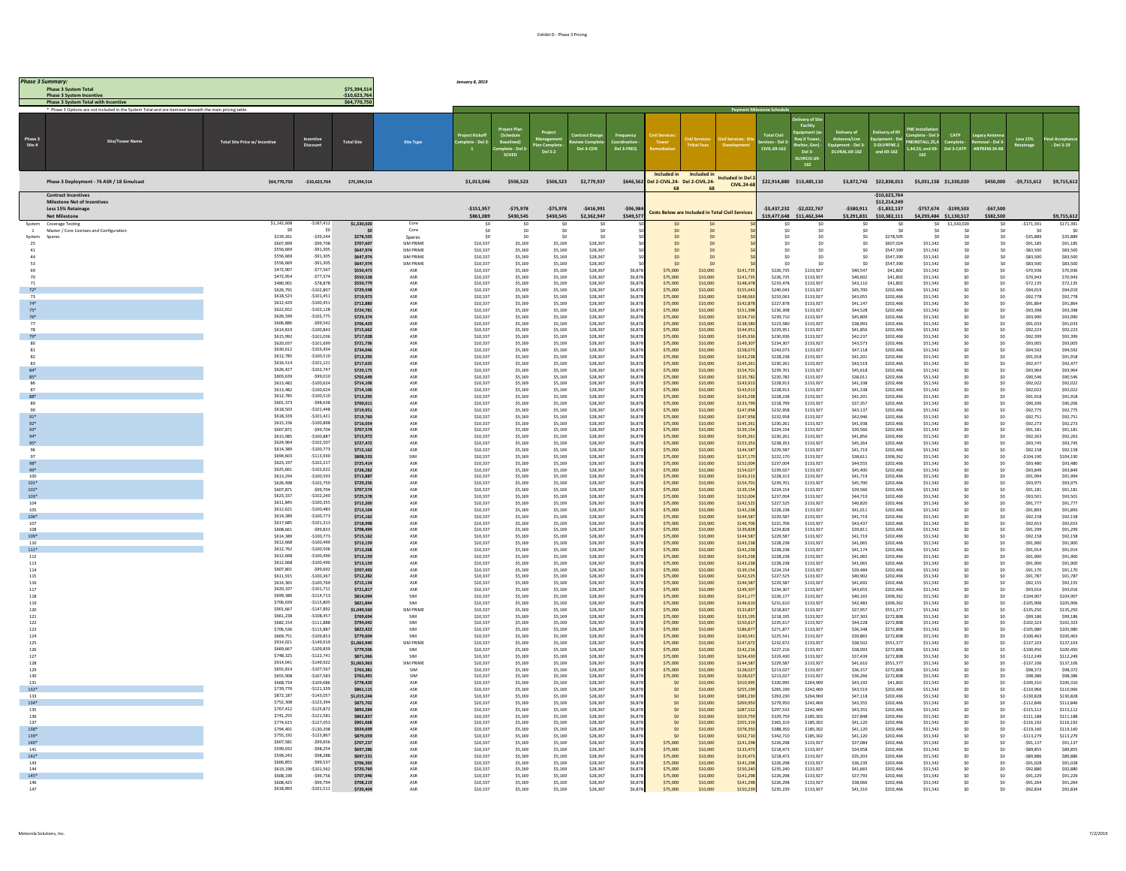| <b>Phase 3 Summary</b>   | <b>Phase 3 System Total</b>                                                                         |                                     |                             | \$75,394.51                    |                        | January 8, 2019          |                         |                         |                            |                       |                                                      |                      |                                                        |                        |                                                                         |                                   |                                                                 |                             |                                                    |                                   |                              |                          |
|--------------------------|-----------------------------------------------------------------------------------------------------|-------------------------------------|-----------------------------|--------------------------------|------------------------|--------------------------|-------------------------|-------------------------|----------------------------|-----------------------|------------------------------------------------------|----------------------|--------------------------------------------------------|------------------------|-------------------------------------------------------------------------|-----------------------------------|-----------------------------------------------------------------|-----------------------------|----------------------------------------------------|-----------------------------------|------------------------------|--------------------------|
|                          | <b>Phase 3 System Incentive</b><br><b>Phase 3 System Total with Incentive</b>                       |                                     |                             | $-$10,623,764$<br>\$64,770,750 |                        |                          |                         |                         |                            |                       |                                                      |                      |                                                        |                        |                                                                         |                                   |                                                                 |                             |                                                    |                                   |                              |                          |
|                          | is are not included in the System Total and are itemized bei                                        |                                     |                             |                                |                        |                          |                         |                         |                            |                       |                                                      |                      |                                                        |                        |                                                                         |                                   |                                                                 |                             |                                                    |                                   |                              |                          |
| Phase 3<br>Site #        |                                                                                                     | <b>Total Site Price w/ Incentiv</b> | Incentive<br>Discount       | <b>Total Site</b>              | <b>Site Type</b>       |                          | Base                    | Del 3-2                 | Del-3-CDR                  | Del 3-FREO            |                                                      |                      |                                                        | <b>TVIL 69-162</b>     | ivery of Sit<br>Req'd Tow<br>Shelter, Go<br>Del 3-<br>DI VRCIV.6<br>162 | nt - Del 3<br><b>UVRAL 69-162</b> | aupment - De<br>3-DLVRFNE.1<br>Sat-Pa bos                       | 411.25.4<br>1.44.53, and 69 |                                                    | L-Del:                            | Less 15%<br>Retainage        | $-Del$ 3-19              |
|                          | Phase 3 Deployment - 76 ASR / 18 Simulcas                                                           | \$64,770,750                        | $-$10,623,764$              | \$75,394,514                   |                        | \$1,013,046              | \$506,523               | \$506,523               | \$2,779,937                | \$646,56              | Included in<br>Del 2-CIVIL.24- Del 2-CIVIL.24-<br>68 | Included in<br>68    | <b>Included in Del</b><br>CIVIL.24-6                   |                        | \$22,914,880 \$13,485,110                                               |                                   | \$3,872,743 \$22,838,013                                        | \$5,051,158 \$1,330,020     |                                                    | \$450,000                         |                              | -\$9,715,612 \$9,715,612 |
|                          | <b>Contract Incentive</b><br>Milestone Net of Incenti<br>Less 15% Retainage<br><b>Net Milestone</b> |                                     |                             |                                |                        | $-$151,957$<br>\$861,089 | $-575,978$<br>\$430,545 | $-575,978$<br>\$430,545 | $-5416,991$<br>\$2,362,947 | $-596,98$<br>\$549,57 |                                                      |                      | <b>Costs Below are Included in Total Civil Service</b> |                        | -\$3,437,232 -\$2,022,767<br>\$19,477,648 \$11,462,344                  | $-5580,911$<br>\$3,291,831        | $-510.623.764$<br>\$12,214,249<br>$-51,832,137$<br>\$10,382,111 |                             | $-5757,674$ $-5199,503$<br>\$4,293,484 \$1,130,517 | $-567,500$<br>\$382,500           |                              | \$9,715,612              |
| System<br>$\overline{1}$ | Coverage Testing<br>Master / Core Licenses and Configuration                                        | \$1,142,608                         | $-5187,412$                 | \$1,330,020                    | Core<br>Core           | S <sub>0</sub>           | SC                      | S0                      | S <sub>0</sub><br>S0       |                       |                                                      |                      |                                                        | \$0                    |                                                                         | S0                                |                                                                 |                             | \$1,330,020                                        | S0                                | $-5171.391$<br>S0            | \$171.391                |
| System                   | Spare                                                                                               | \$239,261                           | $-$ \$39,244                | \$278,505                      | Spares                 |                          |                         |                         |                            |                       |                                                      |                      |                                                        |                        | \$0                                                                     |                                   | \$278,505                                                       |                             |                                                    |                                   | \$35,889                     | \$35,889                 |
| 25<br>41                 |                                                                                                     | \$607,899<br>\$556,669              | $-599.708$<br>$-591,305$    | \$707,607<br>\$647,974         | SIM PRIME<br>SIM PRIME | \$10,337<br>\$10,337     | \$5,169<br>\$5,169      | \$5,169<br>\$5,169      | \$28,367<br>\$28,367       |                       | 50<br>SO                                             |                      |                                                        | 50<br>S <sub>0</sub>   | Sn.<br>S <sub>0</sub>                                                   | 50<br>SO                          | S607.024<br>\$547,390                                           | \$51.542<br>\$51.542        |                                                    | so.<br>S0                         | $-591,185$<br>$-583.500$     | \$91.185<br>\$83,500     |
| 53                       |                                                                                                     | \$556,669<br>\$556,669              | $-591,305$<br>$-591,305$    | \$647,974<br>\$647,97          | SIM PRIME<br>SIM PRIME | \$10,337<br>\$10,337     | \$5,169<br>\$5,169      | \$5,169<br>\$5,169      | \$28,367<br>\$28,367       |                       |                                                      |                      |                                                        | S <sub>0</sub>         | S <sub>0</sub>                                                          | S0<br>so                          | \$547,390<br>\$547,390                                          | \$51,542<br>\$51,542        |                                                    | SO.<br>so                         | $-$ \$83,500<br>$-$ \$83,500 | \$83,500<br>\$83,500     |
| 70                       |                                                                                                     | S472.907<br>S472.954                | $-577.567$<br>$-577.574$    | \$550,473<br>\$550,528         | ASR<br>ASR             | \$10,337<br>\$10,337     | \$5,169<br>\$5,169      | \$5,169<br>\$5,169      | \$28,367<br>\$28,367       | \$6,87<br>\$6.87      | \$75,000<br>\$75,000                                 | \$10,000<br>\$10,000 | \$141.73<br>\$141.73                                   | \$226,735<br>\$226,735 | \$133,927<br>\$133.927                                                  | \$40,547<br>\$40,602              | \$41,802<br>\$41,802                                            | \$51.542<br>\$51.542        | -SO                                                | \$0<br>SO.                        | $-570.936$<br>$-570.943$     | \$70,936<br>\$70.943     |
|                          |                                                                                                     | \$480,901                           | $-578,878$                  | \$559,779                      | ASR                    | \$10,337                 | \$5,169                 | \$5,169                 | \$28,367                   | \$6,87                | \$75,000                                             | \$10,000             | \$148,47                                               | \$233,478              | \$133,927                                                               | \$43,110                          | \$41,802                                                        | \$51,542                    |                                                    |                                   | $-572,135$                   | \$72,135                 |
| $72*$<br>73              |                                                                                                     | \$626,791<br>\$618,523              | $-5102.807$<br>$-5101.451$  | \$729,59<br>\$719,973          | ASR<br>ASR             | \$10,337<br>\$10,337     | \$5,169<br>\$5,169      | \$5,169<br>\$5,169      | \$28,367<br>\$28,367       | \$6,87<br>\$6,87      | \$75,000<br>\$75,000                                 | \$10,000<br>\$10,000 | \$155,04<br>\$148.06                                   | \$240,043<br>\$233,063 | \$133,927<br>\$133,927                                                  | \$45,700<br>\$43,055              | \$202,466<br>\$202,466                                          | \$51,542<br>\$51.542        |                                                    | \$0                               | $-$ \$94,019<br>$-592,778$   | \$94,019<br>\$92,778     |
| $74*$<br>$75*$           |                                                                                                     | \$612,429<br>\$622,652              | $-$100,451$<br>$-5102, 128$ | \$712,880<br>\$724,781         | ASR<br>ASR             | \$10,337<br>\$10,337     | \$5,169<br>\$5,169      | \$5,169<br>\$5,169      | \$28,367<br>\$28,367       | \$6.87<br>\$6,87      | \$75,000<br>\$75,000                                 | \$10,000<br>\$10,000 | \$142,87<br>\$151,39                                   | \$227,878<br>\$236,398 | \$133,927<br>\$133,927                                                  | S41.147<br>\$44,528               | \$202,466<br>\$202,466                                          | \$51.542<br>\$51,542        | -SO<br>S <sub>0</sub>                              | SO <sub>1</sub><br>SO             | $-591.864$<br>$-593,398$     | \$91.864<br>\$93,398     |
|                          |                                                                                                     | \$626,599                           | $-5102.775$                 | \$729,37                       | ASR                    | \$10,337                 | \$5,169                 | \$5,169                 | \$28,367                   | \$6,87                | \$75,000                                             | \$10,000             | \$154,7                                                | \$239,710              | \$133,927                                                               | \$45,809                          | \$202,466                                                       | \$51,542                    |                                                    | \$0                               | $-593,990$                   | \$93,990                 |
| 78                       |                                                                                                     | \$606,886<br>\$614,819              | $-999542$<br>$-5100,843$    | \$706,429<br>\$715,662         | ASR<br>ASR             | \$10,337<br>\$10,337     | \$5,169<br>\$5,169      | \$5,169<br>\$5,169      | \$28,367<br>\$28,367       | \$6,87<br>\$6.87      | \$75,000<br>\$75,000                                 | \$10,000<br>\$10,000 | \$138,51<br>\$144.95                                   | \$223,580<br>\$229.951 | \$133,927<br>\$133,927                                                  | \$38,993<br>\$41,856              | \$202,466<br>\$202,466                                          | \$51,542<br>\$51.542        | -SO                                                | \$0<br>SO.                        | $-591,033$<br>$-592.223$     | \$91,033<br>\$92.223     |
| 79*                      |                                                                                                     | \$615,992<br>\$620.037              | $-$101,036$<br>$-5101.699$  | \$717,028<br>\$721,736         | ASR<br>ASR             | \$10,337<br>\$10,337     | \$5,169<br>\$5,169      | \$5,169<br>\$5,169      | \$28,367<br>\$28,367       | \$6,87<br>\$6,87      | \$75,000<br>\$75,000                                 | \$10,000<br>\$10,000 | \$145,93<br>\$149,30                                   | \$230,936<br>\$234,307 | \$133,927<br>\$133,927                                                  | \$42,237<br>\$43,573              | \$202,466<br>\$202,466                                          | \$51,542<br>\$51,542        | - Sn                                               | SO.                               | $-592,399$<br>$-593,005$     | \$92,399<br>\$93,005     |
| 82                       |                                                                                                     | \$630,612<br>\$612,785              | $-5103.434$<br>$-5100,510$  | \$734,046<br>\$713,295         | ASR<br>ASR             | \$10,337<br>\$10,337     | \$5,169<br>\$5,169      | \$5,169<br>\$5,169      | \$28,367<br>\$28,367       | \$6,87<br>\$6.87      | \$75,000<br>\$75,000                                 | \$10,000<br>\$10,000 | \$158.07<br>\$143.23                                   | \$243,073<br>\$228,238 | \$133,927<br>\$133,927                                                  | \$47,118<br>S41.201               | \$202,466<br>\$202,466                                          | \$51.542<br>\$51.542        |                                                    | $\infty$                          | $-$ \$94,592<br>$-591.918$   | \$94.592<br>\$91.918     |
| 83                       |                                                                                                     | \$616,514                           | $-$101,121$                 | \$717,635                      | ASR                    | \$10,337                 | \$5,169                 | \$5,169                 | \$28,367                   | \$6.87                | \$75,000                                             | \$10,000             | \$145.26                                               | \$230.261              | \$133,927                                                               | \$43.519                          | \$202,466                                                       | \$51.542                    | - Sn                                               | \$0<br>SO.                        | $-592.477$                   | \$92,477                 |
| $85*$                    |                                                                                                     | \$626,427<br>9803.639               | $-$102,747$<br>$-999.010$   | \$729,175<br>\$702,64          | ASR<br>ASR             | \$10,337<br>\$10,337     | \$5,169<br>\$5,169      | \$5,169<br>\$5,169      | \$28,367<br>\$28,367       | \$6,878<br>\$6,87     | \$75,000<br>\$75,000                                 | \$10,000<br>\$10,000 | \$154,70<br>\$135,78                                   | \$239,701<br>\$220,782 | \$133,927<br>\$133,927                                                  | \$45,618<br>\$38,011              | \$202,466<br>\$202,466                                          | \$51,542<br>\$51,542        |                                                    |                                   | $-593,964$<br>$-$ \$90,546   | \$93,964<br>\$90,546     |
| 86<br>87                 |                                                                                                     | \$613,482<br>\$613,482              | $-5100,624$<br>$-$100,624$  | \$714,106<br>\$714,106         | ASR<br>ASR             | \$10,337<br>\$10,337     | \$5,169<br>\$5,169      | \$5,169<br>\$5,169      | \$28,367<br>\$28,367       | \$6.87<br>\$6.87      | \$75,000<br>\$75,000                                 | \$10,000<br>\$10,000 | \$143.91<br>\$143.91                                   | \$228.913<br>\$228.913 | \$133.927<br>\$133,927                                                  | \$41,338<br>\$41,338              | \$202,466<br>\$202,466                                          | \$51.542<br>\$51.542        | S <sub>0</sub><br>-SO                              | SO<br>SO <sub>1</sub>             | $-592.022$<br>$-592.022$     | \$92.022<br>\$92.022     |
| $88*$                    |                                                                                                     | \$612,785                           | $-$100,510$<br>$-598.638$   | \$713,295                      | ASR                    | \$10,337                 | \$5,169                 | \$5,169                 | \$28,367                   | \$6,87                | \$75,000                                             | \$10,000             | \$143,23                                               | \$228,238              | \$133,927                                                               | \$41,201                          | \$202,466                                                       | \$51,542                    |                                                    |                                   | $-591,918$                   | \$91,918                 |
| 89<br>00 <sub>0</sub>    |                                                                                                     | \$601.373<br>\$618,503              | $-5101.448$                 | \$700,01<br>\$719.951          | ASR<br>ASR             | \$10,337<br>\$10,337     | \$5,169<br>\$5.169      | \$5,169<br>\$5.169      | \$28,367<br>\$28,367       | \$6,87<br>\$6.87      | \$75,000<br>\$75,000                                 | \$10,000<br>\$10,000 | \$133,79<br>\$147.95                                   | \$218,799<br>\$232,958 | \$133,927<br>\$133.927                                                  | \$37,357<br>\$43,137              | \$202,466<br>\$202,466                                          | \$51,542<br>\$51.542        |                                                    | S0                                | $-$ \$90,206<br>$-592775$    | \$90,206<br>\$92.775     |
| $91*$                    |                                                                                                     | \$618,339<br>\$615,156              | $-5101,421$<br>$-$100,898$  | \$719,760<br>\$716,054         | ASR<br>ASR             | \$10,337<br>\$10,337     | \$5,169<br>\$5,169      | \$5,169<br>\$5,169      | \$28,367<br>\$28,367       | \$6.87<br>\$6,87      | \$75,000<br>\$75,000                                 | \$10,000<br>\$10,000 | \$147.95<br>\$145,26                                   | \$232.958<br>\$230,261 | \$133.927<br>\$133,927                                                  | S42.946<br>\$41,938               | \$202,466<br>\$202,466                                          | \$51.542<br>\$51,542        | S <sub>0</sub>                                     | SO                                | $-592.751$<br>$-$ \$92,273   | \$92.751<br>\$92.273     |
| $93*$                    |                                                                                                     | \$607,871<br>\$615.085              | $-$ S99.704<br>$-5100.887$  | \$707,574<br>\$715.972         | ASR<br>ASR             | \$10,337<br>\$10,337     | \$5,169<br>\$5.169      | \$5,169<br>651.72       | \$28,367<br>\$28,367       | \$6,87<br>\$6.87      | \$75,000<br>\$75,000                                 | \$10,000<br>\$10,000 | \$139,15<br>\$145.26                                   | \$224,154<br>\$230.261 | \$133,927<br>\$133.927                                                  | \$39,566<br>\$41,856              | \$202,466<br>\$202,466                                          | \$51,542<br>\$51.542        | -SO                                                | SO <sub>1</sub>                   | $-591,181$<br>$-592263$      | \$91,181<br>\$92.263     |
|                          |                                                                                                     | \$624,964                           | $-5102,507$                 | \$727,472                      | ASR                    | \$10,337                 | \$5,169                 | \$5,169                 | \$28,367                   | \$6,87                | \$75,000                                             | \$10,000             | \$153,35                                               | \$238,353              | \$133,927                                                               | \$45,264                          | \$202,466                                                       | \$51,542                    |                                                    |                                   | $-593,745$                   | \$93,745                 |
|                          |                                                                                                     | \$614,389<br>\$694,603              | $-$100,77$<br>$-5113930$    | \$715,162<br>\$808,533         | ASR<br>SIM             | \$10,337<br>\$10,337     | \$5,169<br>\$5,169      | \$5,169<br>\$5,169      | \$28,367<br>\$28,367       | \$6,87<br>\$6,87      | \$75,000<br>\$75,000                                 | \$10,000<br>\$10,000 | \$144,58<br>\$137,1                                    | \$229,587<br>\$222,170 | \$133,927<br>\$133,927                                                  | \$41,719<br>\$38,611              | \$202,466<br>\$306,362                                          | \$51,542<br>\$51,542        |                                                    | \$0                               | $-592,158$<br>$-$104,190$    | \$92.158<br>\$104,190    |
| $98*$<br>$99*$           |                                                                                                     | S623.197<br>\$625,661               | $-5102.217$<br>$-5102.622$  | \$725,414<br>\$728,282         | ASR<br>ASR             | \$10,337<br>\$10,337     | \$5,169<br>\$5,169      | \$5,169<br>\$5,169      | \$28,367<br>\$28,367       | \$6,87<br>\$6,87      | \$75,000<br>\$75,000                                 | \$10,000<br>\$10,000 | \$152.00<br>\$154,02                                   | \$237,004<br>\$239,027 | \$133.927<br>\$133,927                                                  | \$44,555<br>\$45,400              | \$202,466<br>\$202,466                                          | \$51.542<br>\$51,542        | - Sn                                               | SO <sub>1</sub><br>SO.            | $-593.480$<br>$-593,849$     | \$93,480<br>\$93,849     |
| 100                      |                                                                                                     | \$613,294<br>\$626,498              | $-$100,593$<br>$-5102.759$  | \$713,887                      | ASR                    | \$10,337                 | \$5,169                 | \$5,169                 | \$28,367                   | \$6,87                | \$75,000                                             | \$10,000             | \$143,31                                               | \$228,313              | \$133,927                                                               | \$41,719                          | \$202,466                                                       | \$51,542                    |                                                    |                                   | $-591,994$                   | \$91,994                 |
| $101*$<br>102"           |                                                                                                     | \$607.871                           | $-599.704$                  | \$729,256<br>\$707,574         | ASR<br>ASR             | \$10,337<br>\$10,337     | \$5,169<br>\$5,169      | \$5,169<br>\$5,169      | \$28,367<br>\$28,367       | \$6,87<br>\$6,87      | \$75,000<br>\$75,000                                 | \$10,000<br>\$10,000 | \$154,7<br>\$139.19                                    | \$239,701<br>\$224,154 | \$133,927<br>\$133.927                                                  | \$45,700<br>\$39,566              | \$202,466<br>\$202,466                                          | \$51,542<br>\$51.542        |                                                    | SO <sub>1</sub>                   | -\$93,975<br>$-591,181$      | \$93,975<br>\$91.181     |
| $103*$<br>104            |                                                                                                     | \$623,337<br>\$611,845              | $-$102,240$<br>$-$100,355$  | \$725,578<br>\$712,200         | ASR<br>ASR             | \$10,337<br>\$10,337     | \$5,169<br>\$5,169      | \$5,169<br>\$5,169      | \$28,367<br>\$28,367       | \$6.87<br>\$6,87      | \$75,000<br>\$75,000                                 | \$10,000<br>\$10,000 | \$152.00<br>\$142,52                                   | \$237.004<br>\$227,525 | \$133,927<br>\$133,927                                                  | \$44,719<br>\$40,820              | \$202,466<br>\$202,466                                          | \$51.542<br>\$51,542        | -SO                                                | S <sub>0</sub>                    | $-593.501$<br>$-591,777$     | \$93,501<br>\$91,777     |
| 105<br>$106*$            |                                                                                                     | \$612.621<br>\$614,389              | $-5100.483$<br>$-5100.773$  | \$713,104                      | ASR<br>ASR             | \$10,337<br>\$10,337     | \$5,169                 | \$5,169<br>\$5,169      | \$28,367<br>\$28,367       | \$6,87                | \$75,000<br>\$75,000                                 | \$10,000<br>\$10,000 | \$143,2<br>\$144,58                                    | \$228,238<br>\$229,587 | \$133,927<br>\$133,927                                                  | \$41,011                          | \$202,466<br>\$202,466                                          | \$51,542<br>\$51,542        |                                                    | \$0<br>\$0                        | $-591,893$<br>$-592,158$     | \$91,893<br>\$92,158     |
| 107                      |                                                                                                     | \$617,685                           | $-$101,313$                 | \$715,162<br>\$718,998         | ASR                    | \$10,337                 | \$5,169<br>\$5,169      | \$5,169                 | \$28,367                   | \$6,87<br>\$6.87      | \$75,000                                             | \$10,000             | \$146.70                                               | \$231,706              | \$133.927                                                               | \$41,719<br>\$43,437              | \$202,466                                                       | \$51.542                    | -SO                                                | SO <sub>1</sub>                   | $-592.653$                   | \$92,653                 |
| 108<br>109*              |                                                                                                     | \$608,661<br>\$614,389              | $-599,833$<br>$-5100.773$   | \$708,494<br>\$715,162         | ASR<br>ASR             | \$10,337<br>\$10,337     | \$5,169<br>\$5,169      | \$5,169<br>\$5,169      | \$28,367<br>\$28,367       | \$6,87<br>\$6,87      | \$75,000<br>\$75,000                                 | \$10,000<br>\$10,000 | \$139,82<br>\$144,51                                   | \$224,828<br>\$229,587 | \$133,927<br>\$133,927                                                  | \$39,811<br>\$41,719              | \$202,466<br>\$202,466                                          | \$51,542<br>\$51,542        |                                                    | S <sub>0</sub>                    | $-591,299$<br>\$92,158       | \$91,299<br>\$92,158     |
| 110<br>$111*$            |                                                                                                     | \$612,668<br>\$612,762              | $-5100.490$<br>$-$100,506$  | \$713,159<br>\$713,268         | ASR<br>ASR             | \$10,337<br>\$10,337     | \$5,169<br>\$5,169      | \$5,169<br>\$5,169      | \$28,367<br>\$28,367       | \$6,87<br>\$6.87      | \$75,000<br>\$75,000                                 | \$10,000<br>\$10,000 | \$143,23<br>\$143.23                                   | \$228,238<br>\$228,238 | \$133,927<br>\$133,927                                                  | \$41,065<br>S41.174               | \$202,466<br>\$202,466                                          | \$51,542<br>\$51.542        |                                                    | SO <sub>1</sub><br>SO             | $-591,900$<br>$-591.914$     | \$91,900<br>\$91.914     |
| 112                      |                                                                                                     | \$612,668<br>\$612,668              | $-5100.490$<br>$-$100,490$  | \$713,159                      | ASR                    | \$10,337                 | \$5,169                 | \$5,169                 | \$28,367                   | \$6.87                | \$75,000                                             | \$10,000             | \$143.23                                               | \$228,238              | \$133,927                                                               | \$41,065                          | \$202,466                                                       | \$51.542                    | - Sn                                               | SO.                               | $-591.900$                   | \$91,900                 |
| 113<br>114               |                                                                                                     | \$607,801                           | $-999692$                   | \$713,159<br>\$707,493         | ASR<br>ASR             | \$10,337<br>\$10,337     | \$5,169<br>\$5,169      | \$5,169<br>\$5,169      | \$28,367<br>\$28,367       | \$6,87<br>\$6,87      | \$75,000<br>\$75,000                                 | \$10,000<br>\$10,000 | \$143,23<br>\$139,15                                   | \$228,238<br>\$224,154 | \$133,927<br>\$133,927                                                  | \$41,065<br>\$39,484              | \$202,466<br>\$202,466                                          | \$51,542<br>\$51,542        |                                                    | \$0                               | $-591,900$<br>$-591, 170$    | \$91,900<br>\$91,170     |
| 115<br>116               |                                                                                                     | \$611,915<br>\$614,365              | $-$100,367$<br>$-$100,769$  | \$712,282<br>\$715,134         | ASR<br>ASR             | \$10,337<br>\$10,337     | \$5,169<br>\$5,169      | \$5,169<br>\$5,169      | \$28,367<br>\$28,367       | \$6.87<br>\$6.87      | \$75,000<br>\$75,000                                 | \$10,000<br>\$10,000 | \$142.52<br>\$144.58                                   | \$227.525<br>\$229,587 | \$133.927<br>\$133,927                                                  | \$40,902<br>\$41.692              | \$202,466<br>\$202,466                                          | \$51.542<br>\$51.542        | S <sub>0</sub><br>-SO                              | SO<br>SO <sub>1</sub>             | $-591.787$<br>$-592.155$     | \$91.787<br>\$92.155     |
| 117<br>118               |                                                                                                     | \$620,107<br>\$699.380              | $-$101,711$<br>$-5114.713$  | \$721,817<br>\$814,094         | ASP<br>SIM             | \$10,337<br>\$10,337     | \$5,169<br>\$5,169      | \$5,169<br>\$5,169      | \$28,367<br>\$28,367       | \$6,878<br>\$6.87     | \$75,000<br>\$75,000                                 | \$10,000<br>\$10,000 | \$149,30<br>\$141.17                                   | \$234,307<br>S226.177  | \$133,927<br>\$133.927                                                  | \$43,655<br>S40.165               | \$202,466<br>\$306,362                                          | \$51,542<br>\$51.542        | -SO                                                | so                                | $-593,010$<br>$-5104.907$    | \$93,016<br>\$104,907    |
| 119                      |                                                                                                     | \$706.039                           | $-5115.805$                 | \$821,844                      | SIM                    | \$10,337                 | \$5.169                 | \$5.169                 | \$28,367                   | \$6.87                | \$75,000                                             | \$10,000             | \$146.61                                               | \$231,610              | \$133,927                                                               | \$42,483                          | \$306,362                                                       | \$51,542                    | -SO                                                | SO <sub>1</sub>                   | $-5105.906$                  | \$105,906                |
| 120<br>121               |                                                                                                     | \$901,667<br>\$661,238              | $-$147,892$<br>$-$108,457$  | \$1,049,560<br>\$769,69        | SIM PRIME<br>SIM       | \$10,337<br>\$10,337     | \$5,169<br>\$5,169      | \$5,169<br>\$5,169      | \$28,367<br>\$28,367       | \$6,87<br>\$6,87      | \$75,000<br>\$75,000                                 | \$10,000<br>\$10,000 | \$133,83<br>\$133,19                                   | \$218,837<br>\$218,195 | \$133,927<br>\$133,927                                                  | \$37,957<br>\$37,303              | \$551,377<br>\$272,808                                          | \$51,542<br>\$51,542        |                                                    |                                   | $-$135,250$<br>$-599,180$    | \$135,250<br>\$99,186    |
| 122<br>123               |                                                                                                     | \$682.154<br>\$706.536              | $-5111.888$<br>$-5115.887$  | \$794,042<br>\$822.422         | SIM<br>SIM             | \$10,337<br>\$10,337     | \$5,169<br>\$5.169      | \$5,169<br>\$5.169      | \$28,367<br>\$28,367       | \$6,87<br>\$6.87      | \$75,000<br>\$75,000                                 | \$10,000<br>\$10,000 | \$150.61<br>\$186.87                                   | \$235,617<br>\$271,877 | \$133,927<br>\$133.927                                                  | \$44,228<br>\$36,348              | \$272,808<br>\$272,808                                          | \$51.542<br>\$51.542        | -SO                                                | S0<br>SO <sub>1</sub>             | $-5102.323$<br>$-5105.980$   | \$102.323<br>\$105,980   |
| 124                      |                                                                                                     | \$669,751<br>\$914,021              | $-5109,853$<br>$-$149,919$  | \$779,604                      | SIM                    | \$10,337                 | \$5,169                 | \$5,169                 | \$28,367                   | \$6,878               | \$75,000                                             | \$10,000             | \$140,54<br>\$147.67                                   | \$225,541              | \$133,927                                                               | \$39,865<br>\$38,502              | \$272,808                                                       | \$51,542                    |                                                    |                                   | $-$100,463$                  | \$100,463<br>\$137.103   |
| 125<br>126               |                                                                                                     | \$669,667                           | $-5109.839$                 | \$1,063,940<br>\$779,506       | SIM PRIME<br>SIM       | \$10,337<br>\$10,337     | \$5,169<br>\$5,169      | \$5,169<br>\$5,169      | \$28,367<br>\$28,367       | \$6,87<br>\$6,87      | \$75,000<br>\$75,000                                 | \$10,000<br>\$10,000 | \$142,21                                               | \$232,672<br>\$227,216 | \$133,927<br>\$133,927                                                  | \$38,093                          | \$551,377<br>\$272,808                                          | \$51.542<br>\$51,542        |                                                    |                                   | $-5137.103$<br>$-$100,450$   | \$100,450                |
| 127<br>128               |                                                                                                     | \$748,325<br>\$914,041              | $-5122.741$<br>$-$149,922$  | \$871,066<br>\$1,063,963       | SIM<br>SIM PRIME       | \$10,337<br>\$10,337     | \$5,169<br>\$5,169      | \$5.169<br>\$5,169      | \$28,367<br>\$28,367       | \$6.87<br>\$6,87      | \$75,000<br>\$75,000                                 | \$10,000<br>\$10,000 | \$234.43<br>\$144,58                                   | \$319,430<br>\$229,587 | \$133.927<br>\$133,927                                                  | \$37,439<br>\$41,610              | \$272,808<br>\$551,377                                          | \$51.542<br>\$51,542        |                                                    | SO <sub>1</sub><br>S <sub>0</sub> | $-5112249$<br>$-$137,106$    | \$112,249<br>\$137,106   |
| 129<br>130               |                                                                                                     | \$655,814<br>\$655,908              | $-$107,567$<br>$-5107583$   | \$763,381<br>\$763,491         | SIM<br>SIM             | \$10,337<br>\$10,337     | \$5,169<br>\$5,169      | \$5,169<br>\$5,169      | \$28,367<br>\$28,367       | \$6,87<br>\$6,87      | \$75,000<br>\$75,000                                 | \$10,000<br>\$10,000 | \$128,0<br>\$128,02                                    | \$213,027<br>\$213,027 | \$133,927<br>\$133,927                                                  | \$36,157<br>\$36,266              | \$272,808<br>\$272,808                                          | \$51,542<br>\$51,542        |                                                    |                                   | $-598,372$<br>$-598,380$     | \$98,372<br>\$98,386     |
| 131                      |                                                                                                     | \$668,734                           | $-5109.686$                 | \$778,420                      | ASR                    | \$10,337                 | \$5,169                 | \$5,169                 | \$28,367                   | \$6.87                | 50                                                   | \$10,000             | \$310.99                                               | \$320,995              | \$264,969                                                               | S43.192                           | \$41,802                                                        | \$51.542                    |                                                    | SO <sub>1</sub>                   | $-5100.310$                  | \$100,310                |
| $132*$<br>133            |                                                                                                     | \$739,776<br>\$872,187              | $-$121,339$<br>$-$143,05$   | \$861,115<br>\$1,015,244       | ASR<br>ASR             | \$10,337<br>\$10,337     | \$5.169<br>\$5,169      | \$5,169<br>\$5,169      | \$28,367<br>\$28,367       | \$6.87<br>\$6,87      | 50<br>\$0                                            | \$10,000<br>\$10,000 | \$255.19<br>\$383,23                                   | \$265.199<br>\$393,230 | \$242,469<br>\$264,969                                                  | \$43,519<br>\$47,118              | \$202,466<br>\$202,466                                          | \$51.542<br>\$51,542        |                                                    |                                   | $-5110.966$<br>$-$130,828$   | \$110,966<br>\$130,828   |
| $134*$<br>135            |                                                                                                     | \$752,308<br>\$767,412              | $-5123394$<br>$-5125.872$   | \$875,702<br>\$893,284         | ASR<br>ASR             | \$10,337<br>\$10,337     | \$5,169<br>\$5,169      | \$5,169<br>\$5,169      | \$28,367<br>\$28,367       | \$6,87<br>\$6,87      | SO <sub>2</sub><br>SO                                | \$10,000<br>\$10,000 | \$269,9<br>\$287.53                                    | \$279,950<br>\$297.532 | \$242,469<br>\$242,469                                                  | \$43,355<br>\$43,355              | \$202,466<br>\$202,466                                          | \$51,542<br>\$51.542        |                                                    |                                   | $-5112,840$<br>$-$115,112$   | \$112,846<br>\$115,112   |
| 136                      |                                                                                                     | \$741,255                           | $-5121,581$<br>$-$127,053$  | \$862,837                      | ASR                    | \$10,337                 | \$5,169                 | \$5,169                 | \$28,367                   | \$6.87                | 50                                                   | \$10,000             | \$319.75                                               | \$329,759              | \$185,302                                                               | \$37,848                          | \$202,466                                                       | \$51.542                    |                                                    |                                   | $-5111.188$                  | \$111.188                |
| 137<br>138*              |                                                                                                     | \$774,615<br>\$794,401              | $-5130.298$                 | \$901,668<br>\$924,69          | ASR<br>ASR             | \$10,337<br>\$10,337     | \$5,169<br>\$5,169      | \$5,169<br>\$5,169      | \$28,367<br>\$28,367       | \$6,87<br>\$6,87      |                                                      | \$10,000<br>\$10,000 | \$355,31<br>\$378,35                                   | \$365,319<br>\$388,350 | \$185,302<br>\$185,302                                                  | \$41,120<br>\$41,120              | \$202,466<br>\$202,466                                          | \$51,542<br>\$51,542        |                                                    |                                   | $-5116, 192$<br>$-$119,160$  | \$116,192<br>\$119,160   |
| $139*$<br>$140*$         |                                                                                                     | \$755.192<br>\$607,581              | $-5123.867$<br>$-599,656$   | \$879,059<br>\$707,237         | ASR<br>ASR             | \$10,337<br>\$10,337     | \$5,169<br>\$5,169      | \$5,169<br>\$5,169      | \$28,367<br>\$28,367       | \$6,87<br>\$6.87      | \$75,000                                             | \$10,000<br>\$10,000 | \$332,71<br>\$141.29                                   | \$342,710<br>\$226,298 | \$185,302<br>\$133,927                                                  | \$41,120<br>\$37.084              | \$202,466<br>\$202,466                                          | \$51,542<br>\$51.542        |                                                    |                                   | $-$113,279$<br>$-591.137$    | \$113,279<br>\$91.137    |
| 141<br>142"              |                                                                                                     | \$599,032<br>\$599,243              | $-598.254$<br>$-598,288$    | \$697,286<br>\$697,53          | ASR<br>ASP             | \$10,337<br>\$10,337     | \$5,169<br>\$5,169      | \$5,169<br>\$5,169      | \$28,367<br>\$28,367       | \$6,87                | \$75,000<br>\$75,000                                 | \$10,000<br>\$10,000 | \$133,47<br>\$133,47                                   | \$218,473<br>\$218,473 | \$133,927<br>\$133,927                                                  | \$34,958<br>\$35,203              | \$202,466<br>\$202,466                                          | \$51,542<br>\$51,542        |                                                    |                                   | $-589,855$                   | \$89,855<br>\$89,886     |
| 143                      |                                                                                                     | \$606,855                           | $-699537$                   | \$706.392                      | ASR                    | \$10,337                 | \$5,169                 | \$5.169                 | \$28,367                   | \$6,878<br>\$6.87     | \$75,000                                             | \$10,000             | \$141.29                                               | \$226,298              | \$133.927                                                               | \$36,239                          | \$202,466                                                       | \$51.542                    |                                                    | SO <sub>1</sub>                   | $-$ \$89,886<br>$-591.028$   | \$91,028                 |
| 144<br>$145*$            |                                                                                                     | \$619,198<br>\$608,190              | $-5101,562$<br>$-599,756$   | \$720,760<br>\$707,946         | ASR<br>ASR             | \$10,337<br>\$10,337     | \$5,169<br>\$5,169      | \$5,169<br>\$5,169      | \$28,367<br>\$28,367       | \$6.87<br>\$6,878     | \$75,000<br>\$75,000                                 | \$10,000<br>\$10,000 | \$150,24<br>\$141,29                                   | \$235.240<br>\$226,298 | \$133.927<br>\$133,927                                                  | \$41,665<br>\$37,793              | \$202,466<br>\$202,466                                          | \$51.542<br>\$51,542        | S <sub>0</sub>                                     | \$0                               | $-592.880$<br>$-591,229$     | \$92,880<br>\$91.229     |
| 146<br>147               |                                                                                                     | \$608,425<br>\$618,893              | $-599.794$<br>$-5101.511$   | \$708,219<br>\$720,404         | ASR<br>ASR             | \$10,337<br>\$10,337     | \$5,169<br>\$5,169      | \$5,169<br>\$5,169      | \$28,367<br>\$28,367       | \$6,878<br>\$6,878    | \$75,000<br>\$75,000                                 | \$10,000<br>\$10,000 | \$141,29<br>\$150,23                                   | \$226,298<br>\$235.239 | \$133,927<br>\$133,927                                                  | \$38,066<br>\$41,310              | \$202,466<br>\$202,466                                          | \$51,542<br>\$51.542        |                                                    | Sn.                               | $-591,264$<br>$-592.834$     | \$91,264<br>\$92.834     |
|                          |                                                                                                     |                                     |                             |                                |                        |                          |                         |                         |                            |                       |                                                      |                      |                                                        |                        |                                                                         |                                   |                                                                 |                             |                                                    |                                   |                              |                          |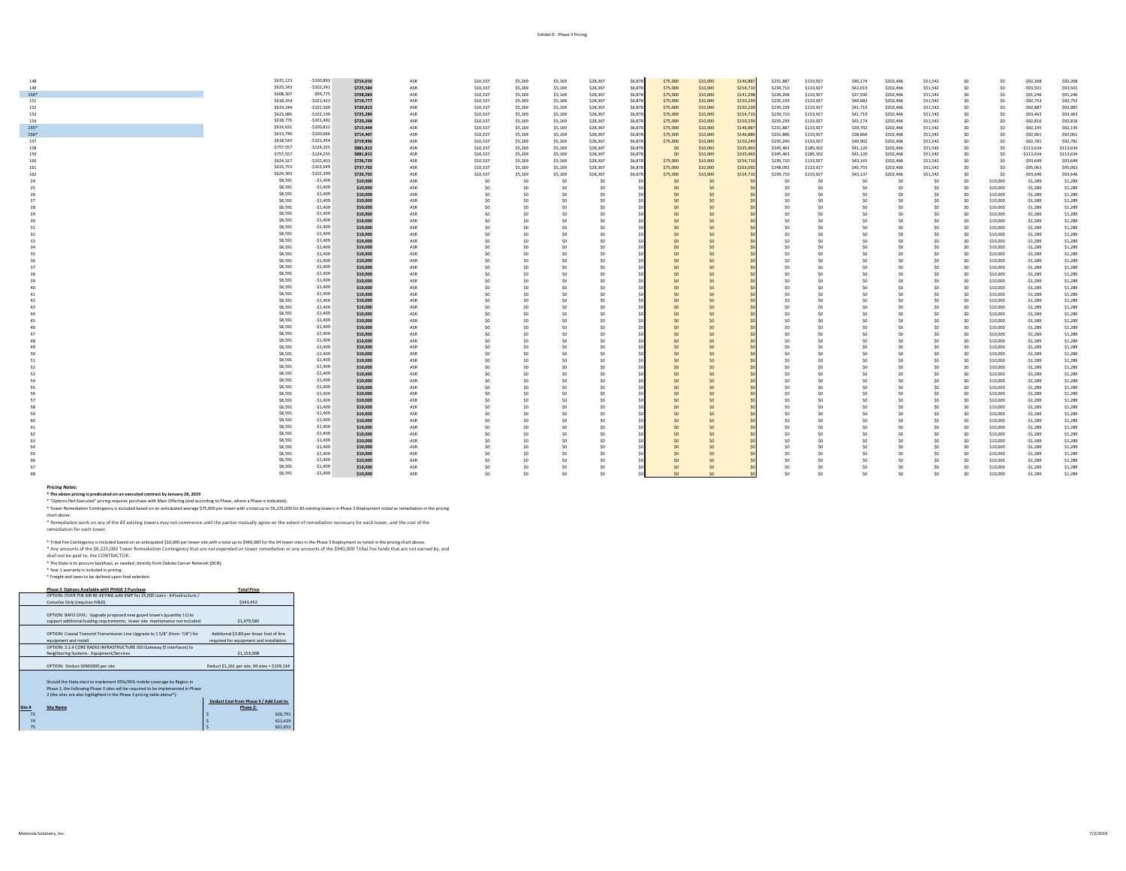| 148  | \$615,123 | $-$100,893$  | \$716,016 | ASR | \$10,337        | \$5,169        | \$5,169        | \$28,367 | \$6,878 | \$75,000 | \$10,000       | \$146,887 | \$231,887      | \$133,927      | \$40,274       | \$202,466       | \$51,542       | SO             | S <sub>0</sub> | $-592,268$   | \$92,268  |
|------|-----------|--------------|-----------|-----|-----------------|----------------|----------------|----------|---------|----------|----------------|-----------|----------------|----------------|----------------|-----------------|----------------|----------------|----------------|--------------|-----------|
| 149  | \$623,343 | $-$102,241$  | \$725,584 | ASR | \$10,337        | \$5,169        | \$5,169        | \$28,367 | \$6,878 | \$75,000 | \$10,000       | \$154,710 | \$239,710      | \$133,927      | \$42,019       | \$202,466       | \$51,542       | SO             | SO             | $-593,501$   | \$93,501  |
| 150* | \$608,307 | $-$ \$99,775 | \$708,083 | ASR | \$10,337        | \$5,169        | \$5,169        | \$28,367 | \$6,878 | \$75,000 | \$10,000       | \$141,298 | \$226,298      | \$133,927      | \$37,930       | \$202,466       | \$51,542       | S0             | SO             | $-591,246$   | \$91,246  |
| 151  | \$618,354 | $-$101,423$  | \$719,777 | ASR | \$10,337        | \$5,169        | \$5,169        | \$28,367 | \$6,878 | \$75,000 | \$10,000       | \$150,239 | \$235,239      | \$133,927      | \$40,683       | \$202,466       | \$51,542       | SO.            | SO.            | $-592,753$   | \$92,753  |
| 152  | \$619,244 | $-$101,569$  | \$720,813 | ASR | \$10,337        | \$5,169        | \$5,169        | \$28,367 | \$6,878 | \$75,000 | \$10,000       | \$150,239 | \$235,239      | \$133,927      | \$41,719       | \$202,466       | \$51,542       | S0             | SO             | $-592,887$   | \$92,887  |
|      |           |              |           |     |                 |                |                |          |         |          |                |           |                |                |                |                 |                |                |                |              |           |
| 153  | \$623,085 | $-$102,199$  | \$725,284 | ASR | \$10,337        | \$5,169        | \$5,169        | \$28,367 | \$6,878 | \$75,000 | \$10,000       | \$154,710 | \$239,710      | \$133,927      | \$41,719       | \$202,466       | \$51,542       | S <sub>0</sub> | SO             | $-593,463$   | \$93,463  |
| 154  | \$618,776 | $-5101,492$  | \$720,268 | ASR | \$10,337        | \$5,169        | \$5,169        | \$28,367 | \$6,878 | \$75,000 | \$10,000       | \$150,239 | \$235,239      | \$133,927      | \$41,174       | \$202,466       | \$51,542       | S0             | SO             | $-592,816$   | \$92,816  |
| 155* | \$614,631 | $-$100,812$  | \$715,444 | ASR | \$10,337        | \$5,169        | \$5,169        | \$28,367 | \$6,878 | \$75,000 | \$10,000       | \$146,887 | \$231,887      | \$133,927      | \$39,702       | \$202,466       | \$51,542       | S0             | SO             | $-$ \$92,195 | \$92,195  |
| 156* | \$613,740 | $-$100,666$  | \$714,407 | ASR | \$10,337        | \$5,169        | \$5,169        | \$28,367 | \$6,878 | \$75,000 | \$10,000       | \$146,886 | \$231,886      | \$133,927      | \$38,666       | \$202,466       | \$51,542       | \$0            | SO             | $-592,061$   | \$92,061  |
| 157  | \$618,543 | $-$101,454$  | \$719,996 | ASR | \$10,337        | \$5,169        | \$5,169        | \$28,367 | \$6,878 | \$75,000 | \$10,000       | \$150,240 | \$235,240      | \$133,927      | \$40,902       | \$202,466       | \$51,542       | S <sub>0</sub> | SO             | $-592,781$   | \$92,781  |
| 158  | \$757,557 | $-$124,255$  | \$881,812 | ASR | \$10,337        | \$5,169        | \$5,169        | \$28,367 | \$6,878 | \$0      | \$10,000       | \$335,463 | \$345,463      | \$185,302      | \$41,120       | \$202,466       | \$51,542       | S <sub>0</sub> | SO             | $-5113,634$  | \$113,634 |
| 159  | \$757,557 | $-$124,255$  | \$881,812 | ASR | \$10,337        | \$5,169        | \$5,169        | \$28,367 | \$6,878 | \$0      | \$10,000       | \$335,463 | \$345,463      | \$185,302      | \$41,120       | \$202,466       | \$51,542       | \$0            | \$0            | $-5113,634$  | \$113,634 |
| 160  | \$624,327 | $-$102,403$  | \$726,729 | ASR | \$10,337        | \$5,169        | \$5,169        | \$28,367 | \$6,878 | \$75,000 | \$10,000       | \$154,710 | \$239,710      | \$133,927      | \$43,165       | \$202,466       | \$51,542       | \$0            | \$0            | $-593,649$   | \$93,649  |
| 161  | \$633,753 | $-$103,949$  | \$737,702 | ASR | \$10,337        | \$5,169        | \$5,169        | \$28,367 | \$6,878 | \$75,000 | \$10,000       | \$163,092 | \$248,092      | \$133,927      | \$45,755       | \$202,466       | \$51,542       | \$0            | \$0            | $-595,063$   | \$95,063  |
| 162  | \$624,303 | $-$102,399$  | \$726,702 | ASR | \$10,337        | \$5,169        | \$5,169        | \$28,367 | \$6,878 | \$75,000 | \$10,000       | \$154,710 | \$239,710      | \$133,927      | \$43,137       | \$202,466       | \$51,542       | SO             | SO             | $-593,646$   | \$93,646  |
| 2d   | \$8,591   | $-51,409$    | \$10,000  | ASR | SO              | S <sub>0</sub> | \$0            | \$0      |         | SO       | \$0            |           | S <sub>0</sub> | \$0            | \$0            | SC              | \$0            | \$0            | \$10,000       | $-51,289$    | \$1,289   |
|      | \$8,591   | $-51,409$    | \$10,000  | ASR | SO              | S <sub>0</sub> | \$0            | \$0      |         | SO       | \$0            |           | S <sub>0</sub> | \$0            | S <sub>0</sub> | \$0             | S <sub>0</sub> | S <sub>0</sub> | \$10,000       | $-51,289$    | \$1,289   |
|      | \$8,591   | $-51,409$    | \$10,000  | ASR | S <sub>0</sub>  | S <sub>0</sub> | SO             | \$0      |         | \$0      | SO             |           | S <sub>0</sub> | SO             | S <sub>0</sub> | S0              | \$0            | SO             | \$10,000       | $-51,289$    | \$1,289   |
|      | \$8,591   | $-51,409$    | \$10,000  | ASR | SO              | S <sub>0</sub> | \$0            | \$0      |         | \$0      | SO             |           | S <sub>0</sub> | \$0            | S0             | SO              | S <sub>0</sub> | SO             | \$10,000       | $-51,289$    | \$1,289   |
|      | \$8,591   | $-$1,409$    | \$10,000  | ASR | S <sub>0</sub>  |                | S <sub>0</sub> | \$0      |         | \$0      | SO             |           | S <sub>0</sub> | SO             | S <sub>0</sub> | \$0             | \$0            | SO.            | \$10,000       | $-51,289$    | \$1,289   |
|      | \$8,591   | $-$1,409$    | \$10,000  | ASR | S <sub>0</sub>  | S0             | \$0            | SO       |         | \$0      | SO             |           | S <sub>0</sub> | S <sub>0</sub> | S <sub>0</sub> | S <sub>0</sub>  | S <sub>0</sub> | SO             | \$10,000       | $-51,289$    | \$1,289   |
|      | \$8,591   | $-$1,409$    | \$10,000  | ASR | S <sub>0</sub>  | S0             | SO.            | S0       |         | \$0      | SO             |           | SO             | SO             | S <sub>0</sub> | SO              | \$0            | SO             | \$10,000       | $-51,289$    | \$1,289   |
|      | \$8,591   | $-$1,409$    | \$10,000  | ASR | S <sub>0</sub>  | S0             | SO.            | \$0      |         | SO       | SO             |           | \$0            | \$0            | \$0            | SO              | \$0            | \$0            | \$10,000       | $-$1,289$    | \$1,289   |
| 32   | \$8,591   | $-$1,409$    | \$10,000  | ASR | 50              | S.             | SO.            | \$0      |         | SO       | S <sub>0</sub> |           | SO             | SO             | S0             | SO <sub>1</sub> | \$0            | SO             | \$10,000       | $-51,289$    | \$1,289   |
|      | \$8,591   | $-$1,409$    |           |     |                 |                |                |          |         |          |                |           |                |                |                |                 |                |                |                |              |           |
|      | \$8,591   |              | \$10,000  | ASR | S <sub>0</sub>  | S <sub>0</sub> | SO.            | S0       |         | \$0      | SO             |           | SO             | \$0            | S <sub>0</sub> | S <sub>0</sub>  | \$0            | SO             | \$10,000       | $-51,289$    | \$1,289   |
|      |           | $-51,409$    | \$10,000  | ASR | 50              | SO.            | SO.            | SO       |         | \$0      | SO             |           | S <sub>0</sub> | SO             | S <sub>0</sub> | S <sub>0</sub>  | \$0            | S <sub>0</sub> | \$10,000       | $-51,289$    | \$1,289   |
|      | \$8,591   | $-51,409$    | \$10,000  | ASR | S0              | S <sub>0</sub> | SO.            | \$0      |         | \$0      | \$0            |           | \$0            | \$0            | \$0            | \$0             | \$0            | \$0            | \$10,000       | $-51,289$    | \$1,289   |
|      | \$8,591   | $-51,409$    | \$10,000  | ASR | 50              | SO.            | SO             | \$0      |         | SO       | S <sub>0</sub> |           | S <sub>0</sub> | se.            | S0             | SO              | SO             | SO             | \$10,000       | $-51,289$    | \$1,289   |
|      | \$8,591   | $-$1,409$    | \$10,000  | ASR | S <sub>0</sub>  | S <sub>0</sub> | SO             | \$0      |         | \$0      | SO             |           | SO             | S <sub>0</sub> | S <sub>0</sub> | S <sub>0</sub>  | \$0            | SO             | \$10,000       | $-51,289$    | \$1,289   |
|      | \$8,591   | $-$1,409$    | \$10,000  | ASR | 50              | S <sub>0</sub> | SO.            | SO       |         | \$0      | SO             |           | S <sub>0</sub> | S <sub>0</sub> | S <sub>0</sub> | SO              | S <sub>0</sub> | SO             | \$10,000       | $-51,289$    | \$1,289   |
|      | \$8,591   | $-$1,409$    | \$10,000  | ASR | 50              | S <sub>0</sub> | SO             | \$0      |         | \$0      | \$0            |           | \$0            | SO             | S <sub>0</sub> | \$0             | \$0            | SO             | \$10,000       | $-51,289$    | \$1,289   |
|      | \$8,591   | $-51,409$    | \$10,000  | ASR | 50              | Sn             | SO.            | \$0      |         | SO       | SO             |           | S <sub>0</sub> | \$0            | -SO            | SO              | SO             | SO             | \$10,000       | $-51,289$    | \$1,289   |
|      | \$8,591   | $-$1,409$    | \$10,000  | ASR | S <sub>0</sub>  | SO.            | SO             | S0       |         | \$0      | SO             |           | S <sub>0</sub> | SO             | S <sub>0</sub> | \$0             | \$0            | SO.            | \$10,000       | $-51,289$    | \$1,289   |
|      | \$8,591   | $-$1,409$    | \$10,000  | ASR | S <sub>0</sub>  | S0             | SO.            | S0       |         | \$0      | SO             |           | S <sub>0</sub> | S <sub>0</sub> | S <sub>0</sub> | S <sub>0</sub>  | S <sub>0</sub> | SO             | \$10,000       | $-51,289$    | \$1,289   |
|      | \$8,591   | $-$1,409$    | \$10,000  | ASR | 50              | SO.            | SO             | \$0      |         | S0       | S <sub>0</sub> |           | S <sub>0</sub> | se.            | S0             | S0              | \$0            | Sn.            | \$10,000       | $-$1,289$    | \$1,289   |
|      | \$8,591   | $-$1,409$    | \$10,000  | ASR | S <sub>0</sub>  | S0             | SO.            | \$0      |         | SO       | SO             |           | \$0            | \$0            | \$0            | SO              | \$0            | \$0            | \$10,000       | $-51,289$    | \$1,289   |
|      | \$8,591   | $-$1,409$    | \$10,000  | ASR | S <sub>0</sub>  | SO.            | SO             | S0       |         | SO       | SO             |           | S <sub>0</sub> | SO             | S <sub>0</sub> | S0              | \$0            | SO             | \$10,000       | $-$1,289$    | \$1,289   |
|      | \$8,591   | $-51,409$    | \$10,000  | ASR | S <sub>0</sub>  | S0             | SO.            | S0       |         | \$0      | SO             |           | S <sub>0</sub> | \$0            | S <sub>0</sub> | S <sub>0</sub>  | \$0            | S <sub>0</sub> | \$10,000       | $-51,289$    | \$1,289   |
|      | \$8,591   | $-$1,409$    | \$10,000  | ASR | SO <sub>1</sub> | SO.            | SO.            | \$0      |         | S0       | SO             |           | S <sub>0</sub> | \$0            | S0             | SO <sub>1</sub> | \$0            | \$0            | \$10,000       | $-$1,289$    | \$1,289   |
|      | \$8,591   | $-51,409$    | \$10,000  | ASR | S0              | S <sub>0</sub> | SO.            | \$0      |         | SO       | \$0            |           | \$0            | \$0            | S <sub>0</sub> | \$0             | \$0            | \$0            | \$10,000       | $-51,289$    | \$1,289   |
|      | \$8,591   | $-51,409$    | \$10,000  | ASR | S <sub>0</sub>  | SO.            | SO             | S0       |         | SO       | S <sub>0</sub> |           | S <sub>0</sub> | SO             | S <sub>0</sub> | SO              | SO             | SO             | \$10,000       | $-51,289$    | \$1,289   |
|      | \$8,591   | $-51,409$    | \$10,000  | ASR | S <sub>0</sub>  | S0             | SO             | S0       |         | \$O      | SO             |           | S <sub>0</sub> | SO             | S <sub>0</sub> | \$0             | \$0            | \$0            | \$10,000       | $-$1,289$    | \$1,289   |
|      | \$8,591   | $-51.409$    | \$10,000  | ASR | SO <sub>1</sub> | SO.            | SO.            | \$0      |         | S0       | S <sub>0</sub> |           | S <sub>0</sub> | \$0            | S <sub>0</sub> | SO              | SO             | Sn.            | \$10,000       | $-51,289$    | \$1,289   |
|      | \$8,591   | $-$1,409$    | \$10,000  | ASR | 50              | SO.            | S <sub>0</sub> | \$0      |         | \$O      | SO             |           | \$0            | SO.            | S <sub>0</sub> | \$0             | \$0            | \$0            | \$10,000       | $-51,289$    | \$1,289   |
| 53   | \$8,591   | $-51,409$    | \$10,000  | ASR | S <sub>0</sub>  | SO.            | SO             | \$0      |         | \$0      | SO             |           | S <sub>0</sub> | SO             | S <sub>0</sub> | S <sub>0</sub>  | \$0            | S <sub>0</sub> | \$10,000       | $-51,289$    | \$1,289   |
|      | \$8,591   | $-51,409$    | \$10,000  | ASR | 50              | SO.            | SO             | SO       |         | \$0      | SO             |           | S <sub>0</sub> | SO.            | S <sub>0</sub> | SO              | \$0            | Sn             | \$10,000       | $-51,289$    | \$1,289   |
|      | \$8,591   | $-$1,409$    | \$10,000  | ASR | S <sub>0</sub>  | S.             | SO.            | S0       |         | \$0      | SO             |           | S <sub>0</sub> | SO             | S <sub>0</sub> | SO              | \$0            | SO             | \$10,000       | $-51,289$    | \$1,289   |
|      | \$8,591   | $-$1,409$    |           |     |                 |                | SO             | S0       |         |          |                |           | S <sub>0</sub> |                |                | SO              | SO             |                |                |              |           |
| 57   |           |              | \$10,000  | ASR | S <sub>0</sub>  | S <sub>0</sub> |                |          |         | \$0      | SO             |           | S <sub>0</sub> | S <sub>0</sub> | S <sub>0</sub> | SO              | SO             | SO             | \$10,000       | $-$1,289$    | \$1,289   |
|      | \$8,591   | $-51,409$    | \$10,000  | ASR | S <sub>0</sub>  | S <sub>0</sub> | SO.            | \$0      |         | \$0      | SO             |           |                | \$0            | S <sub>0</sub> |                 |                | \$0            | \$10,000       | $-51,289$    | \$1,289   |
|      | \$8,591   | $-51,409$    | \$10,000  | ASR | 50              | S.             | SO             | SO       |         | SO       | S <sub>0</sub> |           | S <sub>0</sub> | SO             | S0             | S0              | \$0            | Sn.            | \$10,000       | $-$1,289$    | \$1,289   |
|      | \$8,591   | $-$1,409$    | \$10,000  | ASR | S <sub>0</sub>  | S.             | SO.            | \$0      |         | \$O      | \$0            |           | \$0            | \$0            | S <sub>0</sub> | S <sub>0</sub>  | \$0            | \$0            | \$10,000       | $-51,289$    | \$1,289   |
|      | \$8,591   | $-$1,409$    | \$10,000  | ASR | 50              | S <sub>0</sub> | SO.            | S0       |         | SO       | SO             |           | S <sub>0</sub> | SO             | S <sub>0</sub> | SO              | \$0            | SO             | \$10,000       | $-51,289$    | \$1,289   |
| 61   | \$8,591   | $-51,409$    | \$10,000  | ASR | S <sub>0</sub>  | S <sub>0</sub> | \$0            | \$0      |         | \$O      | \$0            |           | \$0            | \$0            | S <sub>0</sub> | S <sub>0</sub>  | \$0            | \$0            | \$10,000       | $-51,289$    | \$1,289   |
| 62   | \$8,591   | $-51,409$    | \$10,000  | ASR | SO <sub>1</sub> | SO.            | SO.            | \$0      |         | SO       | S <sub>0</sub> |           | S <sub>0</sub> | SO             | S0             | SO <sub>1</sub> | SO             | SO             | \$10,000       | $-51,289$    | \$1,289   |
|      | \$8,591   | $-$1,409$    | \$10,000  | ASR | S0              | Sn.            | SO             | \$0      |         | \$O      | S <sub>0</sub> |           | \$0            | SO             | S <sub>0</sub> | \$0             | \$0            | Sn.            | \$10,000       | $-51,289$    | \$1,289   |
|      | \$8,591   | $-51,409$    | \$10,000  | ASR | S0              | SO.            | S <sub>0</sub> | SO       |         | \$0      | SO             |           | S <sub>0</sub> | S <sub>0</sub> | S <sub>0</sub> | \$0             | \$0            | Sn.            | \$10,000       | $-51,289$    | \$1,289   |
|      | \$8,591   | $-$1,409$    | \$10,000  | ASR | S0              | S <sub>0</sub> | S <sub>0</sub> | \$0      |         | \$0      | \$0            |           | \$0            | SO             | S <sub>0</sub> | \$0             | \$0            | \$0            | \$10,000       | $-51,289$    | \$1,289   |
|      | \$8,591   | $-$1,409$    | \$10,000  | ASR | S0              | Sn.            | SO             | \$0      |         | SO       | S <sub>0</sub> |           | S <sub>0</sub> | se.            | S0             | \$0             | \$0            | S0             | \$10,000       | $-$1,289$    | \$1,289   |
|      | \$8,591   | $-$1,409$    | \$10,000  | ASR | S0              |                | SO             | SO       |         | 50       | SO             |           | \$0            | se.            | S0             | S0              | \$0            | SO             | \$10,000       | $-51,289$    | \$1,289   |
|      | \$8,591   | $-$1,409$    | \$10,000  | ASR |                 |                | SO.            | ٩n       |         |          |                |           | S0             | cn.            | -SO            | ¢n              | S0             | cn.            | \$10,000       | $-51.289$    | \$1,289   |

Pricina Motes:<br>\* The above pricing is predicated on an executed contract by January 28, 2019<br>\* "Opions Not Executed" pricing eurobase with Main Offering (End according to Phase, where a Phase is indicated). Opions in the p

### chart above.

\* Remediation work on any of the 83 existing towers may not commence until the parties mutually agree on the extent of remediation necessary for each tower, and the cost of the

remediation for each tower.

\* Tribal Fee Contingency is included based on an anticipated S10,000 per tower site with a total up to S940,000 for the 94 tower sites in the Phase 3 Deployment as noted in the pricing chart above.<br>\* Any amounts of the S6, shall not be paid to, the CONTRACTOR.

\* The State is to procure backhaul, as needed, directly from Dakota Carrier Network (DCN). \* Year 1 warranty is included in pricing.

**Phase 3 Options Available with PHASE 3 Purchase Total Price** OPTION: OVER THE AIR RE-KEYING with KMF for 25,000 users - Infrastructure / OPTION: OVER THE AIR RE-RETING WITH KMF TOT 25,000 USETS - INTRISTructure /<br>Consoles Only (requires IV&D) \$543,452 OPTION: BAFO CIVIL: Upgrade proposed new guyed towers (quantity 11) to support additional loading requirements; tower site maintenance not included. \$1,479,580 OPTION: Coaxial Transmit Transmission Line Upgrade to 1 5/8" (from 7/8") for Additional \$3.89 per linear foot of line equipment and install.<br>OPTION: 3.2.4 CORE RADIO INFRASTRUCTURE ISSI Gateway (5 interfaces) to Primont: 3.2.4 CORE RADIO INFRASTRUCTUR<br>Neighboring Systems - Equipment/Services required for equipment and installation. OPTION: Deduct SDM3000 per site Deduct \$1,161 per site; 94 sites = \$109,134 Should the State elect to implement 95%/95% mobile coverage by Region in<br>Phase 2, the following Phase 3 sites will be required to be implemented in Phase<br>2 (the sites are also highlighted in the Phase 3 pricing table above **Site # Site Name Deduct Cost from Phase 3 / Add Cost to Phase 2:**  \* Freight and taxes to be defined upon final selection.

 $\vert$  5  $\vert$  626,791  $\vert$  626,791  $\vert$  5  $\vert$  626,791  $\vert$  5  $\vert$  626,791  $\vert$  626,791  $\vert$  $\vert$  5  $\vert$  612,429  $\vert$  612,429  $\vert$  5  $\vert$  612,429  $\vert$  612,429  $\vert$  612,429  $\vert$  612,429  $\vert$  612,429  $\vert$  612,429  $\vert$  612,429  $\vert$  612,429  $\vert$  612,429  $\vert$  612,429  $\vert$  612,429  $\vert$  612,429  $\vert$  612,429  $\vert$  612, 75 \$ 622,652  $\sim$  622,652  $\sim$  622,652  $\sim$  622,652  $\sim$  622,652  $\sim$  622,652  $\sim$  622,652  $\sim$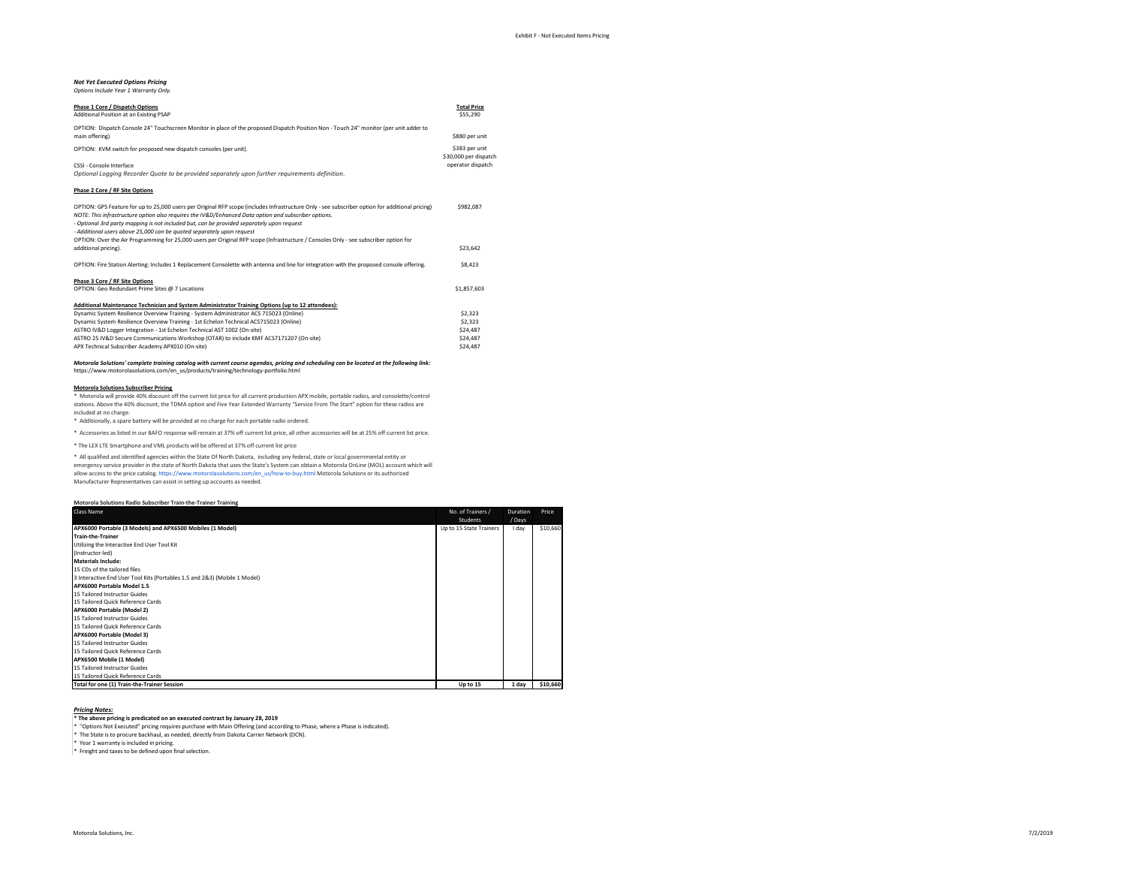## *Not Yet Executed Options Pricing*

| Options Include Year 1 Warranty Only.                                                                                                                                                                                                                                                                                                                                                                                         |                                         |
|-------------------------------------------------------------------------------------------------------------------------------------------------------------------------------------------------------------------------------------------------------------------------------------------------------------------------------------------------------------------------------------------------------------------------------|-----------------------------------------|
| Phase 1 Core / Dispatch Options<br>Additional Position at an Existing PSAP                                                                                                                                                                                                                                                                                                                                                    | <b>Total Price</b><br>\$55,290          |
| OPTION: Dispatch Console 24" Touchscreen Monitor in place of the proposed Dispatch Position Non - Touch 24" monitor (per unit adder to<br>main offering)                                                                                                                                                                                                                                                                      | \$880 per unit                          |
| OPTION: KVM switch for proposed new dispatch consoles (per unit).                                                                                                                                                                                                                                                                                                                                                             | \$383 per unit<br>\$30,000 per dispatch |
| CSSL- Console Interface<br>Optional Logging Recorder Quote to be provided separately upon further requirements definition.                                                                                                                                                                                                                                                                                                    | operator dispatch                       |
| Phase 2 Core / RF Site Options                                                                                                                                                                                                                                                                                                                                                                                                |                                         |
| OPTION: GPS Feature for up to 25,000 users per Original RFP scope (includes Infrastructure Only - see subscriber option for additional pricing)<br>NOTE: This infrastructure option also requires the IV&D/Enhanced Data option and subscriber options.<br>- Optional 3rd party mapping is not included but, can be provided separately upon request<br>- Additional users above 25,000 can be quoted separately upon request | \$982.087                               |
| OPTION: Over the Air Programming for 25,000 users per Original RFP scope (Infrastructure / Consoles Only - see subscriber option for<br>additional pricing).                                                                                                                                                                                                                                                                  | \$23,642                                |
| OPTION: Fire Station Alerting: Includes 1 Replacement Consolette with antenna and line for integration with the proposed console offering.                                                                                                                                                                                                                                                                                    | \$8,423                                 |
| Phase 3 Core / RF Site Options<br>OPTION: Geo Redundant Prime Sites @ 7 Locations                                                                                                                                                                                                                                                                                                                                             | \$1,857,603                             |
| Additional Maintenance Technician and System Administrator Training Options (up to 12 attendees):                                                                                                                                                                                                                                                                                                                             |                                         |
| Dynamic System Resilience Overview Training - System Administrator ACS 715023 (Online)                                                                                                                                                                                                                                                                                                                                        | \$2,323                                 |
| Dynamic System Resilience Overview Training - 1st Echelon Technical ACS715023 (Online)                                                                                                                                                                                                                                                                                                                                        | \$2.323                                 |
| ASTRO IV&D Logger Integration - 1st Echelon Technical AST 1002 (On-site)                                                                                                                                                                                                                                                                                                                                                      | \$24,487                                |
| ASTRO 25 IV&D Secure Communications Workshop (OTAR) to include KMF ACS7171207 (On-site)                                                                                                                                                                                                                                                                                                                                       | \$24,487                                |
| APX Technical Subscriber Academy APX010 (On-site)                                                                                                                                                                                                                                                                                                                                                                             | \$24,487                                |

### *Motorola Solutions' complete training catalog with current course agendas, pricing and scheduling can be located at the following link:* https://www.motorolasolutions.com/en\_us/products/training/technology-portfolio.html

**Motorola Solutions Subscriber Pricing**<br>\* Motorola will provide 40% discount off the current list price for all current production APX mobile, portable radios, and consolette/control stations. Above the 40% discount, the TDMA option and Five Year Extended Warranty "Service From The Start" option for these radios are included at no charge. \* Additionally, a spare battery will be provided at no charge for each portable radio ordered.

\* Accessories as listed in our BAFO response will remain at 37% off current list price, all other accessories will be at 25% off current list price.

\* The LEX LTE Smartphone and VML products will be offered at 37% off current list price

\* All qualified and identified agencies within the State Of North Dakota, including any federal, state or local governmental entity or<br>emergency service provider in the state of North Dakota that uses the State's System ca

allow access to the price catalog. https://www.motorolasolutions.com/en\_us/how-to-buy.html Motorola Solutions or its authorized

Manufacturer Representatives can assist in setting up accounts as needed.

| Motorola Solutions Radio Subscriber Train-the-Trainer Training            |                         |          |          |
|---------------------------------------------------------------------------|-------------------------|----------|----------|
| Class Name                                                                | No. of Trainers /       | Duration | Price    |
|                                                                           | <b>Students</b>         | / Days   |          |
| APX6000 Portable (3 Models) and APX6500 Mobiles (1 Model)                 | Up to 15 State Trainers | I day    | \$10,660 |
| <b>Train-the-Trainer</b>                                                  |                         |          |          |
| Utilizing the Interactive End User Tool Kit                               |                         |          |          |
| (Instructor-led)                                                          |                         |          |          |
| <b>Materials Include:</b>                                                 |                         |          |          |
| 15 CDs of the tailored files                                              |                         |          |          |
| 3 Interactive End User Tool Kits (Portables 1.5 and 2&3) (Mobile 1 Model) |                         |          |          |
| APX6000 Portable Model 1.5                                                |                         |          |          |
| 15 Tailored Instructor Guides                                             |                         |          |          |
| 15 Tailored Quick Reference Cards                                         |                         |          |          |
| APX6000 Portable (Model 2)                                                |                         |          |          |
| 15 Tailored Instructor Guides                                             |                         |          |          |
| 15 Tailored Quick Reference Cards                                         |                         |          |          |
| APX6000 Portable (Model 3)                                                |                         |          |          |
| 15 Tailored Instructor Guides                                             |                         |          |          |
| 15 Tailored Quick Reference Cards                                         |                         |          |          |
| APX6500 Mobile (1 Model)                                                  |                         |          |          |
| 15 Tailored Instructor Guides                                             |                         |          |          |
| 15 Tailored Quick Reference Cards                                         |                         |          |          |
| Total for one (1) Train-the-Trainer Session                               | Up to 15                | 1 day    | \$10,660 |

*Pricing Notes:* **\* The above pricing is predicated on an executed contract by January 28, 2019**

\* "Options Not Executed" pricing requires purchase with Main Offering (and according to Phase, where a Phase is indicated).

\* The State is to procure backhaul, as needed, directly from Dakota Carrier Network (DCN).

\* Year 1 warranty is included in pricing. \* Freight and taxes to be defined upon final selection.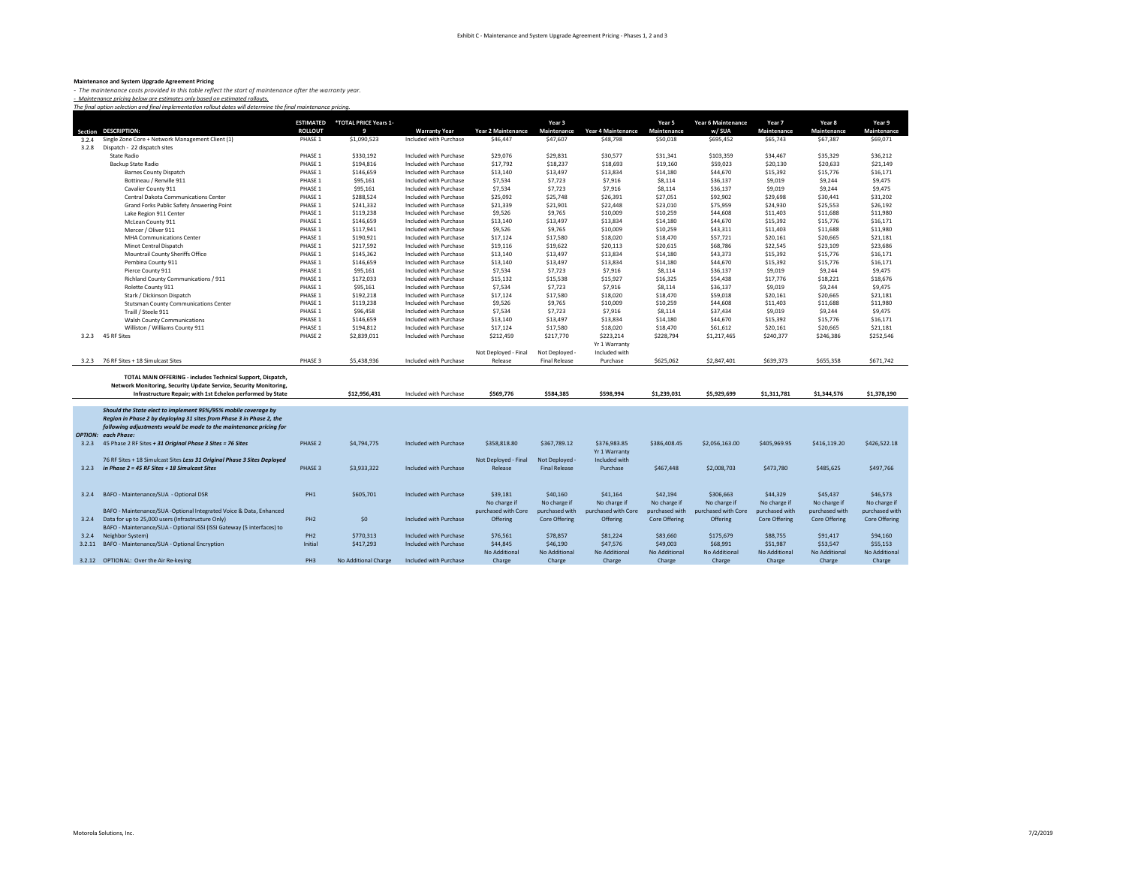**Maintenance and System Upgrade Agreement Pricing**<br>- The maintenance costs provided in this table reflect the start of maintenance after the warranty year.<br>- Maintenance pricina below are estimates only based on estimated

|        | Section DESCRIPTION:                                                                                                                                                                           | <b>ESTIMATED</b><br><b>ROLLOUT</b> | *TOTAL PRICE Years 1-<br>9 | <b>Warranty Year</b>   | <b>Year 2 Maintenance</b>       | Year 3<br>Maintenance                  | <b>Year 4 Maintenance</b>     | Year 5<br>Maintenance     | Year 6 Maintenance<br>w/ SUA | Year 7<br>Maintenance     | Year 8<br>Maintenance | Year 9<br>Maintenance     |
|--------|------------------------------------------------------------------------------------------------------------------------------------------------------------------------------------------------|------------------------------------|----------------------------|------------------------|---------------------------------|----------------------------------------|-------------------------------|---------------------------|------------------------------|---------------------------|-----------------------|---------------------------|
| 3.2.4  | Single Zone Core + Network Management Client (1)                                                                                                                                               | PHASE 1                            | \$1,090,523                | Included with Purchase | \$46,447                        | \$47,607                               | \$48,798                      | \$50,018                  | \$695,452                    | \$65,743                  | \$67,387              | \$69,071                  |
| 3.2.8  | Dispatch - 22 dispatch sites                                                                                                                                                                   |                                    |                            |                        |                                 |                                        |                               |                           |                              |                           |                       |                           |
|        | <b>State Radio</b>                                                                                                                                                                             | PHASE 1                            | \$330,192                  | Included with Purchase | \$29,076                        | \$29,831                               | \$30.577                      | \$31,341                  | \$103,359                    | \$34,467                  | \$35,329              | \$36,212                  |
|        | Backup State Radio                                                                                                                                                                             | PHASE 1                            | \$194,816                  | Included with Purchase | \$17,792                        | \$18,237                               | \$18,693                      | \$19,160                  | \$59,023                     | \$20,130                  | \$20,633              | \$21.149                  |
|        | <b>Barnes County Dispatch</b>                                                                                                                                                                  | PHASE 1                            | \$146,659                  | Included with Purchase | \$13,140                        | \$13,497                               | \$13,834                      | \$14,180                  | \$44,670                     | \$15,392                  | \$15,776              | \$16,171                  |
|        | Bottineau / Renville 911                                                                                                                                                                       | PHASE 1                            | \$95,161                   | Included with Purchase | \$7,534                         | \$7,723                                | \$7,916                       | \$8,114                   | \$36,137                     | \$9,019                   | \$9,244               | \$9,475                   |
|        | Cavalier County 911                                                                                                                                                                            | PHASE 1                            | \$95.161                   | Included with Purchase | \$7,534                         | \$7.723                                | \$7,916                       | \$8,114                   | \$36,137                     | \$9.019                   | \$9,244               | \$9,475                   |
|        |                                                                                                                                                                                                | PHASE 1                            | \$288,524                  | Included with Purchase | \$25,092                        | \$25,748                               | \$26,391                      | \$27.051                  | \$92,902                     | \$29,698                  | \$30,441              | \$31,202                  |
|        | Central Dakota Communications Center<br>Grand Forks Public Safety Answering Point                                                                                                              | PHASE 1                            | \$241,332                  | Included with Purchase | \$21,339                        | \$21,901                               | \$22,448                      | \$23,010                  | \$75,959                     | \$24,930                  | \$25,553              | \$26,192                  |
|        | Lake Region 911 Center                                                                                                                                                                         | PHASE 1                            | \$119,238                  | Included with Purchase | \$9,526                         | \$9,765                                | \$10,009                      | \$10,259                  | \$44,608                     | \$11,403                  | \$11,688              | \$11,980                  |
|        |                                                                                                                                                                                                | PHASE 1                            | \$146,659                  | Included with Purchase | \$13,140                        | \$13,497                               | \$13,834                      | \$14,180                  | \$44,670                     | \$15,392                  | \$15,776              | \$16,171                  |
|        | McLean County 911                                                                                                                                                                              |                                    |                            |                        |                                 | \$9.765                                |                               | \$10.259                  |                              |                           | \$11,688              | \$11,980                  |
|        | Mercer / Oliver 911                                                                                                                                                                            | PHASE 1<br>PHASE 1                 | \$117,941                  | Included with Purchase | \$9,526                         |                                        | \$10,009                      |                           | \$43,311                     | \$11,403                  |                       |                           |
|        | <b>MHA Communications Center</b>                                                                                                                                                               |                                    | \$190,921                  | Included with Purchase | \$17,124                        | \$17,580                               | \$18,020                      | \$18,470                  | \$57,721                     | \$20,161                  | \$20,665              | \$21,181                  |
|        | Minot Central Dispatch                                                                                                                                                                         | PHASE 1                            | \$217,592                  | Included with Purchase | \$19,116                        | \$19,622                               | \$20,113                      | \$20,615                  | \$68,786                     | \$22,545                  | \$23,109              | \$23,686                  |
|        | Mountrail County Sheriffs Office                                                                                                                                                               | PHASE 1                            | \$145,362                  | Included with Purchase | \$13,140                        | \$13.497                               | \$13,834                      | \$14,180                  | \$43,373                     | \$15,392                  | \$15,776              | \$16,171                  |
|        | Pembina County 911                                                                                                                                                                             | PHASE 1                            | \$146,659                  | Included with Purchase | \$13,140                        | \$13,497                               | \$13,834                      | \$14,180                  | \$44,670                     | \$15,392                  | \$15,776              | \$16,171                  |
|        | Pierce County 911                                                                                                                                                                              | PHASE 1                            | \$95,161                   | Included with Purchase | \$7,534                         | \$7,723                                | \$7,916                       | \$8,114                   | \$36,137                     | \$9,019                   | \$9,244               | \$9,475                   |
|        | Richland County Communications / 911                                                                                                                                                           | PHASE 1                            | \$172,033                  | Included with Purchase | \$15,132                        | \$15,538                               | \$15,927                      | \$16,325                  | \$54,438                     | \$17,776                  | \$18,221              | \$18,676                  |
|        | Rolette County 911                                                                                                                                                                             | PHASE 1                            | \$95,161                   | Included with Purchase | \$7,534                         | \$7,723                                | \$7,916                       | \$8,114                   | \$36,137                     | \$9,019                   | \$9,244               | \$9,475                   |
|        | Stark / Dickinson Dispatch                                                                                                                                                                     | PHASE 1                            | \$192,218                  | Included with Purchase | \$17,124                        | \$17,580                               | \$18,020                      | \$18,470                  | \$59,018                     | \$20,161                  | \$20,665              | \$21,181                  |
|        | <b>Stutsman County Communications Center</b>                                                                                                                                                   | PHASE 1                            | \$119,238                  | Included with Purchase | \$9,526                         | \$9,765                                | \$10,009                      | \$10,259                  | \$44,608                     | \$11,403                  | \$11,688              | \$11,980                  |
|        | Traill / Steele 911                                                                                                                                                                            | PHASE 1                            | \$96,458                   | Included with Purchase | \$7,534                         | \$7.723                                | \$7,916                       | \$8,114                   | \$37,434                     | \$9,019                   | \$9,244               | \$9,475                   |
|        | <b>Walsh County Communications</b>                                                                                                                                                             | PHASE 1                            | \$146,659                  | Included with Purchase | \$13,140                        | \$13,497                               | \$13,834                      | \$14,180                  | \$44,670                     | \$15,392                  | \$15,776              | \$16,171                  |
|        | Williston / Williams County 911                                                                                                                                                                | PHASE 1                            | \$194,812                  | Included with Purchase | \$17,124                        | \$17,580                               | \$18,020                      | \$18,470                  | \$61,612                     | \$20,161                  | \$20,665              | \$21,181                  |
|        | 3.2.3 45 RF Sites                                                                                                                                                                              | PHASE 2                            | \$2,839,011                | Included with Purchase | \$212,459                       | \$217,770                              | \$223,214                     | \$228,794                 | \$1,217,465                  | \$240,377                 | \$246,386             | \$252,546                 |
|        |                                                                                                                                                                                                |                                    |                            |                        |                                 |                                        | Yr 1 Warranty                 |                           |                              |                           |                       |                           |
|        |                                                                                                                                                                                                |                                    |                            |                        | Not Deployed - Final            | Not Deployed                           | Included with                 |                           |                              |                           |                       |                           |
|        | 3.2.3 76 RF Sites + 18 Simulcast Sites                                                                                                                                                         | PHASE 3                            | \$5,438,936                | Included with Purchase | Release                         | <b>Final Release</b>                   | Purchase                      | \$625.062                 | \$2,847,401                  | \$639,373                 | \$655,358             | \$671,742                 |
|        | TOTAL MAIN OFFERING - includes Technical Support, Dispatch,<br>Network Monitoring, Security Update Service, Security Monitoring,<br>Infrastructure Repair; with 1st Echelon performed by State |                                    | \$12,956,431               | Included with Purchase | \$569,776                       | \$584,385                              | \$598.994                     | \$1,239,031               | \$5.929.699                  | \$1.311.781               | \$1,344.576           | \$1,378,190               |
|        |                                                                                                                                                                                                |                                    |                            |                        |                                 |                                        |                               |                           |                              |                           |                       |                           |
|        | Should the State elect to implement 95%/95% mobile coverage by<br>Region in Phase 2 by deploying 31 sites from Phase 3 in Phase 2, the                                                         |                                    |                            |                        |                                 |                                        |                               |                           |                              |                           |                       |                           |
|        | following adjustments would be made to the maintenance pricing for<br><b>OPTION: each Phase:</b>                                                                                               |                                    |                            |                        |                                 |                                        |                               |                           |                              |                           |                       |                           |
| 3.2.3  | 45 Phase 2 RF Sites + 31 Original Phase 3 Sites = 76 Sites                                                                                                                                     | PHASE 2                            | \$4,794,775                | Included with Purchase | \$358,818.80                    | \$367,789.12                           | \$376,983.85<br>Yr 1 Warranty | \$386,408.45              | \$2,056,163,00               | \$405,969.95              | \$416.119.20          | \$426,522.18              |
| 3.2.3  | 76 RF Sites + 18 Simulcast Sites Less 31 Original Phase 3 Sites Deployed<br>in Phase 2 = 45 RF Sites + 18 Simulcast Sites                                                                      | PHASE 3                            | \$3,933,322                | Included with Purchase | Not Deployed - Final<br>Release | Not Deployed -<br><b>Final Release</b> | Included with<br>Purchase     | \$467,448                 | \$2,008,703                  |                           | \$485,625             |                           |
|        |                                                                                                                                                                                                |                                    |                            |                        |                                 |                                        |                               |                           |                              | \$473,780                 |                       | \$497,766                 |
| 3.2.4  | BAFO - Maintenance/SUA - Optional DSR                                                                                                                                                          | PH <sub>1</sub>                    | \$605,701                  | Included with Purchase | \$39,181                        | \$40,160                               | \$41,164                      | \$42.194                  | \$306,663                    | \$44,329                  | \$45,437              | \$46,573                  |
|        |                                                                                                                                                                                                |                                    |                            |                        | No charge if                    | No charge if                           | No charge if                  | No charge if              | No charge if                 | No charge if              | No charge if          | No charge if              |
|        | BAFO - Maintenance/SUA -Optional Integrated Voice & Data, Enhanced                                                                                                                             |                                    |                            |                        | purchased with Core             | purchased with                         | purchased with Core           | purchased with            | purchased with Core          | purchased with            | purchased with        | purchased with            |
|        | 3.2.4 Data for up to 25,000 users (Infrastructure Only)                                                                                                                                        | PH <sub>2</sub>                    | \$0                        | Included with Purchase | Offering                        | <b>Core Offering</b>                   | Offering                      | <b>Core Offering</b>      | Offering                     | <b>Core Offering</b>      | <b>Core Offering</b>  | <b>Core Offering</b>      |
|        | BAFO - Maintenance/SUA - Optional ISSI (ISSI Gateway (5 interfaces) to                                                                                                                         |                                    |                            |                        |                                 |                                        |                               |                           |                              |                           |                       |                           |
|        |                                                                                                                                                                                                |                                    |                            |                        |                                 |                                        |                               |                           |                              |                           |                       |                           |
| 3.2.4  | Neighbor System)                                                                                                                                                                               | PH <sub>2</sub>                    | \$770,313                  | Included with Purchase | \$76,561                        | \$78,857                               | \$81,224                      | \$83,660                  | \$175,679                    | \$88,755                  | \$91,417              | \$94,160                  |
| 3.2.11 |                                                                                                                                                                                                | Initial                            |                            | Included with Purchase |                                 | \$46,190                               |                               |                           | \$68,991                     |                           | \$53.547              |                           |
|        | BAFO - Maintenance/SUA - Optional Encryption                                                                                                                                                   |                                    | \$417,293                  |                        | \$44,845<br>No Additional       | No Additional                          | \$47,576<br>No Additional     | \$49,003<br>No Additional | No Additional                | \$51,987<br>No Additional | No Additional         | \$55,153<br>No Additional |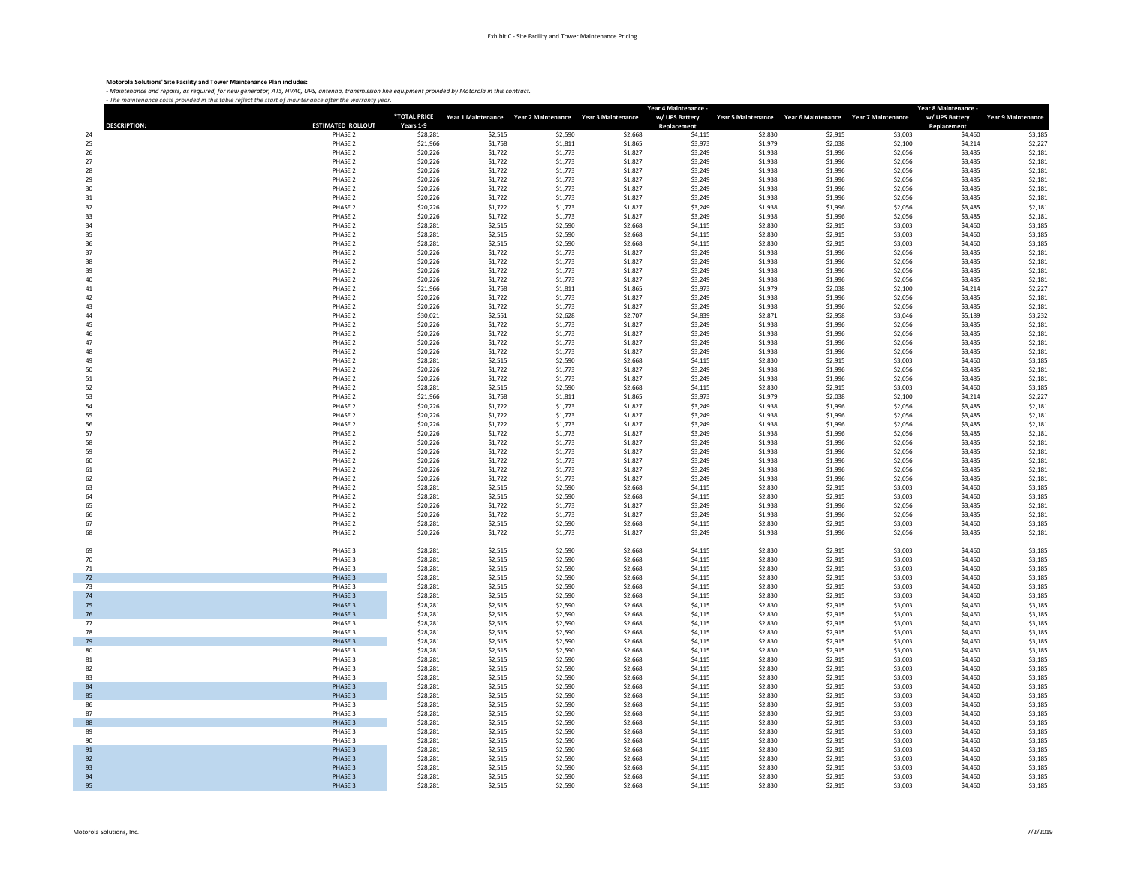## **Motorola Solutions' Site Facility and Tower Maintenance Plan includes:**

- Maintenance and repairs, as required, for new generator, ATS, HVAC, UPS, antenna, transmission line equipment provided by Motorola in this contract.<br>- The maintenance costs provided in this table reflect the start of mai

|                    |                    | *TOTAL PRICE         | Year 1 Maintenance Year 2 Maintenance Year 3 Maintenance |                    |                    | Year 4 Maintenance ·<br>w/ UPS Battery |                    | Year 5 Maintenance Year 6 Maintenance Year 7 Maintenance |                    | Year 8 Maintenance<br>w/ UPS Battery | <b>Year 9 Maintenance</b> |
|--------------------|--------------------|----------------------|----------------------------------------------------------|--------------------|--------------------|----------------------------------------|--------------------|----------------------------------------------------------|--------------------|--------------------------------------|---------------------------|
| <b>DESCRIPTION</b> | ESTIMATED ROLLOUT  | Years 1-9            |                                                          |                    |                    | Replacement                            |                    |                                                          |                    | <b>Replacement</b>                   |                           |
| 24                 | PHASE 2<br>PHASE 2 | \$28,281<br>\$21,966 | \$2,515<br>\$1,758                                       | \$2,590<br>\$1,811 | \$2,668<br>\$1,865 | \$4,115<br>\$3,973                     | \$2,830<br>\$1,979 | \$2,915<br>\$2,038                                       | \$3,003<br>\$2,100 | \$4,460<br>\$4,214                   | \$3,185<br>\$2,227        |
| 25<br>26           | PHASE 2            | \$20,226             | \$1,722                                                  | \$1,773            | \$1,827            | \$3,249                                | \$1,938            | \$1,996                                                  | \$2,056            | \$3,485                              | \$2,181                   |
| 27                 | PHASE 2            | \$20,226             | \$1,722                                                  | \$1,773            | \$1,827            | \$3,249                                | \$1,938            | \$1,996                                                  | \$2,056            | \$3,485                              | \$2,181                   |
| 28                 | PHASE 2            | \$20,226             | \$1,722                                                  | \$1,773            | \$1,827            | \$3,249                                | \$1,938            | \$1,996                                                  | \$2,056            | \$3,485                              | \$2,181                   |
| 29                 | PHASE 2            | \$20,226             | \$1,722                                                  | \$1,773            | \$1,827            | \$3,249                                | \$1,938            | \$1,996                                                  | \$2,056            | \$3,485                              | \$2,181                   |
| 30                 | PHASE 2            | \$20,226             | \$1,722                                                  | \$1,773            | \$1,827            | \$3,249                                | \$1,938            | \$1,996                                                  | \$2,056            | \$3,485                              | \$2,181                   |
| 31                 | PHASE 2            | \$20,226             | \$1,722                                                  | \$1,773            | \$1,827            | \$3,249                                | \$1,938            | \$1,996                                                  | \$2,056            | \$3,485                              | \$2,181                   |
| 32                 | PHASE 2            | \$20,226             | \$1,722                                                  | \$1,773            | \$1,827            | \$3,249                                | \$1,938            | \$1,996                                                  | \$2,056            | \$3,485                              | \$2,181                   |
| 33                 | PHASE 2            | \$20,226             | \$1,722                                                  | \$1,773            | \$1,827            | \$3,249                                | \$1,938            | \$1,996                                                  | \$2,056            | \$3.485                              | \$2,181                   |
| 34                 | PHASE 2            | \$28,281             | \$2,515                                                  | \$2,590            | \$2,668            | \$4,115                                | \$2,830            | \$2,915                                                  | \$3,003            | \$4,460                              | \$3,185                   |
| 35                 | PHASE 2            | \$28,281             | \$2,515                                                  | \$2,590            | \$2,668            | \$4.115                                | \$2,830            | \$2,915                                                  | \$3,003            | \$4,460                              | \$3,185                   |
| 36                 | PHASE 2            | \$28,281             | \$2,515                                                  | \$2,590            | \$2,668            | \$4,115                                | \$2,830            | \$2,915                                                  | \$3,003            | \$4,460                              | \$3,185                   |
| 37                 | PHASE 2            | \$20,226             | \$1,722                                                  | \$1,773            | \$1,827            | \$3,249                                | \$1,938            | \$1,996                                                  | \$2,056            | \$3,485                              | \$2,181                   |
| 38<br>39           | PHASE 2<br>PHASE 2 | \$20,226<br>\$20,226 | \$1,722<br>\$1,722                                       | \$1,773<br>\$1,773 | \$1,827<br>\$1,827 | \$3,249<br>\$3,249                     | \$1,938<br>\$1,938 | \$1,996<br>\$1,996                                       | \$2,056<br>\$2,056 | \$3,485<br>\$3,485                   | \$2,181<br>\$2,181        |
| 40                 | PHASE 2            | \$20,226             | \$1,722                                                  | \$1,773            | \$1,827            | \$3,249                                | \$1,938            | \$1,996                                                  | \$2,056            | \$3,485                              | \$2,181                   |
| 41                 | PHASE 2            | \$21,966             | \$1,758                                                  | \$1,811            | \$1,865            | \$3,973                                | \$1,979            | \$2,038                                                  | \$2,100            | \$4,214                              | \$2,227                   |
| 42                 | PHASE 2            | \$20,226             | \$1,722                                                  | \$1,773            | \$1,827            | \$3,249                                | \$1,938            | \$1,996                                                  | \$2,056            | \$3,485                              | \$2,181                   |
| 43                 | PHASE 2            | \$20,226             | \$1,722                                                  | \$1,773            | \$1,827            | \$3,249                                | \$1,938            | \$1,996                                                  | \$2,056            | \$3,485                              | \$2,181                   |
| 44                 | PHASE 2            | \$30,021             | \$2,551                                                  | \$2,628            | \$2,707            | \$4,839                                | \$2,871            | \$2,958                                                  | \$3,046            | \$5,189                              | \$3,232                   |
| 45                 | PHASE 2            | \$20,226             | \$1,722                                                  | \$1,773            | \$1,827            | \$3,249                                | \$1,938            | \$1,996                                                  | \$2,056            | \$3,485                              | \$2,181                   |
| 46                 | PHASE 2            | \$20,226             | \$1,722                                                  | \$1,773            | \$1,827            | \$3,249                                | \$1,938            | \$1,996                                                  | \$2,056            | \$3,485                              | \$2,181                   |
| 47                 | PHASE 2            | \$20,226             | \$1,722                                                  | \$1,773            | \$1,827            | \$3,249                                | \$1,938            | \$1,996                                                  | \$2,056            | \$3,485                              | \$2,181                   |
| 48                 | PHASE 2<br>PHASE 2 | \$20,226<br>\$28,281 | \$1,722<br>\$2,515                                       | \$1,773<br>\$2,590 | \$1,827            | \$3,249<br>\$4,115                     | \$1,938<br>\$2,830 | \$1,996                                                  | \$2,056<br>\$3,003 | \$3,485                              | \$2,181<br>\$3,185        |
| 49<br>50           | PHASE 2            | \$20,226             | \$1,722                                                  | \$1,773            | \$2,668<br>\$1,827 | \$3,249                                | \$1,938            | \$2,915<br>\$1,996                                       | \$2,056            | \$4,460<br>\$3,485                   | \$2,181                   |
| 51                 | PHASE 2            | \$20,226             | \$1,722                                                  | \$1,773            | \$1,827            | \$3,249                                | \$1,938            | \$1,996                                                  | \$2,056            | \$3,485                              | \$2,181                   |
| 52                 | PHASE 2            | \$28,281             | \$2,515                                                  | \$2,590            | \$2,668            | \$4,115                                | \$2,830            | \$2,915                                                  | \$3,003            | \$4,460                              | \$3,185                   |
| 53                 | PHASE 2            | \$21,966             | \$1,758                                                  | \$1,811            | \$1,865            | \$3,973                                | \$1,979            | \$2,038                                                  | \$2,100            | \$4,214                              | \$2,227                   |
| 54                 | PHASE 2            | \$20,226             | \$1,722                                                  | \$1,773            | \$1,827            | \$3,249                                | \$1,938            | \$1,996                                                  | \$2,056            | \$3,485                              | \$2,181                   |
| 55                 | PHASE 2            | \$20,226             | \$1,722                                                  | \$1,773            | \$1,827            | \$3,249                                | \$1,938            | \$1,996                                                  | \$2,056            | \$3,485                              | \$2,181                   |
| 56                 | PHASE 2            | \$20,226             | \$1,722                                                  | \$1,773            | \$1,827            | \$3,249                                | \$1,938            | \$1,996                                                  | \$2,056            | \$3,485                              | \$2,181                   |
| 57                 | PHASE 2            | \$20,226             | \$1,722                                                  | \$1,773            | \$1,827            | \$3,249                                | \$1,938            | \$1,996                                                  | \$2,056            | \$3,485                              | \$2,181                   |
| 58                 | PHASE 2            | \$20,226             | \$1,722                                                  | \$1,773            | \$1,827            | \$3,249                                | \$1,938            | \$1,996                                                  | \$2,056            | \$3,485                              | \$2,181                   |
| 59<br>60           | PHASE 2<br>PHASE 2 | \$20,226<br>\$20,226 | \$1,722<br>\$1,722                                       | \$1,773<br>\$1,773 | \$1,827<br>\$1,827 | \$3,249<br>\$3,249                     | \$1,938<br>\$1,938 | \$1,996<br>\$1,996                                       | \$2,056<br>\$2,056 | \$3,485<br>\$3,485                   | \$2,181<br>\$2,181        |
| 61                 | PHASE 2            | \$20,226             | \$1,722                                                  | \$1,773            | \$1,827            | \$3,249                                | \$1,938            | \$1,996                                                  | \$2,056            | \$3,485                              | \$2,181                   |
| 62                 | PHASE 2            | \$20,226             | \$1,722                                                  | \$1,773            | \$1,827            | \$3,249                                | \$1,938            | \$1,996                                                  | \$2,056            | \$3,485                              | \$2,181                   |
| 63                 | PHASE 2            | \$28,281             | \$2,515                                                  | \$2,590            | \$2,668            | \$4,115                                | \$2,830            | \$2,915                                                  | \$3,003            | \$4,460                              | \$3,185                   |
| 64                 | PHASE 2            | \$28,281             | \$2,515                                                  | \$2,590            | \$2,668            | \$4,115                                | \$2,830            | \$2,915                                                  | \$3,003            | \$4,460                              | \$3,185                   |
| 65                 | PHASE 2            | \$20,226             | \$1,722                                                  | \$1,773            | \$1,827            | \$3,249                                | \$1,938            | \$1,996                                                  | \$2,056            | \$3,485                              | \$2,181                   |
| 66                 | PHASE 2            | \$20,226             | \$1,722                                                  | \$1,773            | \$1,827            | \$3,249                                | \$1,938            | \$1,996                                                  | \$2,056            | \$3,485                              | \$2,181                   |
| 67                 | PHASE 2            | \$28,281             | \$2,515                                                  | \$2,590            | \$2,668            | \$4,115                                | \$2,830            | \$2,915                                                  | \$3,003            | \$4,460                              | \$3,185                   |
| 68                 | PHASE 2            | \$20,226             | \$1,722                                                  | \$1,773            | \$1,827            | \$3,249                                | \$1,938            | \$1,996                                                  | \$2,056            | \$3,485                              | \$2,181                   |
| 69                 | PHASE 3            | \$28,281             | \$2,515                                                  | \$2,590            | \$2,668            | \$4,115                                | \$2,830            | \$2,915                                                  | \$3,003            | \$4,460                              | \$3,185                   |
| 70                 | PHASE 3            | \$28,281             | \$2,515                                                  | \$2,590            | \$2,668            | \$4,115                                | \$2,830            | \$2,915                                                  | \$3,003            | \$4,460                              | \$3,185                   |
| 71                 | PHASE 3            | \$28,281             | \$2,515                                                  | \$2,590            | \$2,668            | \$4,115                                | \$2,830            | \$2,915                                                  | \$3,003            | \$4,460                              | \$3,185                   |
| 72                 | PHASE 3            | \$28,281             | \$2,515                                                  | \$2,590            | \$2,668            | \$4,115                                | \$2,830            | \$2,915                                                  | \$3,003            | \$4,460                              | \$3,185                   |
| 73                 | PHASE 3            | \$28,281             | \$2,515                                                  | \$2,590            | \$2,668            | \$4,115                                | \$2,830            | \$2,915                                                  | \$3,003            | \$4,460                              | \$3,185                   |
| 74                 | PHASE 3            | \$28,281             | \$2,515                                                  | \$2,590            | \$2,668            | \$4,115                                | \$2,830            | \$2,915                                                  | \$3,003            | \$4,460                              | \$3,185                   |
| 75                 | PHASE 3            | \$28,281             | \$2,515                                                  | \$2,590            | \$2,668            | \$4,115                                | \$2,830            | \$2,915                                                  | \$3,003            | \$4,460                              | \$3,185                   |
| 76                 | PHASE 3            | \$28,281             | \$2,515                                                  | \$2,590            | \$2,668            | \$4,115                                | \$2,830            | \$2,915                                                  | \$3,003            | \$4,460                              | \$3,185                   |
| 77<br>78           | PHASE 3<br>PHASE 3 | \$28,281             | \$2,515                                                  | \$2,590            | \$2,668            | \$4,115                                | \$2,830<br>\$2,830 | \$2,915                                                  | \$3,003            | \$4,460                              | \$3,185                   |
| 79                 | PHASE 3            | \$28,281<br>\$28,281 | \$2,515<br>\$2,515                                       | \$2,590<br>\$2,590 | \$2,668<br>\$2,668 | \$4,115<br>\$4,115                     | \$2,830            | \$2,915<br>\$2,915                                       | \$3,003<br>\$3,003 | \$4,460<br>\$4,460                   | \$3,185<br>\$3,185        |
| 80                 | PHASE 3            | \$28,281             | \$2,515                                                  | \$2,590            | \$2,668            | \$4,115                                | \$2,830            | \$2,915                                                  | \$3,003            | \$4,460                              | \$3,185                   |
| 81                 | PHASE 3            | \$28,281             | \$2,515                                                  | \$2,590            | \$2,668            | \$4,115                                | \$2,830            | \$2,915                                                  | \$3,003            | \$4,460                              | \$3,185                   |
| 82                 | PHASE 3            | \$28,281             | \$2,515                                                  | \$2,590            | \$2,668            | \$4,115                                | \$2,830            | \$2,915                                                  | \$3,003            | \$4,460                              | \$3,185                   |
| 83                 | PHASE 3            | \$28,281             | \$2,515                                                  | \$2,590            | \$2,668            | \$4,115                                | \$2,830            | \$2,915                                                  | \$3,003            | \$4,460                              | \$3,185                   |
| 84                 | PHASE 3            | \$28,281             | \$2,515                                                  | \$2,590            | \$2,668            | \$4,115                                | \$2,830            | \$2,915                                                  | \$3,003            | \$4,460                              | \$3,185                   |
| 85                 | PHASE 3            | \$28,281             | \$2,515                                                  | \$2,590            | \$2,668            | \$4,115                                | \$2,830            | \$2,915                                                  | \$3,003            | \$4,460                              | \$3,185                   |
| 86                 | PHASE 3            | \$28,281             | \$2,515                                                  | \$2,590            | \$2,668            | \$4,115                                | \$2,830            | \$2,915                                                  | \$3,003            | \$4,460                              | \$3,185                   |
| 87                 | PHASE 3            | \$28,281             | \$2,515                                                  | \$2,590            | \$2,668            | \$4,115                                | \$2,830            | \$2,915                                                  | \$3,003            | \$4,460                              | \$3,185                   |
| 88                 | PHASE 3<br>PHASE 3 | \$28,281             | \$2,515                                                  | \$2,590            | \$2,668            | \$4,115                                | \$2,830            | \$2,915                                                  | \$3,003            | \$4,460                              | \$3,185                   |
| 89<br>90           | PHASE 3            | \$28,281<br>\$28,281 | \$2,515<br>\$2,515                                       | \$2,590<br>\$2,590 | \$2,668<br>\$2,668 | \$4,115<br>\$4,115                     | \$2,830<br>\$2,830 | \$2,915<br>\$2,915                                       | \$3,003<br>\$3,003 | \$4,460<br>\$4,460                   | \$3,185<br>\$3,185        |
| 91                 | PHASE 3            | \$28,281             | \$2,515                                                  | \$2,590            | \$2,668            | \$4,115                                | \$2,830            | \$2,915                                                  | \$3,003            | \$4,460                              | \$3,185                   |
| 92                 | PHASE 3            | \$28,281             | \$2,515                                                  | \$2,590            | \$2,668            | \$4,115                                | \$2,830            | \$2,915                                                  | \$3,003            | \$4,460                              | \$3,185                   |
| 93                 | PHASE 3            | \$28,281             | \$2,515                                                  | \$2,590            | \$2,668            | \$4,115                                | \$2,830            | \$2,915                                                  | \$3,003            | \$4,460                              | \$3,185                   |
| 94                 | PHASE 3            | \$28,281             | \$2,515                                                  | \$2,590            | \$2,668            | \$4,115                                | \$2,830            | \$2,915                                                  | \$3,003            | \$4,460                              | \$3,185                   |
| 95                 | PHASE 3            | \$28,281             | \$2,515                                                  | \$2,590            | \$2,668            | \$4,115                                | \$2,830            | \$2,915                                                  | \$3,003            | \$4,460                              | \$3,185                   |

T.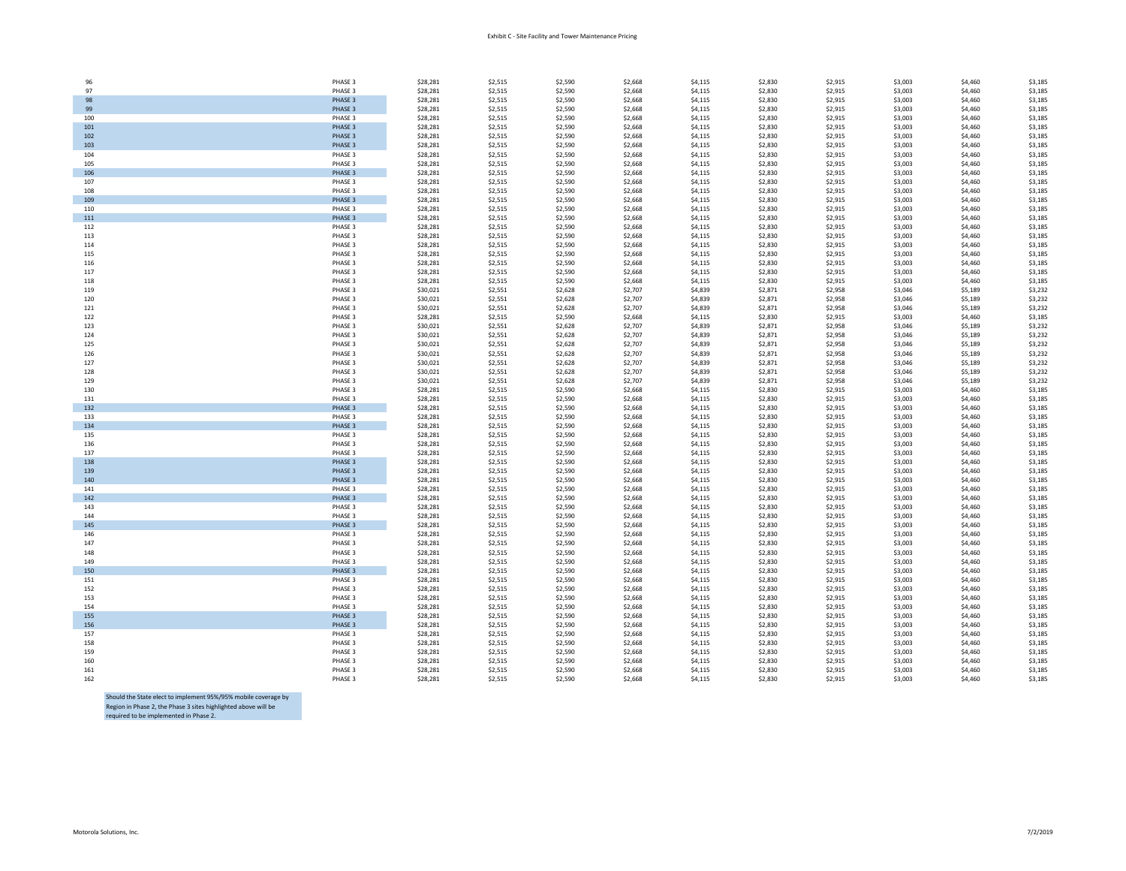| 96  | PHASE 3 | \$28,281 | \$2,515 | \$2,590 | \$2,668 | \$4,115 | \$2,830 | \$2,915 | \$3,003 | \$4,460 | \$3,185 |
|-----|---------|----------|---------|---------|---------|---------|---------|---------|---------|---------|---------|
| 97  | PHASE 3 | \$28,281 | \$2,515 | \$2,590 | \$2,668 | \$4,115 | \$2,830 | \$2,915 | \$3,003 | \$4,460 | \$3,185 |
|     |         |          |         |         |         |         |         |         |         |         |         |
| 98  | PHASE 3 | \$28,281 | \$2,515 | \$2,590 | \$2,668 | \$4,115 | \$2,830 | \$2,915 | \$3,003 | \$4,460 | \$3,185 |
| 99  | PHASE 3 | \$28,281 | \$2,515 | \$2,590 | \$2,668 | \$4,115 | \$2,830 | \$2,915 | \$3,003 | \$4,460 | \$3,185 |
| 100 | PHASE 3 | \$28,281 | \$2,515 | \$2,590 | \$2,668 | \$4,115 | \$2,830 | \$2,915 | \$3,003 | \$4,460 | \$3,185 |
|     |         |          |         |         |         |         |         |         |         |         |         |
| 101 | PHASE 3 | \$28,281 | \$2,515 | \$2,590 | \$2,668 | \$4,115 | \$2,830 | \$2,915 | \$3,003 | \$4,460 | \$3,185 |
| 102 | PHASE 3 | \$28,281 | \$2,515 | \$2,590 | \$2,668 | \$4,115 | \$2,830 | \$2,915 | \$3,003 | \$4,460 | \$3,185 |
| 103 | PHASE 3 | \$28,281 | \$2,515 | \$2,590 | \$2,668 | \$4,115 | \$2,830 | \$2,915 | \$3,003 | \$4,460 | \$3,185 |
|     |         |          |         |         |         |         |         |         |         |         |         |
| 104 | PHASE 3 | \$28,281 | \$2,515 | \$2,590 | \$2,668 | \$4,115 | \$2,830 | \$2,915 | \$3,003 | \$4,460 | \$3,185 |
| 105 | PHASE 3 | \$28,281 | \$2,515 | \$2,590 | \$2,668 | \$4,115 | \$2,830 | \$2,915 | \$3,003 | \$4,460 | \$3,185 |
| 106 | PHASE 3 | \$28,281 | \$2,515 | \$2,590 | \$2,668 | \$4,115 | \$2,830 | \$2,915 | \$3,003 | \$4,460 | \$3,185 |
| 107 | PHASE 3 | \$28,281 | \$2,515 | \$2,590 | \$2,668 | \$4,115 | \$2,830 | \$2,915 | \$3,003 | \$4,460 | \$3,185 |
|     |         |          |         |         |         |         |         |         |         |         |         |
| 108 | PHASE 3 | \$28,281 | \$2,515 | \$2,590 | \$2,668 | \$4,115 | \$2,830 | \$2,915 | \$3,003 | \$4,460 | \$3,185 |
| 109 | PHASE 3 | \$28,281 | \$2,515 | \$2,590 | \$2,668 | \$4,115 | \$2,830 | \$2,915 | \$3,003 | \$4,460 | \$3,185 |
| 110 | PHASE 3 | \$28,281 | \$2,515 | \$2,590 | \$2,668 | \$4,115 | \$2,830 | \$2,915 | \$3,003 | \$4,460 | \$3,185 |
|     |         |          |         |         |         |         |         |         |         |         |         |
| 111 | PHASE 3 | \$28,281 | \$2,515 | \$2,590 | \$2,668 | \$4,115 | \$2,830 | \$2,915 | \$3,003 | \$4,460 | \$3,185 |
| 112 | PHASE 3 | \$28,281 | \$2,515 | \$2,590 | \$2,668 | \$4,115 | \$2,830 | \$2,915 | \$3,003 | \$4,460 | \$3,185 |
| 113 | PHASE 3 | \$28,281 | \$2,515 | \$2,590 | \$2,668 | \$4,115 | \$2,830 | \$2,915 | \$3,003 | \$4,460 | \$3,185 |
|     |         |          |         |         |         |         |         |         |         |         | \$3,185 |
| 114 | PHASE 3 | \$28,281 | \$2,515 | \$2,590 | \$2,668 | \$4,115 | \$2,830 | \$2,915 | \$3,003 | \$4,460 |         |
| 115 | PHASE 3 | \$28,281 | \$2,515 | \$2,590 | \$2,668 | \$4,115 | \$2,830 | \$2,915 | \$3,003 | \$4,460 | \$3,185 |
| 116 | PHASE 3 | \$28,281 | \$2,515 | \$2,590 | \$2,668 | \$4,115 | \$2,830 | \$2,915 | \$3,003 | \$4,460 | \$3,185 |
| 117 | PHASE 3 | \$28,281 | \$2,515 | \$2,590 | \$2,668 | \$4,115 | \$2,830 | \$2,915 | \$3,003 | \$4,460 | \$3,185 |
|     |         |          |         |         |         |         |         |         |         |         |         |
| 118 | PHASE 3 | \$28,281 | \$2,515 | \$2,590 | \$2,668 | \$4,115 | \$2,830 | \$2,915 | \$3,003 | \$4,460 | \$3,185 |
| 119 | PHASE 3 | \$30,021 | \$2,551 | \$2,628 | \$2,707 | \$4,839 | \$2,871 | \$2,958 | \$3,046 | \$5,189 | \$3,232 |
| 120 | PHASE 3 | \$30,021 | \$2,551 | \$2,628 | \$2,707 | \$4,839 | \$2,871 | \$2,958 | \$3,046 | \$5,189 | \$3,232 |
|     |         |          |         |         |         |         |         |         |         |         |         |
| 121 | PHASE 3 | \$30,021 | \$2,551 | \$2,628 | \$2,707 | \$4,839 | \$2,871 | \$2,958 | \$3,046 | \$5,189 | \$3,232 |
| 122 | PHASE 3 | \$28,281 | \$2,515 | \$2,590 | \$2,668 | \$4,115 | \$2,830 | \$2,915 | \$3,003 | \$4,460 | \$3,185 |
| 123 | PHASE 3 | \$30,021 | \$2,551 | \$2,628 | \$2,707 | \$4,839 | \$2,871 | \$2,958 | \$3,046 | \$5,189 | \$3,232 |
| 124 | PHASE 3 | \$30,021 | \$2,551 | \$2,628 | \$2,707 | \$4,839 | \$2,871 | \$2,958 | \$3,046 | \$5,189 | \$3,232 |
|     |         |          |         |         |         |         |         |         |         |         |         |
| 125 | PHASE 3 | \$30,021 | \$2,551 | \$2,628 | \$2,707 | \$4,839 | \$2,871 | \$2,958 | \$3,046 | \$5,189 | \$3,232 |
| 126 | PHASE 3 | \$30,021 | \$2,551 | \$2,628 | \$2,707 | \$4,839 | \$2,871 | \$2,958 | \$3,046 | \$5,189 | \$3,232 |
| 127 | PHASE 3 | \$30,021 | \$2,551 | \$2,628 | \$2,707 | \$4,839 | \$2,871 | \$2,958 | \$3,046 | \$5,189 | \$3,232 |
|     |         |          |         |         |         |         |         |         |         |         |         |
| 128 | PHASE 3 | \$30,021 | \$2,551 | \$2,628 | \$2,707 | \$4,839 | \$2,871 | \$2,958 | \$3,046 | \$5,189 | \$3,232 |
| 129 | PHASE 3 | \$30,021 | \$2,551 | \$2,628 | \$2,707 | \$4,839 | \$2,871 | \$2,958 | \$3,046 | \$5,189 | \$3,232 |
| 130 | PHASE 3 | \$28,281 | \$2,515 | \$2,590 | \$2,668 | \$4,115 | \$2,830 | \$2,915 | \$3,003 | \$4,460 | \$3,185 |
| 131 | PHASE 3 | \$28,281 | \$2,515 | \$2,590 | \$2,668 | \$4,115 | \$2,830 | \$2,915 | \$3,003 | \$4,460 | \$3,185 |
|     |         |          |         |         |         |         |         |         |         |         |         |
| 132 | PHASE 3 | \$28,281 | \$2,515 | \$2,590 | \$2,668 | \$4,115 | \$2,830 | \$2,915 | \$3,003 | \$4,460 | \$3,185 |
| 133 | PHASE 3 | \$28,281 | \$2,515 | \$2,590 | \$2,668 | \$4,115 | \$2,830 | \$2,915 | \$3,003 | \$4,460 | \$3,185 |
| 134 | PHASE 3 | \$28,281 | \$2,515 | \$2,590 | \$2,668 | \$4,115 | \$2,830 | \$2,915 | \$3,003 | \$4,460 | \$3,185 |
|     |         |          |         |         |         |         |         |         |         |         | \$3,185 |
| 135 | PHASE 3 | \$28,281 | \$2,515 | \$2,590 | \$2,668 | \$4,115 | \$2,830 | \$2,915 | \$3,003 | \$4,460 |         |
| 136 | PHASE 3 | \$28,281 | \$2,515 | \$2,590 | \$2,668 | \$4,115 | \$2,830 | \$2,915 | \$3,003 | \$4,460 | \$3,185 |
| 137 | PHASE 3 | \$28,281 | \$2,515 | \$2,590 | \$2,668 | \$4,115 | \$2,830 | \$2,915 | \$3,003 | \$4,460 | \$3,185 |
| 138 | PHASE 3 | \$28,281 | \$2,515 | \$2,590 | \$2,668 | \$4,115 | \$2,830 | \$2,915 | \$3,003 | \$4,460 | \$3,185 |
|     |         |          |         |         |         |         |         |         |         |         |         |
| 139 | PHASE 3 | \$28,281 | \$2,515 | \$2,590 | \$2,668 | \$4,115 | \$2,830 | \$2,915 | \$3,003 | \$4,460 | \$3,185 |
| 140 | PHASE 3 | \$28,281 | \$2,515 | \$2,590 | \$2,668 | \$4,115 | \$2,830 | \$2,915 | \$3,003 | \$4,460 | \$3,185 |
| 141 | PHASE 3 | \$28,281 | \$2,515 | \$2,590 | \$2,668 | \$4,115 | \$2,830 | \$2,915 | \$3,003 | \$4,460 | \$3,185 |
| 142 | PHASE 3 | \$28,281 | \$2,515 | \$2,590 | \$2,668 | \$4,115 | \$2,830 | \$2,915 | \$3,003 | \$4,460 | \$3,185 |
|     |         |          |         |         |         |         |         |         |         |         |         |
| 143 | PHASE 3 | \$28,281 | \$2,515 | \$2,590 | \$2,668 | \$4,115 | \$2,830 | \$2,915 | \$3,003 | \$4,460 | \$3,185 |
| 144 | PHASE 3 | \$28,281 | \$2,515 | \$2,590 | \$2,668 | \$4,115 | \$2,830 | \$2,915 | \$3,003 | \$4,460 | \$3,185 |
| 145 | PHASE 3 | \$28,281 | \$2,515 | \$2,590 | \$2,668 | \$4,115 | \$2,830 | \$2,915 | \$3,003 | \$4,460 | \$3,185 |
| 146 | PHASE 3 | \$28,281 | \$2,515 | \$2,590 | \$2,668 | \$4,115 | \$2,830 | \$2,915 | \$3,003 | \$4,460 | \$3,185 |
|     |         |          |         |         |         |         |         |         |         |         |         |
| 147 | PHASE 3 | \$28,281 | \$2,515 | \$2,590 | \$2,668 | \$4,115 | \$2,830 | \$2,915 | \$3,003 | \$4,460 | \$3,185 |
| 148 | PHASE 3 | \$28,281 | \$2,515 | \$2,590 | \$2,668 | \$4,115 | \$2,830 | \$2,915 | \$3,003 | \$4,460 | \$3,185 |
| 149 | PHASE 3 | \$28,281 | \$2,515 | \$2,590 | \$2,668 | \$4,115 | \$2,830 | \$2,915 | \$3,003 | \$4,460 | \$3,185 |
| 150 | PHASE 3 | \$28,281 | \$2,515 | \$2,590 | \$2,668 | \$4,115 | \$2,830 | \$2,915 | \$3,003 | \$4,460 | \$3,185 |
|     |         |          |         |         |         |         |         |         |         |         |         |
| 151 | PHASE 3 | \$28,281 | \$2,515 | \$2,590 | \$2,668 | \$4,115 | \$2,830 | \$2,915 | \$3,003 | \$4,460 | \$3,185 |
| 152 | PHASE 3 | \$28,281 | \$2,515 | \$2,590 | \$2,668 | \$4,115 | \$2,830 | \$2,915 | \$3,003 | \$4,460 | \$3,185 |
| 153 | PHASE 3 | \$28,281 | \$2,515 | \$2,590 | \$2,668 | \$4,115 | \$2,830 | \$2,915 | \$3,003 | \$4,460 | \$3,185 |
|     |         |          |         |         |         |         |         |         |         |         |         |
| 154 | PHASE 3 | \$28,281 | \$2,515 | \$2,590 | \$2,668 | \$4,115 | \$2,830 | \$2,915 | \$3,003 | \$4,460 | \$3,185 |
| 155 | PHASE 3 | \$28,281 | \$2,515 | \$2,590 | \$2,668 | \$4,115 | \$2,830 | \$2,915 | \$3,003 | \$4,460 | \$3,185 |
| 156 | PHASE 3 | \$28,281 | \$2,515 | \$2,590 | \$2,668 | \$4,115 | \$2,830 | \$2,915 | \$3,003 | \$4,460 | \$3,185 |
| 157 | PHASE 3 | \$28,281 | \$2,515 | \$2,590 | \$2,668 | \$4,115 | \$2,830 | \$2,915 | \$3,003 | \$4,460 | \$3,185 |
|     |         |          |         |         |         |         |         |         |         |         |         |
| 158 | PHASE 3 | \$28,281 | \$2,515 | \$2,590 | \$2,668 | \$4,115 | \$2,830 | \$2,915 | \$3,003 | \$4,460 | \$3,185 |
| 159 | PHASE 3 | \$28,281 | \$2,515 | \$2,590 | \$2,668 | \$4,115 | \$2,830 | \$2,915 | \$3,003 | \$4,460 | \$3,185 |
|     |         |          |         |         |         |         | \$2,830 |         | \$3,003 |         | \$3,185 |
|     |         |          |         |         |         |         |         |         |         |         |         |
| 160 | PHASE 3 | \$28,281 | \$2,515 | \$2,590 | \$2,668 | \$4,115 |         | \$2,915 |         | \$4,460 |         |
| 161 | PHASE 3 | \$28,281 | \$2,515 | \$2,590 | \$2,668 | \$4,115 | \$2,830 | \$2,915 | \$3,003 | \$4,460 | \$3,185 |
| 162 | PHASE 3 | \$28,281 | \$2,515 | \$2,590 | \$2,668 | \$4,115 | \$2,830 | \$2,915 | \$3,003 | \$4,460 | \$3,185 |

Should the State elect to implement 95%/95% mobile coverage by Region in Phase 2, the Phase 3 sites highlighted above will be required to be implemented in Phase 2.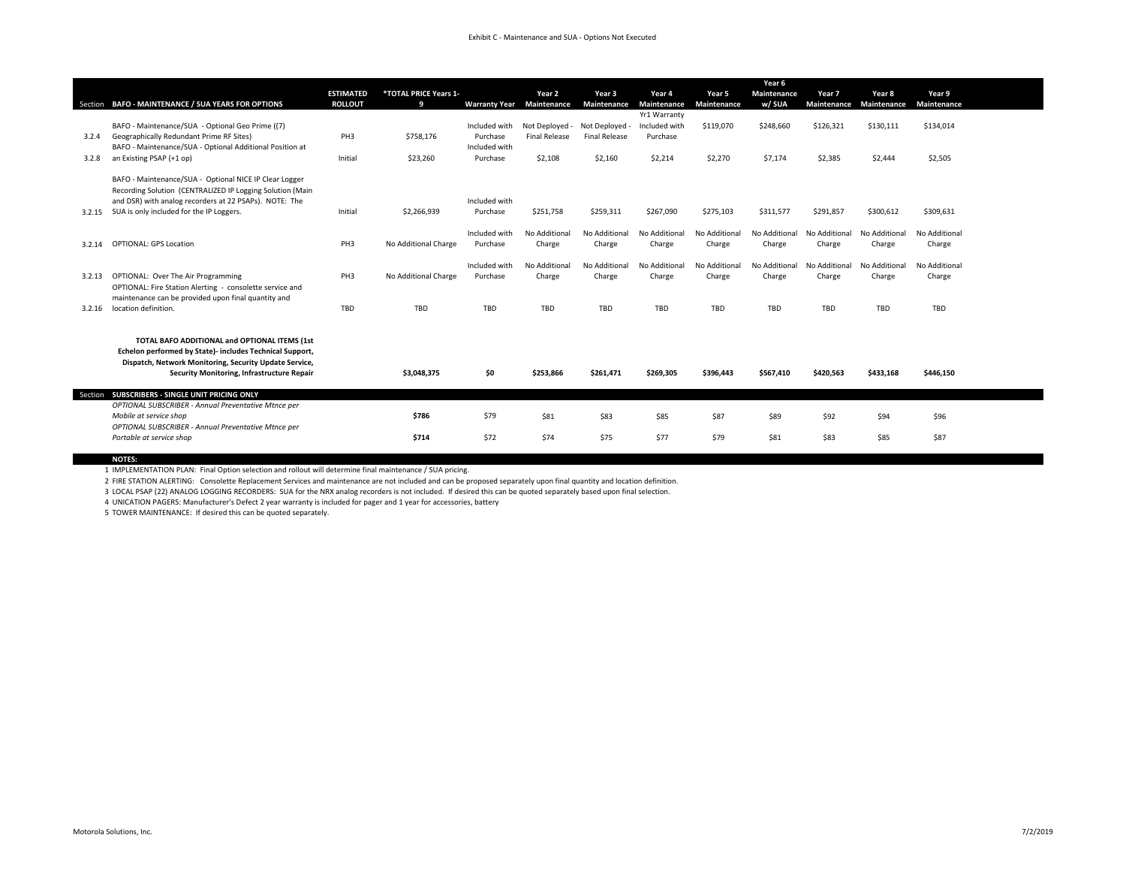## Exhibit C - Maintenance and SUA - Options Not Executed

|        |                                                                                                                                                                                                                           |                  |                       |                                  |                               |                         |                               |                         | Year 6                  |                         |                         |                         |
|--------|---------------------------------------------------------------------------------------------------------------------------------------------------------------------------------------------------------------------------|------------------|-----------------------|----------------------------------|-------------------------------|-------------------------|-------------------------------|-------------------------|-------------------------|-------------------------|-------------------------|-------------------------|
|        |                                                                                                                                                                                                                           | <b>ESTIMATED</b> | *TOTAL PRICE Years 1- |                                  | Year 2                        | Year 3                  | Year 4                        | Year 5                  | <b>Maintenance</b>      | Year 7                  | Year 8                  | Year 9                  |
|        | Section BAFO - MAINTENANCE / SUA YEARS FOR OPTIONS                                                                                                                                                                        | <b>ROLLOUT</b>   | 9                     | <b>Warranty Year</b> Maintenance |                               | Maintenance             | Maintenance                   | Maintenance             | w/ SUA                  | Maintenance             | Maintenance             | Maintenance             |
|        | BAFO - Maintenance/SUA - Optional Geo Prime ((7)                                                                                                                                                                          |                  |                       | Included with                    | Not Deployed - Not Deployed - |                         | Yr1 Warranty<br>Included with |                         |                         |                         |                         |                         |
| 3.2.4  | Geographically Redundant Prime RF Sites)                                                                                                                                                                                  | PH <sub>3</sub>  | \$758,176             | Purchase                         | <b>Final Release</b>          | <b>Final Release</b>    | Purchase                      | \$119,070               | \$248,660               | \$126,321               | \$130,111               | \$134,014               |
|        | BAFO - Maintenance/SUA - Optional Additional Position at                                                                                                                                                                  |                  |                       | Included with                    |                               |                         |                               |                         |                         |                         |                         |                         |
| 3.2.8  | an Existing PSAP (+1 op)                                                                                                                                                                                                  | Initial          | \$23,260              | Purchase                         | \$2,108                       | \$2,160                 | \$2,214                       | \$2,270                 | \$7,174                 | \$2,385                 | \$2,444                 | \$2,505                 |
|        |                                                                                                                                                                                                                           |                  |                       |                                  |                               |                         |                               |                         |                         |                         |                         |                         |
| 3.2.15 | BAFO - Maintenance/SUA - Optional NICE IP Clear Logger<br>Recording Solution (CENTRALIZED IP Logging Solution (Main<br>and DSR) with analog recorders at 22 PSAPs). NOTE: The<br>SUA is only included for the IP Loggers. | Initial          | \$2,266,939           | Included with<br>Purchase        | \$251,758                     | \$259,311               | \$267,090                     | \$275,103               | \$311,577               | \$291,857               | \$300,612               | \$309,631               |
|        |                                                                                                                                                                                                                           |                  |                       |                                  |                               |                         |                               |                         |                         |                         |                         |                         |
| 3.2.14 | <b>OPTIONAL: GPS Location</b>                                                                                                                                                                                             | PH <sub>3</sub>  | No Additional Charge  | Included with<br>Purchase        | No Additional<br>Charge       | No Additional<br>Charge | No Additional<br>Charge       | No Additional<br>Charge | No Additional<br>Charge | No Additional<br>Charge | No Additional<br>Charge | No Additional<br>Charge |
|        |                                                                                                                                                                                                                           |                  |                       | Included with                    | No Additional                 | No Additional           | No Additional                 | No Additional           | No Additional           | No Additional           | No Additional           | No Additional           |
| 3.2.13 | OPTIONAL: Over The Air Programming                                                                                                                                                                                        | PH3              | No Additional Charge  | Purchase                         | Charge                        | Charge                  | Charge                        | Charge                  | Charge                  | Charge                  | Charge                  | Charge                  |
|        | OPTIONAL: Fire Station Alerting - consolette service and<br>maintenance can be provided upon final quantity and                                                                                                           |                  |                       |                                  |                               |                         |                               |                         |                         |                         |                         |                         |
| 3.2.16 | location definition.                                                                                                                                                                                                      | TBD              | <b>TBD</b>            | TBD                              | TBD                           | TBD                     | <b>TBD</b>                    | TBD                     | TBD                     | TBD                     | TBD                     | TBD                     |
|        | TOTAL BAFO ADDITIONAL and OPTIONAL ITEMS (1st                                                                                                                                                                             |                  |                       |                                  |                               |                         |                               |                         |                         |                         |                         |                         |
|        | Echelon performed by State)- includes Technical Support,                                                                                                                                                                  |                  |                       |                                  |                               |                         |                               |                         |                         |                         |                         |                         |
|        | Dispatch, Network Monitoring, Security Update Service,                                                                                                                                                                    |                  |                       |                                  |                               |                         |                               |                         |                         |                         |                         |                         |
|        | Security Monitoring, Infrastructure Repair                                                                                                                                                                                |                  | \$3,048,375           | \$0                              | \$253,866                     | \$261,471               | \$269,305                     | \$396,443               | \$567,410               | \$420,563               | \$433,168               | \$446,150               |
|        |                                                                                                                                                                                                                           |                  |                       |                                  |                               |                         |                               |                         |                         |                         |                         |                         |
|        | Section SUBSCRIBERS - SINGLE UNIT PRICING ONLY<br>OPTIONAL SUBSCRIBER - Annual Preventative Mtnce per                                                                                                                     |                  |                       |                                  |                               |                         |                               |                         |                         |                         |                         |                         |
|        | Mobile at service shop                                                                                                                                                                                                    |                  | \$786                 | \$79                             | \$81                          | \$83                    | \$85                          | \$87                    | \$89                    | \$92                    | \$94                    | \$96                    |
|        | OPTIONAL SUBSCRIBER - Annual Preventative Mtnce per                                                                                                                                                                       |                  |                       |                                  |                               |                         |                               |                         |                         |                         |                         |                         |
|        | Portable at service shop                                                                                                                                                                                                  |                  | \$714                 | \$72                             | \$74                          | \$75                    | \$77                          | \$79                    | \$81                    | \$83                    | \$85                    | \$87                    |

**NOTES:**<br>1 IMPLEMENTATION PLAN: Final Option selection and rollout will determine final maintenance / SUA pricing.

2 FIRE STATION ALERTING: Consolette Replacement Services and maintenance are not included and can be proposed separately upon final quantity and location definition.

3 LOCAL PSAP (22) ANALOG LOGGING RECORDERS: SUA for the NRX analog recorders is not included. If desired this can be quoted separately based upon final selection.

4 UNICATION PAGERS: Manufacturer's Defect 2 year warranty is included for pager and 1 year for accessories, battery

5 TOWER MAINTENANCE: If desired this can be quoted separately.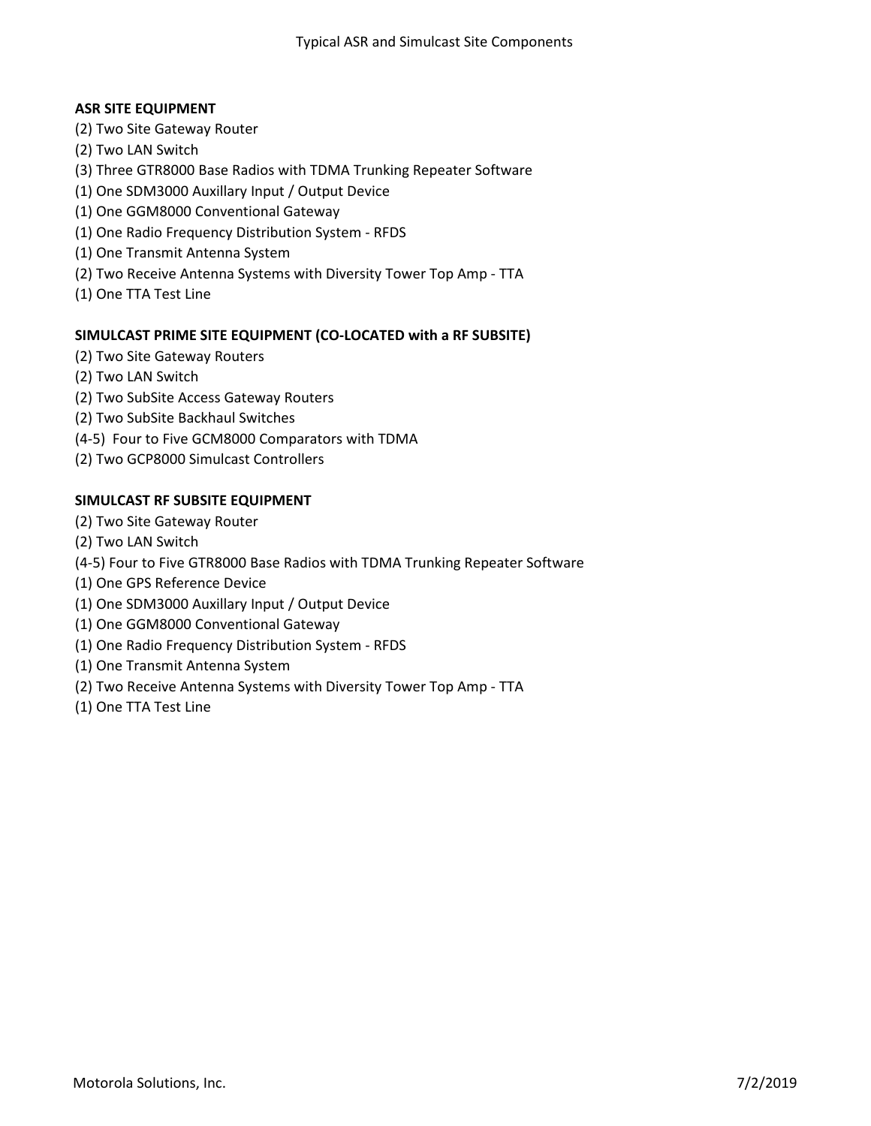# **ASR SITE EQUIPMENT**

- (2) Two Site Gateway Router
- (2) Two LAN Switch
- (3) Three GTR8000 Base Radios with TDMA Trunking Repeater Software
- (1) One SDM3000 Auxillary Input / Output Device
- (1) One GGM8000 Conventional Gateway
- (1) One Radio Frequency Distribution System RFDS
- (1) One Transmit Antenna System
- (2) Two Receive Antenna Systems with Diversity Tower Top Amp TTA
- (1) One TTA Test Line

## **SIMULCAST PRIME SITE EQUIPMENT (CO-LOCATED with a RF SUBSITE)**

- (2) Two Site Gateway Routers
- (2) Two LAN Switch
- (2) Two SubSite Access Gateway Routers
- (2) Two SubSite Backhaul Switches
- (4-5) Four to Five GCM8000 Comparators with TDMA
- (2) Two GCP8000 Simulcast Controllers

# **SIMULCAST RF SUBSITE EQUIPMENT**

- (2) Two Site Gateway Router
- (2) Two LAN Switch
- (4-5) Four to Five GTR8000 Base Radios with TDMA Trunking Repeater Software
- (1) One GPS Reference Device
- (1) One SDM3000 Auxillary Input / Output Device
- (1) One GGM8000 Conventional Gateway
- (1) One Radio Frequency Distribution System RFDS
- (1) One Transmit Antenna System
- (2) Two Receive Antenna Systems with Diversity Tower Top Amp TTA
- (1) One TTA Test Line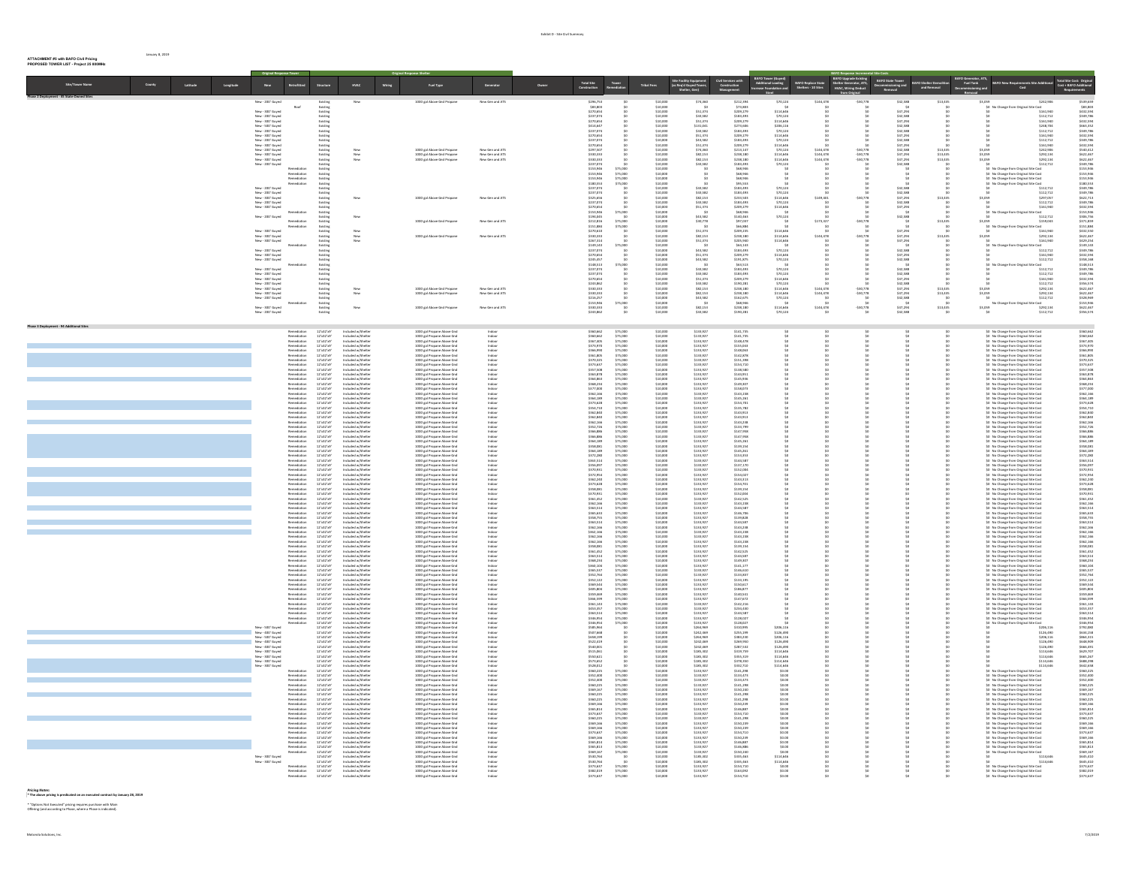## **ATTACHMENT #5 with BAFO Civil Pricing PROPOSED TOWER LIST - Project 25 800MHz**

January 8, 2019

| Latitude<br>Longitude     | $new$                                                                                                                                                                                                                                                 | Retrofitted                                                                                                                                                                                                                                                                          | Structure                                                                                                                                                                                                                                                                                                       | <b>HVAC</b>                                                                                                                                                                                                                                                                                                                                                                                                                                                                                                                 | Wiring | Fuel Type                                                                                                                                                                                                                                       | Generato                           | Owne | <b>Total Site<br/>Construction</b>                                                                                                                                                                                    | Tower<br>mediatio                                                                                                                                        | Site Facility I<br>(as Reg'd Guy<br><b>Tribal Fees</b> |                                                                                                                                                                                                                                                                                                                                                              |                                                                                                                                                                                                                                                                   | BAFO Tower (Guyed)<br>Additional Loading<br>Increase Foundation and                                                                                                                                                                                                                       | <b>BAFO Replace State</b><br>Shelters - 10 Sites                | de Existing<br>Irator, ATS,<br>Shelber Ge<br>HVAC, W         | BAFO State Tower<br>Decommissioning an                                                          | Dec                            | Fuel Tank              |                                                                                                                                                                                                                                                       |                                                                                                                                                                                                                                                                                       |
|---------------------------|-------------------------------------------------------------------------------------------------------------------------------------------------------------------------------------------------------------------------------------------------------|--------------------------------------------------------------------------------------------------------------------------------------------------------------------------------------------------------------------------------------------------------------------------------------|-----------------------------------------------------------------------------------------------------------------------------------------------------------------------------------------------------------------------------------------------------------------------------------------------------------------|-----------------------------------------------------------------------------------------------------------------------------------------------------------------------------------------------------------------------------------------------------------------------------------------------------------------------------------------------------------------------------------------------------------------------------------------------------------------------------------------------------------------------------|--------|-------------------------------------------------------------------------------------------------------------------------------------------------------------------------------------------------------------------------------------------------|------------------------------------|------|-----------------------------------------------------------------------------------------------------------------------------------------------------------------------------------------------------------------------|----------------------------------------------------------------------------------------------------------------------------------------------------------|--------------------------------------------------------|--------------------------------------------------------------------------------------------------------------------------------------------------------------------------------------------------------------------------------------------------------------------------------------------------------------------------------------------------------------|-------------------------------------------------------------------------------------------------------------------------------------------------------------------------------------------------------------------------------------------------------------------|-------------------------------------------------------------------------------------------------------------------------------------------------------------------------------------------------------------------------------------------------------------------------------------------|-----------------------------------------------------------------|--------------------------------------------------------------|-------------------------------------------------------------------------------------------------|--------------------------------|------------------------|-------------------------------------------------------------------------------------------------------------------------------------------------------------------------------------------------------------------------------------------------------|---------------------------------------------------------------------------------------------------------------------------------------------------------------------------------------------------------------------------------------------------------------------------------------|
|                           | New - 200' Guyed                                                                                                                                                                                                                                      |                                                                                                                                                                                                                                                                                      |                                                                                                                                                                                                                                                                                                                 | New                                                                                                                                                                                                                                                                                                                                                                                                                                                                                                                         |        | 1000 gal Above Gnd Propan                                                                                                                                                                                                                       | New Gen and ATS                    |      | \$296,753                                                                                                                                                                                                             |                                                                                                                                                          | \$10,000                                               |                                                                                                                                                                                                                                                                                                                                                              | \$212,394                                                                                                                                                                                                                                                         | \$70,124                                                                                                                                                                                                                                                                                  | \$144,478                                                       | -\$30,778                                                    | \$42,588                                                                                        | \$13,435                       | \$3,059                | \$242,906                                                                                                                                                                                                                                             |                                                                                                                                                                                                                                                                                       |
|                           |                                                                                                                                                                                                                                                       | Roof                                                                                                                                                                                                                                                                                 | bisking<br>bisking<br>bisking<br>bisking<br>bisking<br>bisking<br>bisking<br>bisking<br>bisking<br>bisking<br>bisking<br>bisking<br>bisking<br>bisking<br>bisking<br>bisking<br>bisking<br>bisking<br>bisking<br>bisking<br>bisking<br>bisking<br>bisking<br>bisking<br>bisking<br>bisking<br>bisking<br>biskin |                                                                                                                                                                                                                                                                                                                                                                                                                                                                                                                             |        |                                                                                                                                                                                                                                                 |                                    |      | \$83,803<br>\$270,654                                                                                                                                                                                                 |                                                                                                                                                          |                                                        | $\begin{array}{r} 574,360 \\ 50 \\ 551,374 \end{array}$                                                                                                                                                                                                                                                                                                      | \$73,803<br>\$209,279                                                                                                                                                                                                                                             | 50<br>\$114,646                                                                                                                                                                                                                                                                           |                                                                 |                                                              |                                                                                                 |                                | \$0 No Change          | Cost<br>\$161,940<br>\$112,712                                                                                                                                                                                                                        | $\begin{array}{l} 531.580 \\ 531.590 \\ 543.590 \\ 544.590 \\ 545.590 \\ 546.591 \\ 547.590 \\ 548.591 \\ 549.780 \\ 549.780 \\ 549.780 \\ 540.780 \\ 540.780 \\ 540.780 \\ 540.780 \\ 540.780 \\ 540.780 \\ 540.780 \\ 540.780 \\ 540.780 \\ 540.780 \\ 540.780 \\ 540.780 \\ 540.7$ |
|                           | New - 300' Guyed<br>New - 300' Guyed<br>New - 300' Guyed<br>New - 500' Guyed<br>New - 200' Guyed<br>New - 300' Guyed<br>New - 300' Guyed<br>New - 300' Guyed<br>New - 300' Guyed<br>New - 300' Guyed<br>New - 300' Guyed<br>New - 300' Guyed<br>New - |                                                                                                                                                                                                                                                                                      |                                                                                                                                                                                                                                                                                                                 |                                                                                                                                                                                                                                                                                                                                                                                                                                                                                                                             |        |                                                                                                                                                                                                                                                 |                                    |      | \$237,074<br>\$270,654                                                                                                                                                                                                |                                                                                                                                                          |                                                        | \$43,582<br>\$51,374                                                                                                                                                                                                                                                                                                                                         | \$183,493                                                                                                                                                                                                                                                         | \$70,124<br>\$114,646                                                                                                                                                                                                                                                                     |                                                                 |                                                              | 547,234<br>542,538<br>547,234<br>542,538<br>547,234<br>547,234<br>547,234<br>547,234<br>547,234 |                                |                        |                                                                                                                                                                                                                                                       |                                                                                                                                                                                                                                                                                       |
|                           |                                                                                                                                                                                                                                                       |                                                                                                                                                                                                                                                                                      |                                                                                                                                                                                                                                                                                                                 |                                                                                                                                                                                                                                                                                                                                                                                                                                                                                                                             |        |                                                                                                                                                                                                                                                 |                                    |      | \$414,647<br>\$237,074                                                                                                                                                                                                |                                                                                                                                                          |                                                        | 5131,041<br>\$43,582                                                                                                                                                                                                                                                                                                                                         | $\begin{array}{c} 5.209, 2.79 \\ 5.273, 606 \\ 5.183, 493 \\ 5.209, 2.79 \\ 5.183, 493 \\ 5.209, 2.79 \\ 5.213, 147 \\ 5.238, 180 \\ 5.238, 180 \\ 5.68, 946 \\ 568, 946 \\ 568, 946 \\ \end{array}$                                                              | \$206,116<br>\$70,124                                                                                                                                                                                                                                                                     |                                                                 |                                                              |                                                                                                 |                                |                        | \$161,940<br>\$248,704<br>\$112,712                                                                                                                                                                                                                   |                                                                                                                                                                                                                                                                                       |
|                           |                                                                                                                                                                                                                                                       |                                                                                                                                                                                                                                                                                      |                                                                                                                                                                                                                                                                                                                 |                                                                                                                                                                                                                                                                                                                                                                                                                                                                                                                             |        |                                                                                                                                                                                                                                                 |                                    |      | \$270,654<br>\$237,074                                                                                                                                                                                                |                                                                                                                                                          |                                                        | \$51,374<br>\$43,582                                                                                                                                                                                                                                                                                                                                         |                                                                                                                                                                                                                                                                   | \$114,646<br>\$70,124                                                                                                                                                                                                                                                                     |                                                                 |                                                              |                                                                                                 |                                |                        | $\begin{array}{c} 5161,940 \\ 5112,712 \\ 5161,940 \end{array}$                                                                                                                                                                                       |                                                                                                                                                                                                                                                                                       |
|                           |                                                                                                                                                                                                                                                       |                                                                                                                                                                                                                                                                                      |                                                                                                                                                                                                                                                                                                                 |                                                                                                                                                                                                                                                                                                                                                                                                                                                                                                                             |        | 1000 gal Above Gnd Propan                                                                                                                                                                                                                       | New Gen and ATS                    |      | \$270,654<br>\$297.507                                                                                                                                                                                                |                                                                                                                                                          |                                                        | \$51,374<br>\$74,360<br>\$82,153                                                                                                                                                                                                                                                                                                                             |                                                                                                                                                                                                                                                                   | \$114,646<br>\$70,124                                                                                                                                                                                                                                                                     |                                                                 |                                                              |                                                                                                 | \$13,435                       | \$3,059                | \$242,906                                                                                                                                                                                                                                             |                                                                                                                                                                                                                                                                                       |
|                           |                                                                                                                                                                                                                                                       |                                                                                                                                                                                                                                                                                      |                                                                                                                                                                                                                                                                                                                 | New<br>New<br>New                                                                                                                                                                                                                                                                                                                                                                                                                                                                                                           |        | .<br>1000 gal Above Gnd Propane<br>1000 gal Above Gnd Propane                                                                                                                                                                                   | New Gen and ATS<br>New Gen and ATS |      | \$330,333<br>\$330,333                                                                                                                                                                                                |                                                                                                                                                          |                                                        | \$82,153                                                                                                                                                                                                                                                                                                                                                     |                                                                                                                                                                                                                                                                   | \$114,646<br>\$114,646<br>\$70,124                                                                                                                                                                                                                                                        | $\begin{array}{c} 5144,478 \\ 5144,478 \\ 5144,478 \end{array}$ | $\begin{array}{r} 330,778 \\ 330,778 \\ 330,778 \end{array}$ |                                                                                                 | \$13.435<br>\$13,435           | \$3,059<br>\$3,059     | \$292,134<br>\$292,134                                                                                                                                                                                                                                |                                                                                                                                                                                                                                                                                       |
|                           | New - 200' Guyed                                                                                                                                                                                                                                      |                                                                                                                                                                                                                                                                                      |                                                                                                                                                                                                                                                                                                                 |                                                                                                                                                                                                                                                                                                                                                                                                                                                                                                                             |        |                                                                                                                                                                                                                                                 |                                    |      | \$237.074<br>\$153,946                                                                                                                                                                                                | \$75,000                                                                                                                                                 |                                                        | 543,582                                                                                                                                                                                                                                                                                                                                                      |                                                                                                                                                                                                                                                                   |                                                                                                                                                                                                                                                                                           |                                                                 |                                                              |                                                                                                 |                                |                        | \$112.712<br>50 No Change from Original Site                                                                                                                                                                                                          |                                                                                                                                                                                                                                                                                       |
|                           |                                                                                                                                                                                                                                                       | <b>Remediation</b><br>Remediation<br>Remediation                                                                                                                                                                                                                                     |                                                                                                                                                                                                                                                                                                                 |                                                                                                                                                                                                                                                                                                                                                                                                                                                                                                                             |        |                                                                                                                                                                                                                                                 |                                    |      | \$153,946<br>\$153,946<br>\$180,553                                                                                                                                                                                   | \$75,000<br>\$75,000<br>\$75,000                                                                                                                         |                                                        |                                                                                                                                                                                                                                                                                                                                                              |                                                                                                                                                                                                                                                                   |                                                                                                                                                                                                                                                                                           |                                                                 |                                                              |                                                                                                 |                                |                        | 50 No Change from Original Site Cost<br>50 No Change from Original Site Cost<br>50 No Change from Original Site Cost                                                                                                                                  |                                                                                                                                                                                                                                                                                       |
|                           |                                                                                                                                                                                                                                                       |                                                                                                                                                                                                                                                                                      |                                                                                                                                                                                                                                                                                                                 |                                                                                                                                                                                                                                                                                                                                                                                                                                                                                                                             |        |                                                                                                                                                                                                                                                 |                                    |      | \$237,074<br>\$237,074                                                                                                                                                                                                |                                                                                                                                                          |                                                        | \$43,582                                                                                                                                                                                                                                                                                                                                                     |                                                                                                                                                                                                                                                                   | \$70,124                                                                                                                                                                                                                                                                                  |                                                                 |                                                              | \$42,588                                                                                        |                                |                        | \$112,712<br>\$112,712                                                                                                                                                                                                                                |                                                                                                                                                                                                                                                                                       |
|                           | New - 200' Guyed<br>New - 200' Guyed<br>New - 300' Guyed<br>New - 200' Guyed<br>New - 300' Guyed                                                                                                                                                      |                                                                                                                                                                                                                                                                                      |                                                                                                                                                                                                                                                                                                                 | New                                                                                                                                                                                                                                                                                                                                                                                                                                                                                                                         |        | 1000 gal Above Gnd Propane                                                                                                                                                                                                                      | New Gen and ATS                    |      | \$325,656<br>\$237.074                                                                                                                                                                                                |                                                                                                                                                          |                                                        | \$43,582<br>\$82,153                                                                                                                                                                                                                                                                                                                                         |                                                                                                                                                                                                                                                                   | $$70,124$<br>$$114,646$<br>$$70,124$                                                                                                                                                                                                                                                      | \$149,401                                                       | -\$30,778                                                    | 542,588<br>547,294<br>542,588<br>547,294                                                        | \$13,435                       | \$3,059                | \$297.057<br>5112.712                                                                                                                                                                                                                                 |                                                                                                                                                                                                                                                                                       |
|                           |                                                                                                                                                                                                                                                       | Nemediation                                                                                                                                                                                                                                                                          |                                                                                                                                                                                                                                                                                                                 |                                                                                                                                                                                                                                                                                                                                                                                                                                                                                                                             |        |                                                                                                                                                                                                                                                 |                                    |      | \$270.654<br>\$153,946                                                                                                                                                                                                | \$75,000                                                                                                                                                 |                                                        |                                                                                                                                                                                                                                                                                                                                                              |                                                                                                                                                                                                                                                                   | \$114,646                                                                                                                                                                                                                                                                                 |                                                                 |                                                              |                                                                                                 |                                |                        | \$161,940<br>50 No Change from Original Site Cox                                                                                                                                                                                                      |                                                                                                                                                                                                                                                                                       |
|                           | New - 200' Guyed                                                                                                                                                                                                                                      | Remediation                                                                                                                                                                                                                                                                          |                                                                                                                                                                                                                                                                                                                 | New                                                                                                                                                                                                                                                                                                                                                                                                                                                                                                                         |        | 1000 gal Above Gnd Propane                                                                                                                                                                                                                      | New Gen and ATS                    |      | \$194,045<br>\$212.816                                                                                                                                                                                                |                                                                                                                                                          |                                                        | 582,153<br>543,582<br>551,374<br>50<br>543,582<br>530,778<br>50                                                                                                                                                                                                                                                                                              |                                                                                                                                                                                                                                                                   | \$70,124                                                                                                                                                                                                                                                                                  | \$173,327                                                       |                                                              | \$42,588                                                                                        |                                | \$3,059                | Lost<br>\$112,712<br>\$159,043                                                                                                                                                                                                                        |                                                                                                                                                                                                                                                                                       |
|                           |                                                                                                                                                                                                                                                       |                                                                                                                                                                                                                                                                                      |                                                                                                                                                                                                                                                                                                                 |                                                                                                                                                                                                                                                                                                                                                                                                                                                                                                                             |        |                                                                                                                                                                                                                                                 |                                    |      | \$151,884<br>\$270,610                                                                                                                                                                                                | \$75,000<br>\$75,000                                                                                                                                     |                                                        |                                                                                                                                                                                                                                                                                                                                                              |                                                                                                                                                                                                                                                                   |                                                                                                                                                                                                                                                                                           |                                                                 | $-530,778$                                                   |                                                                                                 | 513,435                        | SO No Change           |                                                                                                                                                                                                                                                       |                                                                                                                                                                                                                                                                                       |
|                           | New - 300' Guyed<br>New - 300' Guyed<br>New - 300' Guyed                                                                                                                                                                                              |                                                                                                                                                                                                                                                                                      |                                                                                                                                                                                                                                                                                                                 | New<br>New<br>New                                                                                                                                                                                                                                                                                                                                                                                                                                                                                                           |        | 1000 gal Above Gnd Propan                                                                                                                                                                                                                       | New Gen and ATS                    |      |                                                                                                                                                                                                                       |                                                                                                                                                          |                                                        | $551,374$<br>$582,153$<br>$551,374$<br>$50$                                                                                                                                                                                                                                                                                                                  |                                                                                                                                                                                                                                                                   | $5114,646$<br>$5114,646$<br>$5114,646$<br>$50$                                                                                                                                                                                                                                            | \$144,478                                                       | $-530,778$                                                   | 547,294<br>547,294<br>547,294<br>50                                                             | 513,435                        | \$3,059                | 5161,940<br>\$292,134<br>\$161,940                                                                                                                                                                                                                    |                                                                                                                                                                                                                                                                                       |
|                           |                                                                                                                                                                                                                                                       |                                                                                                                                                                                                                                                                                      |                                                                                                                                                                                                                                                                                                                 |                                                                                                                                                                                                                                                                                                                                                                                                                                                                                                                             |        |                                                                                                                                                                                                                                                 |                                    |      |                                                                                                                                                                                                                       | \$75,000                                                                                                                                                 |                                                        |                                                                                                                                                                                                                                                                                                                                                              |                                                                                                                                                                                                                                                                   |                                                                                                                                                                                                                                                                                           |                                                                 |                                                              |                                                                                                 |                                |                        |                                                                                                                                                                                                                                                       |                                                                                                                                                                                                                                                                                       |
|                           | New - 200' Guyed<br>New - 300' Guyed<br>New - 200' Guyed                                                                                                                                                                                              |                                                                                                                                                                                                                                                                                      |                                                                                                                                                                                                                                                                                                                 |                                                                                                                                                                                                                                                                                                                                                                                                                                                                                                                             |        |                                                                                                                                                                                                                                                 |                                    |      |                                                                                                                                                                                                                       |                                                                                                                                                          |                                                        | \$43,582<br>\$51,374<br>\$43,582                                                                                                                                                                                                                                                                                                                             |                                                                                                                                                                                                                                                                   | 570,124<br>\$114,646<br>\$70,124                                                                                                                                                                                                                                                          |                                                                 |                                                              | 542,588<br>547,234<br>542,588                                                                   |                                |                        | ou<br>5112,712<br>5161,940<br>5112,712                                                                                                                                                                                                                |                                                                                                                                                                                                                                                                                       |
|                           |                                                                                                                                                                                                                                                       |                                                                                                                                                                                                                                                                                      |                                                                                                                                                                                                                                                                                                                 |                                                                                                                                                                                                                                                                                                                                                                                                                                                                                                                             |        |                                                                                                                                                                                                                                                 |                                    |      |                                                                                                                                                                                                                       | \$75,000                                                                                                                                                 |                                                        |                                                                                                                                                                                                                                                                                                                                                              |                                                                                                                                                                                                                                                                   |                                                                                                                                                                                                                                                                                           |                                                                 |                                                              |                                                                                                 |                                |                        |                                                                                                                                                                                                                                                       |                                                                                                                                                                                                                                                                                       |
|                           |                                                                                                                                                                                                                                                       |                                                                                                                                                                                                                                                                                      |                                                                                                                                                                                                                                                                                                                 |                                                                                                                                                                                                                                                                                                                                                                                                                                                                                                                             |        |                                                                                                                                                                                                                                                 |                                    |      |                                                                                                                                                                                                                       |                                                                                                                                                          |                                                        |                                                                                                                                                                                                                                                                                                                                                              |                                                                                                                                                                                                                                                                   |                                                                                                                                                                                                                                                                                           |                                                                 |                                                              |                                                                                                 |                                |                        | 08<br>5112,712<br>5112,712<br>5161,940<br>5112,712<br>5292,134<br>5112,712<br>5112,712                                                                                                                                                                |                                                                                                                                                                                                                                                                                       |
|                           |                                                                                                                                                                                                                                                       |                                                                                                                                                                                                                                                                                      |                                                                                                                                                                                                                                                                                                                 | $% \mathcal{H}_{\mathrm{N}}\rightarrow \mathcal{H}_{\mathrm{N}}$ New                                                                                                                                                                                                                                                                                                                                                                                                                                                        |        | .<br>1000 gal Above Grid Propani<br>1000 gal Above Grid Propani                                                                                                                                                                                 | New Gen and ATS<br>New Gen and ATS |      |                                                                                                                                                                                                                       |                                                                                                                                                          |                                                        |                                                                                                                                                                                                                                                                                                                                                              |                                                                                                                                                                                                                                                                   |                                                                                                                                                                                                                                                                                           | $5144,478$<br>$5144,478$                                        | -<br>- \$30,778<br>- \$30,778                                |                                                                                                 | $513,435$<br>$513,435$<br>$50$ | sa,oso<br>sa,oso<br>so |                                                                                                                                                                                                                                                       |                                                                                                                                                                                                                                                                                       |
|                           | New - 200' Guyed<br>New - 200' Guyed<br>New - 300' Guyed<br>New - 200' Guyed<br>New - 300' Guyed<br>New - 300' Guyed<br>New - 200' Guyed                                                                                                              |                                                                                                                                                                                                                                                                                      |                                                                                                                                                                                                                                                                                                                 |                                                                                                                                                                                                                                                                                                                                                                                                                                                                                                                             |        |                                                                                                                                                                                                                                                 |                                    |      |                                                                                                                                                                                                                       |                                                                                                                                                          |                                                        | 50<br>543,582<br>543,582<br>543,582<br>582,153<br>582,153<br>543,582<br>543,582                                                                                                                                                                                                                                                                              |                                                                                                                                                                                                                                                                   | $\begin{array}{r} 50 \\ 570,124 \\ 570,124 \\ 5114,646 \\ 570,124 \\ 5114,646 \\ 5114,646 \\ 5114,646 \\ 570,124 \\ 50 \end{array}$                                                                                                                                                       |                                                                 |                                                              | 50<br>542,588<br>542,588<br>547,294<br>547,294<br>547,294<br>542,588                            |                                |                        |                                                                                                                                                                                                                                                       |                                                                                                                                                                                                                                                                                       |
|                           | New - 300' Guyed<br>New - 200' Guyed                                                                                                                                                                                                                  |                                                                                                                                                                                                                                                                                      | Disting<br>Sixting<br>Sixting<br>Sixting<br>Sixting<br>Sixting<br>Sixting<br>Sixting<br>Sixting<br>Sixting<br>Sixting<br>Sixting<br>Sixting<br>Sixting<br>Sixting<br>Sixting<br>Sixting<br>Sixting<br>Sixting<br>Sixting<br>Sixting<br>Sixting<br>Sixting                                                       | New                                                                                                                                                                                                                                                                                                                                                                                                                                                                                                                         |        | 1000 gal Above Gnd Propan                                                                                                                                                                                                                       | New Gen and ATS                    |      | 4310,333<br>5267,314<br>5247,074<br>5237,074<br>5247,074<br>5237,074<br>5237,074<br>5237,074<br>5237,074<br>52310,333<br>5310,333<br>5310,333<br>5310,333<br>5310,333<br>5310,333<br>5310,333<br>5310,333<br>5310,333 | 575,000<br>50<br>50                                                                                                                                      |                                                        | 582,153<br>\$43,582                                                                                                                                                                                                                                                                                                                                          | $\begin{array}{c} 995.533\\ 5183,493\\ 5183,493\\ 5183,493\\ 5233,493\\ 5183,493\\ 5233,509,279\\ 540,463\\ 5200,279\\ 5440,463\\ 560,284\\ 5200,218\\ 5233,493\\ 5233,493\\ 5233,493\\ 5233,493\\ 5233,493\\ 5233,493\\ 5233,493\\ 5233,493\\ 5233,493\\ 5$      | 5114,646<br>570,124                                                                                                                                                                                                                                                                       | \$144,478                                                       | $-530,778$                                                   | 547,294<br>542,588                                                                              | 513,435                        | \$3,059<br>\$0         | ost<br>\$292,134<br>\$112,712                                                                                                                                                                                                                         |                                                                                                                                                                                                                                                                                       |
|                           |                                                                                                                                                                                                                                                       |                                                                                                                                                                                                                                                                                      |                                                                                                                                                                                                                                                                                                                 |                                                                                                                                                                                                                                                                                                                                                                                                                                                                                                                             |        |                                                                                                                                                                                                                                                 |                                    |      |                                                                                                                                                                                                                       |                                                                                                                                                          |                                                        |                                                                                                                                                                                                                                                                                                                                                              |                                                                                                                                                                                                                                                                   |                                                                                                                                                                                                                                                                                           |                                                                 |                                                              |                                                                                                 |                                |                        |                                                                                                                                                                                                                                                       |                                                                                                                                                                                                                                                                                       |
| Int - 94 Additional Sites |                                                                                                                                                                                                                                                       |                                                                                                                                                                                                                                                                                      |                                                                                                                                                                                                                                                                                                                 |                                                                                                                                                                                                                                                                                                                                                                                                                                                                                                                             |        |                                                                                                                                                                                                                                                 |                                    |      |                                                                                                                                                                                                                       |                                                                                                                                                          |                                                        |                                                                                                                                                                                                                                                                                                                                                              |                                                                                                                                                                                                                                                                   |                                                                                                                                                                                                                                                                                           |                                                                 |                                                              |                                                                                                 |                                |                        | 50 No Change from Chiptai Site Cost<br>50 No Change from Chiptai Site Cost<br>50 No Change from Chiptai Site Cost<br>50 No Change from Chiptai Site Cost<br>50 No Change from Chiptai Site Cost<br>50 No Change from Chiptai Site Cost<br>            |                                                                                                                                                                                                                                                                                       |
|                           |                                                                                                                                                                                                                                                       |                                                                                                                                                                                                                                                                                      | $\begin{array}{c} 1253256' \\ 1253256' \\ 1253256' \\ 1253256' \\ 1253256' \\ 1253256' \\ 1253256' \\ 1253256' \\ 1253256' \\ 1253256' \\ 1253256' \\ 1253256' \\ 1253256' \\ 1253256' \end{array}$                                                                                                             | $\begin{tabular}{l} include \textbf{w/Shelter} \\ \textbf{include} & \textbf{w/Shelter} \\ \textbf{include} & \textbf{w/Shelter} \\ \textbf{include} & \textbf{w/Shelter} \\ \textbf{include} & \textbf{w/Shelter} \\ \textbf{include} & \textbf{w/Shelter} \\ \textbf{include} & \textbf{w/Shelter} \\ \textbf{include} & \textbf{w/Shelter} \\ \textbf{include} & \textbf{w/Shelter} \\ \textbf{include} & \textbf{w/Shelter} \\ \textbf{include} & \textbf{w/Shelter} \\ \textbf{include} & \textbf{w/Shelter} \\ \text$ |        |                                                                                                                                                                                                                                                 |                                    |      | $\begin{array}{c} 5360,662 \\ 5360,662 \\ 5367,405 \\ 5373,970 \\ 5366,990 \\ 5361,805 \\ 5370,325 \\ 5373,637 \\ 5373,637 \\ 5353,878 \\ 5364,863 \\ 5368,234 \\ \end{array}$                                        | \$75,000<br>\$75,000<br>\$75,000<br>\$75,000<br>\$75,000<br>\$75,000<br>\$75,000<br>\$75,000<br>\$75,000<br>\$75,000<br>\$75,000<br>\$75,000<br>\$75,000 |                                                        | 5133,927<br>5133,927<br>5133,927<br>5133,927<br>5133,927<br>5133,927<br>5133,927<br>5133,927                                                                                                                                                                                                                                                                 | $\begin{array}{c} 5141, 735 \\ 5141, 735 \\ 5148, 478 \\ 5148, 635 \\ 5145, 043 \\ 5148, 053 \\ 5142, 878 \\ 5151, 386 \\ 5142, 878 \\ 5151, 386 \\ 5148, 957 \\ 5145, 916 \\ 5144, 957 \\ 5154, 701 \\ 5145, 285 \\ 5154, 701 \\ \end{array}$                    |                                                                                                                                                                                                                                                                                           |                                                                 |                                                              |                                                                                                 |                                |                        |                                                                                                                                                                                                                                                       |                                                                                                                                                                                                                                                                                       |
|                           |                                                                                                                                                                                                                                                       |                                                                                                                                                                                                                                                                                      |                                                                                                                                                                                                                                                                                                                 |                                                                                                                                                                                                                                                                                                                                                                                                                                                                                                                             |        |                                                                                                                                                                                                                                                 |                                    |      |                                                                                                                                                                                                                       |                                                                                                                                                          |                                                        |                                                                                                                                                                                                                                                                                                                                                              |                                                                                                                                                                                                                                                                   |                                                                                                                                                                                                                                                                                           |                                                                 |                                                              |                                                                                                 |                                |                        |                                                                                                                                                                                                                                                       |                                                                                                                                                                                                                                                                                       |
|                           |                                                                                                                                                                                                                                                       |                                                                                                                                                                                                                                                                                      |                                                                                                                                                                                                                                                                                                                 |                                                                                                                                                                                                                                                                                                                                                                                                                                                                                                                             |        |                                                                                                                                                                                                                                                 |                                    |      |                                                                                                                                                                                                                       |                                                                                                                                                          |                                                        |                                                                                                                                                                                                                                                                                                                                                              |                                                                                                                                                                                                                                                                   |                                                                                                                                                                                                                                                                                           |                                                                 |                                                              |                                                                                                 |                                |                        |                                                                                                                                                                                                                                                       |                                                                                                                                                                                                                                                                                       |
|                           |                                                                                                                                                                                                                                                       |                                                                                                                                                                                                                                                                                      |                                                                                                                                                                                                                                                                                                                 |                                                                                                                                                                                                                                                                                                                                                                                                                                                                                                                             |        |                                                                                                                                                                                                                                                 |                                    |      |                                                                                                                                                                                                                       |                                                                                                                                                          |                                                        |                                                                                                                                                                                                                                                                                                                                                              |                                                                                                                                                                                                                                                                   |                                                                                                                                                                                                                                                                                           |                                                                 |                                                              |                                                                                                 |                                |                        |                                                                                                                                                                                                                                                       |                                                                                                                                                                                                                                                                                       |
|                           |                                                                                                                                                                                                                                                       |                                                                                                                                                                                                                                                                                      |                                                                                                                                                                                                                                                                                                                 |                                                                                                                                                                                                                                                                                                                                                                                                                                                                                                                             |        |                                                                                                                                                                                                                                                 |                                    |      |                                                                                                                                                                                                                       |                                                                                                                                                          |                                                        | \$133,927<br>\$133,927                                                                                                                                                                                                                                                                                                                                       |                                                                                                                                                                                                                                                                   |                                                                                                                                                                                                                                                                                           |                                                                 |                                                              |                                                                                                 |                                |                        |                                                                                                                                                                                                                                                       |                                                                                                                                                                                                                                                                                       |
|                           |                                                                                                                                                                                                                                                       | Remediation                                                                                                                                                                                                                                                                          | 12'x32'x9'<br>12'x32'x9'                                                                                                                                                                                                                                                                                        |                                                                                                                                                                                                                                                                                                                                                                                                                                                                                                                             |        |                                                                                                                                                                                                                                                 |                                    |      | \$377,00<br>\$362,16                                                                                                                                                                                                  |                                                                                                                                                          |                                                        | \$133,927<br>\$133,927                                                                                                                                                                                                                                                                                                                                       |                                                                                                                                                                                                                                                                   |                                                                                                                                                                                                                                                                                           |                                                                 |                                                              |                                                                                                 |                                |                        |                                                                                                                                                                                                                                                       |                                                                                                                                                                                                                                                                                       |
|                           |                                                                                                                                                                                                                                                       | Remediation                                                                                                                                                                                                                                                                          | 12'x32'x9'<br>12'x32'x9'                                                                                                                                                                                                                                                                                        |                                                                                                                                                                                                                                                                                                                                                                                                                                                                                                                             |        |                                                                                                                                                                                                                                                 |                                    |      | \$364,189<br>\$373,628                                                                                                                                                                                                |                                                                                                                                                          |                                                        | \$133,927<br>\$133,927                                                                                                                                                                                                                                                                                                                                       |                                                                                                                                                                                                                                                                   |                                                                                                                                                                                                                                                                                           |                                                                 |                                                              |                                                                                                 |                                |                        |                                                                                                                                                                                                                                                       |                                                                                                                                                                                                                                                                                       |
|                           |                                                                                                                                                                                                                                                       | Nemediation                                                                                                                                                                                                                                                                          | 12'x32'x9"                                                                                                                                                                                                                                                                                                      |                                                                                                                                                                                                                                                                                                                                                                                                                                                                                                                             |        |                                                                                                                                                                                                                                                 |                                    |      | \$354,710                                                                                                                                                                                                             |                                                                                                                                                          |                                                        | \$133,927                                                                                                                                                                                                                                                                                                                                                    | \$135,782                                                                                                                                                                                                                                                         |                                                                                                                                                                                                                                                                                           |                                                                 |                                                              |                                                                                                 |                                |                        | 50 No Change from Original Site Cost                                                                                                                                                                                                                  |                                                                                                                                                                                                                                                                                       |
|                           |                                                                                                                                                                                                                                                       | Remediation<br>Remediation                                                                                                                                                                                                                                                           | 1253250"<br>1253250"<br>1253250"<br>1253250"                                                                                                                                                                                                                                                                    | Included w/Shelter<br>Included w/Shelter<br>Included w/Shelter<br>Included w/Shelter<br>Included w/Shelter<br>Included w/Shelter<br>Included w/Shelter<br>Included w/Shelter<br>Included w/Shelter<br>Included w/Shelter<br>Included w/Shelter<br>Included w/Sh                                                                                                                                                                                                                                                             |        |                                                                                                                                                                                                                                                 |                                    |      | \$362,840<br>\$362,840                                                                                                                                                                                                |                                                                                                                                                          |                                                        | $5133,927$<br>$5133,927$                                                                                                                                                                                                                                                                                                                                     | 5135,782<br>5143,913<br>5143,913<br>5143,238<br>5133,799<br>5147,958<br>5145,261<br>5139,154<br>5145,261<br>5133,353                                                                                                                                              |                                                                                                                                                                                                                                                                                           |                                                                 |                                                              |                                                                                                 |                                |                        | 50 No Change from Christmas Ste Cost<br>50 No Change from Christmas Ste Cost<br>50 No Change from Christmas Ste Cost<br>50 No Change from Christmas Ste Cost<br>50 No Change from Christmas Ste Cost<br>50 No Change from Christmas Ste Cost<br>      |                                                                                                                                                                                                                                                                                       |
|                           |                                                                                                                                                                                                                                                       |                                                                                                                                                                                                                                                                                      |                                                                                                                                                                                                                                                                                                                 |                                                                                                                                                                                                                                                                                                                                                                                                                                                                                                                             |        |                                                                                                                                                                                                                                                 |                                    |      | \$362,166<br>\$352,726                                                                                                                                                                                                |                                                                                                                                                          |                                                        | \$133,927<br>\$133,927<br>\$133,927                                                                                                                                                                                                                                                                                                                          |                                                                                                                                                                                                                                                                   |                                                                                                                                                                                                                                                                                           |                                                                 |                                                              |                                                                                                 |                                |                        |                                                                                                                                                                                                                                                       |                                                                                                                                                                                                                                                                                       |
|                           |                                                                                                                                                                                                                                                       | Remediation<br>Remediation                                                                                                                                                                                                                                                           | 12'x32'x9                                                                                                                                                                                                                                                                                                       |                                                                                                                                                                                                                                                                                                                                                                                                                                                                                                                             |        |                                                                                                                                                                                                                                                 |                                    |      | \$366,886<br>\$366,886<br>\$364,189                                                                                                                                                                                   |                                                                                                                                                          |                                                        | \$133,927<br>\$133,927                                                                                                                                                                                                                                                                                                                                       |                                                                                                                                                                                                                                                                   |                                                                                                                                                                                                                                                                                           |                                                                 |                                                              |                                                                                                 |                                |                        |                                                                                                                                                                                                                                                       |                                                                                                                                                                                                                                                                                       |
|                           |                                                                                                                                                                                                                                                       | Nemediation<br>Nemediation                                                                                                                                                                                                                                                           | 12'x32'x9'<br>12'x32'x9'                                                                                                                                                                                                                                                                                        |                                                                                                                                                                                                                                                                                                                                                                                                                                                                                                                             |        |                                                                                                                                                                                                                                                 |                                    |      | \$358,08<br>\$364,189                                                                                                                                                                                                 |                                                                                                                                                          |                                                        | \$133,927<br>\$133,927                                                                                                                                                                                                                                                                                                                                       |                                                                                                                                                                                                                                                                   |                                                                                                                                                                                                                                                                                           |                                                                 |                                                              |                                                                                                 |                                |                        | 50 No Change from Original Site Cost                                                                                                                                                                                                                  |                                                                                                                                                                                                                                                                                       |
|                           |                                                                                                                                                                                                                                                       | Remediation<br>Remediation                                                                                                                                                                                                                                                           | 12'x32'x9"<br>12'x32'x9"                                                                                                                                                                                                                                                                                        |                                                                                                                                                                                                                                                                                                                                                                                                                                                                                                                             |        |                                                                                                                                                                                                                                                 |                                    |      | \$372,280<br>\$363,514                                                                                                                                                                                                |                                                                                                                                                          |                                                        | \$133,927<br>\$133,927                                                                                                                                                                                                                                                                                                                                       | \$144,587<br>\$137,170                                                                                                                                                                                                                                            |                                                                                                                                                                                                                                                                                           |                                                                 |                                                              |                                                                                                 |                                |                        | 50 No Change from Original Site Cost<br>50 No Change from Original Site Cost                                                                                                                                                                          |                                                                                                                                                                                                                                                                                       |
|                           |                                                                                                                                                                                                                                                       | Nemediation<br>Remediation<br>Nemediation                                                                                                                                                                                                                                            | 12'x32'x9"<br>12'x32'x9"<br>12'x32'x9"                                                                                                                                                                                                                                                                          | Included w/Shelte<br>Included w/Shelte<br>Included w/Shelte                                                                                                                                                                                                                                                                                                                                                                                                                                                                 |        |                                                                                                                                                                                                                                                 |                                    |      | \$356,09<br>\$370,931<br>\$372,954                                                                                                                                                                                    |                                                                                                                                                          |                                                        | \$133,927<br>\$133,927<br>\$133,927                                                                                                                                                                                                                                                                                                                          | \$152,004<br>\$154,027                                                                                                                                                                                                                                            |                                                                                                                                                                                                                                                                                           |                                                                 |                                                              |                                                                                                 |                                |                        | 50 No Change from Original Site Cost<br>50 No Change from Original Site Cost<br>50 No Change from Original Site Cost                                                                                                                                  |                                                                                                                                                                                                                                                                                       |
|                           |                                                                                                                                                                                                                                                       | Nemediation<br>Nemediation                                                                                                                                                                                                                                                           | 12'x32'x9"<br>12'x32'x9"                                                                                                                                                                                                                                                                                        | Included w/Shelte<br>Included w/Shelte                                                                                                                                                                                                                                                                                                                                                                                                                                                                                      |        |                                                                                                                                                                                                                                                 |                                    |      | \$362,240<br>\$373,628                                                                                                                                                                                                |                                                                                                                                                          |                                                        | \$133,927<br>\$133,927                                                                                                                                                                                                                                                                                                                                       | \$143,313<br>\$154,701                                                                                                                                                                                                                                            |                                                                                                                                                                                                                                                                                           |                                                                 |                                                              |                                                                                                 |                                |                        | 50 No Change from Original Site Cost<br>\$0 No Change from Original Site Cost                                                                                                                                                                         |                                                                                                                                                                                                                                                                                       |
|                           |                                                                                                                                                                                                                                                       | <b>Remediation</b><br>Remediation                                                                                                                                                                                                                                                    | 12'x32'x9<br>12'x32'x9                                                                                                                                                                                                                                                                                          | Included w/Shelte<br>Included w/Shelte                                                                                                                                                                                                                                                                                                                                                                                                                                                                                      |        |                                                                                                                                                                                                                                                 |                                    |      | \$358,081<br>\$370,931                                                                                                                                                                                                |                                                                                                                                                          |                                                        | \$133,927<br>\$133,927                                                                                                                                                                                                                                                                                                                                       | \$139,154<br>\$152,004                                                                                                                                                                                                                                            |                                                                                                                                                                                                                                                                                           |                                                                 |                                                              |                                                                                                 |                                |                        | 50 No Change from Original Site Cost<br>\$0 No Change from Original Site Cost                                                                                                                                                                         |                                                                                                                                                                                                                                                                                       |
|                           |                                                                                                                                                                                                                                                       | Nemediation<br><b>Nemediation</b>                                                                                                                                                                                                                                                    | 12'x32'x9<br>12'x32'x9                                                                                                                                                                                                                                                                                          | Included w/Shelte<br>Included w/Shelte                                                                                                                                                                                                                                                                                                                                                                                                                                                                                      |        |                                                                                                                                                                                                                                                 |                                    |      | \$361,452<br>\$362,166                                                                                                                                                                                                |                                                                                                                                                          |                                                        | \$133,927<br>\$133.927                                                                                                                                                                                                                                                                                                                                       | \$142,525<br>\$143,238                                                                                                                                                                                                                                            |                                                                                                                                                                                                                                                                                           |                                                                 |                                                              |                                                                                                 |                                |                        | \$0 No Change from Original Site Cost<br>50 No Change from Original Site Cost                                                                                                                                                                         |                                                                                                                                                                                                                                                                                       |
|                           |                                                                                                                                                                                                                                                       | Remediation<br><b>Nemediation</b>                                                                                                                                                                                                                                                    | 12'x32'x9<br>12'x32'x9                                                                                                                                                                                                                                                                                          | Included w/Shelte<br>Included w/Shelte                                                                                                                                                                                                                                                                                                                                                                                                                                                                                      |        |                                                                                                                                                                                                                                                 |                                    |      | \$363,514<br>\$365,633                                                                                                                                                                                                |                                                                                                                                                          |                                                        | \$133.927<br>\$133.927                                                                                                                                                                                                                                                                                                                                       | \$144.587<br>\$146,706                                                                                                                                                                                                                                            |                                                                                                                                                                                                                                                                                           |                                                                 |                                                              |                                                                                                 |                                |                        | 50 No Change from Original Site Cor<br>50 No Change from Original Site Cor                                                                                                                                                                            |                                                                                                                                                                                                                                                                                       |
|                           |                                                                                                                                                                                                                                                       | <b>Nemediation</b><br><b>Remediation</b><br>Remediation                                                                                                                                                                                                                              | 12'x32'x9<br>12'x32'x9                                                                                                                                                                                                                                                                                          | Included w/Shelte<br>Included w/Shelte                                                                                                                                                                                                                                                                                                                                                                                                                                                                                      |        |                                                                                                                                                                                                                                                 |                                    |      | \$358,755<br>\$363.514                                                                                                                                                                                                |                                                                                                                                                          |                                                        | \$133.927<br>\$133.927                                                                                                                                                                                                                                                                                                                                       | \$139.820<br>\$144.587                                                                                                                                                                                                                                            |                                                                                                                                                                                                                                                                                           |                                                                 |                                                              |                                                                                                 |                                |                        |                                                                                                                                                                                                                                                       |                                                                                                                                                                                                                                                                                       |
|                           |                                                                                                                                                                                                                                                       |                                                                                                                                                                                                                                                                                      | 12'x32'x9<br>12'x32'x9                                                                                                                                                                                                                                                                                          | Included w/Shelte<br>Included w/Shelte                                                                                                                                                                                                                                                                                                                                                                                                                                                                                      |        |                                                                                                                                                                                                                                                 |                                    |      | \$362.16<br>\$362.16                                                                                                                                                                                                  |                                                                                                                                                          |                                                        | \$133.927<br>\$133,927                                                                                                                                                                                                                                                                                                                                       | \$143.230<br>\$143.238                                                                                                                                                                                                                                            |                                                                                                                                                                                                                                                                                           |                                                                 |                                                              |                                                                                                 |                                |                        | 50 No Change from Original Site Cost<br>50 No Change from Original Site Cost<br>50 No Change from Original Site Cost<br>50 No Change from Original Site Cost<br>50 No Change from Original Site Cost<br>50 No Change from Original Site Cost<br>      |                                                                                                                                                                                                                                                                                       |
|                           |                                                                                                                                                                                                                                                       | <b>Remediation</b><br>Remediation<br>Remediation<br>Remediation                                                                                                                                                                                                                      | 12'x32'x9'<br>12'x32'x9'                                                                                                                                                                                                                                                                                        | Included w/Shelter<br>Included w/Shelter                                                                                                                                                                                                                                                                                                                                                                                                                                                                                    |        |                                                                                                                                                                                                                                                 |                                    |      | \$362,166<br>\$362,166                                                                                                                                                                                                |                                                                                                                                                          |                                                        | 5133,927<br>5133,927                                                                                                                                                                                                                                                                                                                                         | \$143,238<br>\$143,238                                                                                                                                                                                                                                            |                                                                                                                                                                                                                                                                                           |                                                                 |                                                              |                                                                                                 |                                |                        |                                                                                                                                                                                                                                                       |                                                                                                                                                                                                                                                                                       |
|                           |                                                                                                                                                                                                                                                       | <b>Remediation</b><br>Remediation                                                                                                                                                                                                                                                    | 12'x32'x9<br>12'x32'x9<br>12'x32'x9                                                                                                                                                                                                                                                                             | Included w/Shelte<br>Included w/Shelte<br>Included w/Shelte                                                                                                                                                                                                                                                                                                                                                                                                                                                                 |        |                                                                                                                                                                                                                                                 |                                    |      | \$358,081<br>\$361,452<br>\$363,514                                                                                                                                                                                   |                                                                                                                                                          |                                                        | \$133,927<br>\$133.927<br>\$133.927                                                                                                                                                                                                                                                                                                                          | \$139,154<br>\$142.525<br>\$144.587                                                                                                                                                                                                                               |                                                                                                                                                                                                                                                                                           |                                                                 |                                                              |                                                                                                 |                                |                        | \$0 No Change from Original Site Cor<br>50 No Change from Original Site Cor<br>50 No Change from Original Site Cor                                                                                                                                    |                                                                                                                                                                                                                                                                                       |
|                           |                                                                                                                                                                                                                                                       | <b><i><u>Remediation</u></i></b>                                                                                                                                                                                                                                                     | 12'x32'x9<br>12'x32'x9                                                                                                                                                                                                                                                                                          | Included w/Shelte<br>Included w/Shelte                                                                                                                                                                                                                                                                                                                                                                                                                                                                                      |        |                                                                                                                                                                                                                                                 |                                    |      | \$368.234<br>\$360.10                                                                                                                                                                                                 |                                                                                                                                                          |                                                        | \$133,927<br>\$133.927                                                                                                                                                                                                                                                                                                                                       | \$149.50<br>\$141.17                                                                                                                                                                                                                                              |                                                                                                                                                                                                                                                                                           |                                                                 |                                                              |                                                                                                 |                                |                        |                                                                                                                                                                                                                                                       |                                                                                                                                                                                                                                                                                       |
|                           |                                                                                                                                                                                                                                                       | Remediation<br>Remediation                                                                                                                                                                                                                                                           | 12'x32'x9<br>12'x32'x9                                                                                                                                                                                                                                                                                          | Included w/Shelte<br>Included w/Shelte                                                                                                                                                                                                                                                                                                                                                                                                                                                                                      |        |                                                                                                                                                                                                                                                 |                                    |      | \$365,537<br>\$352,764                                                                                                                                                                                                |                                                                                                                                                          |                                                        | \$133.927                                                                                                                                                                                                                                                                                                                                                    | \$146,610<br>\$133.837                                                                                                                                                                                                                                            |                                                                                                                                                                                                                                                                                           |                                                                 |                                                              |                                                                                                 |                                |                        |                                                                                                                                                                                                                                                       |                                                                                                                                                                                                                                                                                       |
|                           |                                                                                                                                                                                                                                                       | <b>Remediation</b><br>Remediation<br>Remediation                                                                                                                                                                                                                                     | 12'x32'x9                                                                                                                                                                                                                                                                                                       | Included w/Shelte                                                                                                                                                                                                                                                                                                                                                                                                                                                                                                           |        |                                                                                                                                                                                                                                                 |                                    |      | \$352,122                                                                                                                                                                                                             |                                                                                                                                                          |                                                        | 5133,927<br>\$133,927<br>\$133,927<br>\$133,927<br>\$133,927                                                                                                                                                                                                                                                                                                 |                                                                                                                                                                                                                                                                   |                                                                                                                                                                                                                                                                                           |                                                                 |                                                              |                                                                                                 |                                |                        | 20 No Change from Original Site Cost<br>20 No Change from Original Site Cost<br>20 No Change from Original Site Cost<br>20 No Change from Original Site Cost<br>20 No Change from Original Site Cost<br>20 No Change from Original Site Cost          |                                                                                                                                                                                                                                                                                       |
|                           |                                                                                                                                                                                                                                                       | <b>Nemediation<br/>Remediation<br/>Remediation<br/>Remediation<br/>Remediation<br/>Remediation<br/>Remediation</b>                                                                                                                                                                   |                                                                                                                                                                                                                                                                                                                 |                                                                                                                                                                                                                                                                                                                                                                                                                                                                                                                             |        |                                                                                                                                                                                                                                                 |                                    |      |                                                                                                                                                                                                                       |                                                                                                                                                          |                                                        |                                                                                                                                                                                                                                                                                                                                                              |                                                                                                                                                                                                                                                                   |                                                                                                                                                                                                                                                                                           |                                                                 |                                                              |                                                                                                 |                                |                        |                                                                                                                                                                                                                                                       |                                                                                                                                                                                                                                                                                       |
|                           |                                                                                                                                                                                                                                                       |                                                                                                                                                                                                                                                                                      |                                                                                                                                                                                                                                                                                                                 |                                                                                                                                                                                                                                                                                                                                                                                                                                                                                                                             |        |                                                                                                                                                                                                                                                 |                                    |      |                                                                                                                                                                                                                       |                                                                                                                                                          |                                                        |                                                                                                                                                                                                                                                                                                                                                              |                                                                                                                                                                                                                                                                   |                                                                                                                                                                                                                                                                                           |                                                                 |                                                              |                                                                                                 |                                |                        |                                                                                                                                                                                                                                                       |                                                                                                                                                                                                                                                                                       |
|                           |                                                                                                                                                                                                                                                       |                                                                                                                                                                                                                                                                                      |                                                                                                                                                                                                                                                                                                                 |                                                                                                                                                                                                                                                                                                                                                                                                                                                                                                                             |        |                                                                                                                                                                                                                                                 |                                    |      |                                                                                                                                                                                                                       |                                                                                                                                                          |                                                        |                                                                                                                                                                                                                                                                                                                                                              |                                                                                                                                                                                                                                                                   |                                                                                                                                                                                                                                                                                           |                                                                 |                                                              |                                                                                                 |                                |                        |                                                                                                                                                                                                                                                       |                                                                                                                                                                                                                                                                                       |
|                           |                                                                                                                                                                                                                                                       |                                                                                                                                                                                                                                                                                      |                                                                                                                                                                                                                                                                                                                 |                                                                                                                                                                                                                                                                                                                                                                                                                                                                                                                             |        |                                                                                                                                                                                                                                                 |                                    |      |                                                                                                                                                                                                                       |                                                                                                                                                          |                                                        |                                                                                                                                                                                                                                                                                                                                                              |                                                                                                                                                                                                                                                                   |                                                                                                                                                                                                                                                                                           |                                                                 |                                                              |                                                                                                 |                                |                        |                                                                                                                                                                                                                                                       |                                                                                                                                                                                                                                                                                       |
|                           | New - 500' Guyed<br>New - 400' Guyed<br>New - 500' Guyed<br>New - 400' Guyed<br>New - 400' Guyed<br>New - 300' Guyed<br>New - 300' Guyed<br>New - 300' Guyed<br>New - 300' Guyed<br>New - 300' Guyed                                                  |                                                                                                                                                                                                                                                                                      | $\begin{array}{l} 12' x 12' x 3' x 3' \\ 12' x 3' 2' x 3' \\ 12' x 3' x 3' x \\ 12' x 3' x 3' x \\ 12' x 3' x 3' x \\ 12' x 3' x 3' x \\ 12' x 3' x 3' x \\ 12' x 3' x 3' x \\ 12' x 3' x 3' x \\ 12' x 3' x 3' x \\ 12' x 3' x 3' x \\ 12' x 3' x 3' x \\ 12' x 3' x 3' x \\ 12' x 3' x 3' x \\ 12' x 3' x 3$  |                                                                                                                                                                                                                                                                                                                                                                                                                                                                                                                             |        |                                                                                                                                                                                                                                                 |                                    |      |                                                                                                                                                                                                                       |                                                                                                                                                          |                                                        |                                                                                                                                                                                                                                                                                                                                                              |                                                                                                                                                                                                                                                                   |                                                                                                                                                                                                                                                                                           |                                                                 |                                                              |                                                                                                 |                                |                        | ost<br>\$206,116<br>\$126,490<br>\$206,116<br>\$126,490<br>\$126,490<br>\$114,646<br>\$114,646<br>\$114,646                                                                                                                                           |                                                                                                                                                                                                                                                                                       |
|                           |                                                                                                                                                                                                                                                       |                                                                                                                                                                                                                                                                                      |                                                                                                                                                                                                                                                                                                                 |                                                                                                                                                                                                                                                                                                                                                                                                                                                                                                                             |        |                                                                                                                                                                                                                                                 |                                    |      |                                                                                                                                                                                                                       |                                                                                                                                                          |                                                        |                                                                                                                                                                                                                                                                                                                                                              |                                                                                                                                                                                                                                                                   |                                                                                                                                                                                                                                                                                           |                                                                 |                                                              |                                                                                                 |                                |                        |                                                                                                                                                                                                                                                       |                                                                                                                                                                                                                                                                                       |
|                           |                                                                                                                                                                                                                                                       |                                                                                                                                                                                                                                                                                      |                                                                                                                                                                                                                                                                                                                 |                                                                                                                                                                                                                                                                                                                                                                                                                                                                                                                             |        |                                                                                                                                                                                                                                                 |                                    |      |                                                                                                                                                                                                                       |                                                                                                                                                          |                                                        |                                                                                                                                                                                                                                                                                                                                                              |                                                                                                                                                                                                                                                                   |                                                                                                                                                                                                                                                                                           |                                                                 |                                                              |                                                                                                 |                                |                        |                                                                                                                                                                                                                                                       |                                                                                                                                                                                                                                                                                       |
|                           |                                                                                                                                                                                                                                                       |                                                                                                                                                                                                                                                                                      |                                                                                                                                                                                                                                                                                                                 |                                                                                                                                                                                                                                                                                                                                                                                                                                                                                                                             |        |                                                                                                                                                                                                                                                 |                                    |      |                                                                                                                                                                                                                       |                                                                                                                                                          |                                                        |                                                                                                                                                                                                                                                                                                                                                              |                                                                                                                                                                                                                                                                   |                                                                                                                                                                                                                                                                                           |                                                                 |                                                              |                                                                                                 |                                |                        |                                                                                                                                                                                                                                                       |                                                                                                                                                                                                                                                                                       |
|                           |                                                                                                                                                                                                                                                       |                                                                                                                                                                                                                                                                                      |                                                                                                                                                                                                                                                                                                                 |                                                                                                                                                                                                                                                                                                                                                                                                                                                                                                                             |        |                                                                                                                                                                                                                                                 |                                    |      |                                                                                                                                                                                                                       |                                                                                                                                                          |                                                        |                                                                                                                                                                                                                                                                                                                                                              |                                                                                                                                                                                                                                                                   |                                                                                                                                                                                                                                                                                           |                                                                 |                                                              |                                                                                                 |                                |                        |                                                                                                                                                                                                                                                       |                                                                                                                                                                                                                                                                                       |
|                           |                                                                                                                                                                                                                                                       |                                                                                                                                                                                                                                                                                      | $\begin{array}{l} 13.938,\\ 13.938,\\ 13.938,\\ 13.938,\\ 13.938,\\ 13.938,\\ 13.938,\\ 13.938,\\ 13.938,\\ 13.938,\\ 13.938,\\ 13.938,\\ 13.938,\\ 13.938,\\ 13.938,\\ 13.938,\\ 13.938,\\ 13.938,\\ 13.938,\\ 13.938,\\ 13.938,\\ 13.938,\\ 13.938,\\ 13.93$                                                  | includes when the state of the state of the state of the state of the state of the state of the state of the state of the state of the state of the state of the state of the state of the state of the state of the state of                                                                                                                                                                                                                                                                                               |        | 1000 pii Propies Alberta (m. 1980)<br>1000 pii Propies Alberta (m. 1980)<br>1000 pii Propies Alberta (m. 1980)<br>1000 pii Propies Alberta (m. 1980)<br>1000 pii Propies Alberta (m. 1980)<br>1000 pii Propies Alberta (m. 1980)<br>1000 pii Pr |                                    |      |                                                                                                                                                                                                                       | \$75,000<br>\$75,000<br>\$75,000<br>\$75,000<br>\$75,000<br>\$75,000<br>\$75,000<br>\$75,000<br>\$75,000<br>\$75,000<br>\$75,000<br>\$75,000<br>\$75,000 |                                                        | $\begin{array}{l} \mathbf{1111121} \\ \mathbf{1311321} \\ \mathbf{1311321} \\ \mathbf{1311321} \\ \mathbf{1311321} \\ \mathbf{1311221} \\ \mathbf{1311221} \\ \mathbf{1311221} \\ \mathbf{1311221} \\ \mathbf{1311221} \\ \mathbf{1311221} \\ \mathbf{1311221} \\ \mathbf{1311221} \\ \mathbf{1311221} \\ \mathbf{1311221} \\ \mathbf{1311221} \\ \mathbf{1$ | $\begin{smallmatrix} 513188870\\ 51348870\\ 5146870\\ 5146870\\ 5146470\\ 5146470\\ 51444870\\ 51444870\\ 51444870\\ 51444870\\ 51340950\\ 5134293\\ 5134293\\ 5134293\\ 5134293\\ 5134293\\ 5134293\\ 5134293\\ 5134293\\ 5134293\\ 5134293\\ 5134293\\ 5134293$ | \$205,116<br>\$205,116<br>\$205,416<br>\$205,416<br>\$125,400<br>\$116,400<br>\$116,400<br>\$114,646<br>\$10.00 \$0.00 \$0.00 \$0.00 \$0.00 \$0.00 \$0.00 \$0.00 \$0.00 \$0.00 \$0.00 \$0.00 \$0.00 \$0.00 \$0.00 \$0.00 \$0.00 \$0.00 \$0.00 \$0.00 \$0.00 \$0.00 \$1.14,646<br>\$114,64 |                                                                 |                                                              |                                                                                                 |                                |                        | 20<br>20<br>20 No Change from Chiptai Sins Cast<br>20<br>20 No Change from Chiptai Sins Cast<br>20<br>20 No Change from Chiptai Sins Cast<br>20<br>20 No Change from Chiptai Sins Cast<br>20<br>20 No Change from Chiptai Sins Cast<br>20<br>20 No Ch |                                                                                                                                                                                                                                                                                       |
|                           |                                                                                                                                                                                                                                                       | remutation<br>Remodiation<br>Remodiation<br>Remodiation<br>Remodiation<br>Remodiation<br>Remodiation<br>Remodiation<br>Remodiation<br>Remodiation<br>Remodiation<br>Remodiation<br>Remodiation<br>Remodiation<br>Remodiation<br>Remodiation<br>Remodiation<br>Remodiation<br>Remodia |                                                                                                                                                                                                                                                                                                                 |                                                                                                                                                                                                                                                                                                                                                                                                                                                                                                                             |        |                                                                                                                                                                                                                                                 |                                    |      |                                                                                                                                                                                                                       |                                                                                                                                                          |                                                        |                                                                                                                                                                                                                                                                                                                                                              |                                                                                                                                                                                                                                                                   |                                                                                                                                                                                                                                                                                           |                                                                 |                                                              |                                                                                                 |                                |                        |                                                                                                                                                                                                                                                       |                                                                                                                                                                                                                                                                                       |
|                           |                                                                                                                                                                                                                                                       |                                                                                                                                                                                                                                                                                      |                                                                                                                                                                                                                                                                                                                 |                                                                                                                                                                                                                                                                                                                                                                                                                                                                                                                             |        |                                                                                                                                                                                                                                                 |                                    |      |                                                                                                                                                                                                                       |                                                                                                                                                          |                                                        |                                                                                                                                                                                                                                                                                                                                                              |                                                                                                                                                                                                                                                                   |                                                                                                                                                                                                                                                                                           |                                                                 |                                                              |                                                                                                 |                                |                        |                                                                                                                                                                                                                                                       |                                                                                                                                                                                                                                                                                       |
|                           |                                                                                                                                                                                                                                                       |                                                                                                                                                                                                                                                                                      |                                                                                                                                                                                                                                                                                                                 |                                                                                                                                                                                                                                                                                                                                                                                                                                                                                                                             |        |                                                                                                                                                                                                                                                 |                                    |      |                                                                                                                                                                                                                       |                                                                                                                                                          |                                                        |                                                                                                                                                                                                                                                                                                                                                              |                                                                                                                                                                                                                                                                   |                                                                                                                                                                                                                                                                                           |                                                                 |                                                              |                                                                                                 |                                |                        |                                                                                                                                                                                                                                                       |                                                                                                                                                                                                                                                                                       |
|                           |                                                                                                                                                                                                                                                       |                                                                                                                                                                                                                                                                                      |                                                                                                                                                                                                                                                                                                                 |                                                                                                                                                                                                                                                                                                                                                                                                                                                                                                                             |        |                                                                                                                                                                                                                                                 |                                    |      |                                                                                                                                                                                                                       |                                                                                                                                                          |                                                        |                                                                                                                                                                                                                                                                                                                                                              |                                                                                                                                                                                                                                                                   |                                                                                                                                                                                                                                                                                           |                                                                 |                                                              |                                                                                                 |                                |                        |                                                                                                                                                                                                                                                       |                                                                                                                                                                                                                                                                                       |
|                           |                                                                                                                                                                                                                                                       |                                                                                                                                                                                                                                                                                      |                                                                                                                                                                                                                                                                                                                 |                                                                                                                                                                                                                                                                                                                                                                                                                                                                                                                             |        |                                                                                                                                                                                                                                                 |                                    |      |                                                                                                                                                                                                                       |                                                                                                                                                          |                                                        |                                                                                                                                                                                                                                                                                                                                                              |                                                                                                                                                                                                                                                                   |                                                                                                                                                                                                                                                                                           |                                                                 |                                                              |                                                                                                 |                                |                        |                                                                                                                                                                                                                                                       |                                                                                                                                                                                                                                                                                       |
|                           |                                                                                                                                                                                                                                                       |                                                                                                                                                                                                                                                                                      |                                                                                                                                                                                                                                                                                                                 |                                                                                                                                                                                                                                                                                                                                                                                                                                                                                                                             |        |                                                                                                                                                                                                                                                 |                                    |      |                                                                                                                                                                                                                       |                                                                                                                                                          |                                                        |                                                                                                                                                                                                                                                                                                                                                              |                                                                                                                                                                                                                                                                   |                                                                                                                                                                                                                                                                                           |                                                                 |                                                              |                                                                                                 |                                |                        |                                                                                                                                                                                                                                                       |                                                                                                                                                                                                                                                                                       |
|                           |                                                                                                                                                                                                                                                       | Nemediation<br>Nemediation                                                                                                                                                                                                                                                           |                                                                                                                                                                                                                                                                                                                 |                                                                                                                                                                                                                                                                                                                                                                                                                                                                                                                             |        |                                                                                                                                                                                                                                                 |                                    |      |                                                                                                                                                                                                                       |                                                                                                                                                          |                                                        |                                                                                                                                                                                                                                                                                                                                                              |                                                                                                                                                                                                                                                                   |                                                                                                                                                                                                                                                                                           |                                                                 |                                                              |                                                                                                 |                                |                        |                                                                                                                                                                                                                                                       |                                                                                                                                                                                                                                                                                       |
|                           | New - 300' Guyed<br>New - 300' Guyed                                                                                                                                                                                                                  |                                                                                                                                                                                                                                                                                      | 12'x32'x9"<br>12'x32'x9"                                                                                                                                                                                                                                                                                        |                                                                                                                                                                                                                                                                                                                                                                                                                                                                                                                             |        |                                                                                                                                                                                                                                                 |                                    |      | \$530,764<br>\$530,764                                                                                                                                                                                                |                                                                                                                                                          |                                                        |                                                                                                                                                                                                                                                                                                                                                              |                                                                                                                                                                                                                                                                   |                                                                                                                                                                                                                                                                                           |                                                                 |                                                              |                                                                                                 |                                |                        | \$114,64<br>\$114,646                                                                                                                                                                                                                                 |                                                                                                                                                                                                                                                                                       |
|                           |                                                                                                                                                                                                                                                       | Nemediation<br><b>Remediation</b><br>Remediation                                                                                                                                                                                                                                     | 12'x32'x9"<br>$\substack{12' \times 32' \times 9' \\ 12' \times 32' \times 9' \\ }$                                                                                                                                                                                                                             | Included w/Shelter<br>Included w/Shelter                                                                                                                                                                                                                                                                                                                                                                                                                                                                                    |        | .<br>1000 gal Propane Above Gnd<br>1000 gal Propane Above Gnd                                                                                                                                                                                   |                                    |      | \$373,637<br>\$382,019<br>\$373,637                                                                                                                                                                                   | \$75,000<br>\$75,000<br>\$75,000                                                                                                                         |                                                        | \$133,927<br>$5133,927$<br>$5133,927$                                                                                                                                                                                                                                                                                                                        |                                                                                                                                                                                                                                                                   | \$0.00<br>\$0.00<br>\$0.00                                                                                                                                                                                                                                                                |                                                                 |                                                              |                                                                                                 |                                |                        | 50 No Change from Original Site Cost<br>\$0 No Change from Original Site Cost<br>\$0 No Change from Original Site Cost                                                                                                                                |                                                                                                                                                                                                                                                                                       |
|                           |                                                                                                                                                                                                                                                       |                                                                                                                                                                                                                                                                                      |                                                                                                                                                                                                                                                                                                                 |                                                                                                                                                                                                                                                                                                                                                                                                                                                                                                                             |        |                                                                                                                                                                                                                                                 |                                    |      |                                                                                                                                                                                                                       |                                                                                                                                                          |                                                        |                                                                                                                                                                                                                                                                                                                                                              |                                                                                                                                                                                                                                                                   |                                                                                                                                                                                                                                                                                           |                                                                 |                                                              |                                                                                                 |                                |                        |                                                                                                                                                                                                                                                       |                                                                                                                                                                                                                                                                                       |

*Pricing Notes:* **\* The above pricing is predicated on an executed contract by January 28, 2019**

\* "Options Not Executed" pricing requires purchase with Main Offering (and according to Phase, where a Phase is indicated).